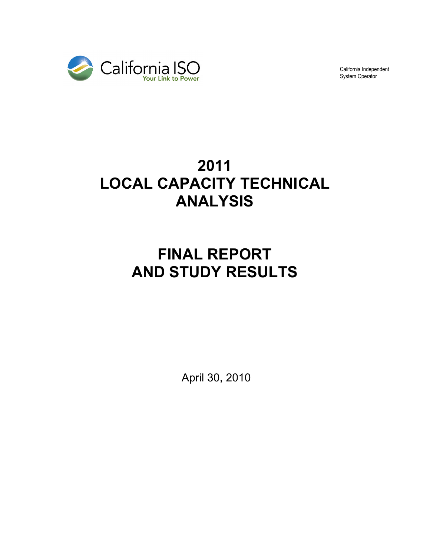

California Independent System Operator

# **2011 LOCAL CAPACITY TECHNICAL ANALYSIS**

# **FINAL REPORT AND STUDY RESULTS**

April 30, 2010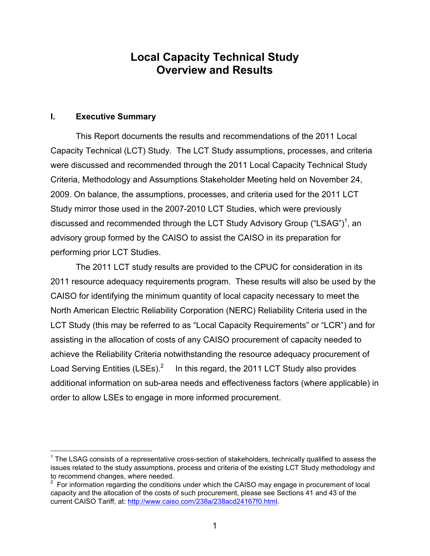# **Local Capacity Technical Study Overview and Results**

#### **I. Executive Summary**

 $\overline{a}$ 

This Report documents the results and recommendations of the 2011 Local Capacity Technical (LCT) Study. The LCT Study assumptions, processes, and criteria were discussed and recommended through the 2011 Local Capacity Technical Study Criteria, Methodology and Assumptions Stakeholder Meeting held on November 24, 2009. On balance, the assumptions, processes, and criteria used for the 2011 LCT Study mirror those used in the 2007-2010 LCT Studies, which were previously discussed and recommended through the LCT Study Advisory Group ("LSAG")<sup>1</sup>, an advisory group formed by the CAISO to assist the CAISO in its preparation for performing prior LCT Studies.

The 2011 LCT study results are provided to the CPUC for consideration in its 2011 resource adequacy requirements program. These results will also be used by the CAISO for identifying the minimum quantity of local capacity necessary to meet the North American Electric Reliability Corporation (NERC) Reliability Criteria used in the LCT Study (this may be referred to as "Local Capacity Requirements" or "LCR") and for assisting in the allocation of costs of any CAISO procurement of capacity needed to achieve the Reliability Criteria notwithstanding the resource adequacy procurement of Load Serving Entities (LSEs).<sup>2</sup> In this regard, the 2011 LCT Study also provides additional information on sub-area needs and effectiveness factors (where applicable) in order to allow LSEs to engage in more informed procurement.

 $1$  The LSAG consists of a representative cross-section of stakeholders, technically qualified to assess the issues related to the study assumptions, process and criteria of the existing LCT Study methodology and to recommend changes, where needed.

 $2$  For information regarding the conditions under which the CAISO may engage in procurement of local capacity and the allocation of the costs of such procurement, please see Sections 41 and 43 of the current CAISO Tariff, at: http://www.caiso.com/238a/238acd24167f0.html.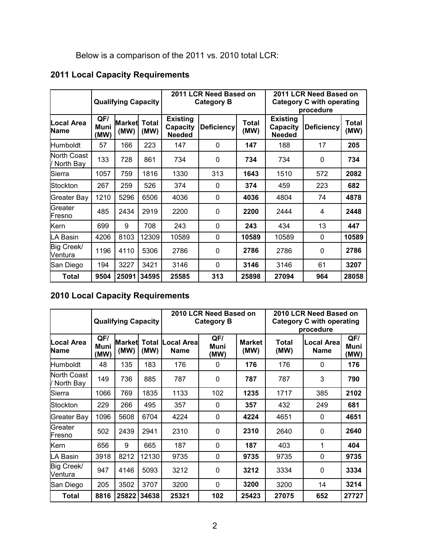# Below is a comparison of the 2011 vs. 2010 total LCR:

# **2011 Local Capacity Requirements**

|                            |                     | <b>Qualifying Capacity</b> |               | 2011 LCR Need Based on<br>2011 LCR Need Based on<br><b>Category C with operating</b><br><b>Category B</b><br>procedure |                   |               |                                              |                   |               |
|----------------------------|---------------------|----------------------------|---------------|------------------------------------------------------------------------------------------------------------------------|-------------------|---------------|----------------------------------------------|-------------------|---------------|
| Local Area<br>Name         | QFI<br>Muni<br>(MW) | Market<br>(MW)             | Total<br>(MW) | <b>Existing</b><br>Capacity<br><b>Needed</b>                                                                           | <b>Deficiency</b> | Total<br>(MW) | <b>Existing</b><br>Capacity<br><b>Needed</b> | <b>Deficiency</b> | Total<br>(MW) |
| <b>Humboldt</b>            | 57                  | 166                        | 223           | 147                                                                                                                    | 0                 | 147           | 188                                          | 17                | 205           |
| North Coast<br>/ North Bay | 133                 | 728                        | 861           | 734                                                                                                                    | 0                 | 734           | 734                                          | 0                 | 734           |
| Sierra                     | 1057                | 759                        | 1816          | 1330                                                                                                                   | 313               | 1643          | 1510                                         | 572               | 2082          |
| Stockton                   | 267                 | 259                        | 526           | 374                                                                                                                    | 0                 | 374           | 459                                          | 223               | 682           |
| Greater Bay                | 1210                | 5296                       | 6506          | 4036                                                                                                                   | 0                 | 4036          | 4804                                         | 74                | 4878          |
| Greater<br>Fresno          | 485                 | 2434                       | 2919          | 2200                                                                                                                   | 0                 | 2200          | 2444                                         | 4                 | 2448          |
| Kern                       | 699                 | 9                          | 708           | 243                                                                                                                    | $\Omega$          | 243           | 434                                          | 13                | 447           |
| LA Basin                   | 4206                | 8103                       | 12309         | 10589                                                                                                                  | 0                 | 10589         | 10589                                        | $\mathbf{0}$      | 10589         |
| Big Creek/<br>Ventura      | 1196                | 4110                       | 5306          | 2786                                                                                                                   | 0                 | 2786          | 2786                                         | $\mathbf 0$       | 2786          |
| San Diego                  | 194                 | 3227                       | 3421          | 3146                                                                                                                   | 0                 | 3146          | 3146                                         | 61                | 3207          |
| Total                      | 9504                | 25091                      | 34595         | 25585                                                                                                                  | 313               | 25898         | 27094                                        | 964               | 28058         |

# **2010 Local Capacity Requirements**

|                            |                     | <b>Qualifying Capacity</b> |               |                            | 2010 LCR Need Based on<br><b>Category B</b> |                       | 2010 LCR Need Based on<br><b>Category C with operating</b><br>procedure |                                   |                     |
|----------------------------|---------------------|----------------------------|---------------|----------------------------|---------------------------------------------|-----------------------|-------------------------------------------------------------------------|-----------------------------------|---------------------|
| Local Area<br>Name         | QF/<br>Muni<br>(MW) | Market<br>(MW)             | Total<br>(MW) | ocal Areal.<br><b>Name</b> | QF/<br>Muni<br>(MW)                         | <b>Market</b><br>(MW) | Total<br>(MW)                                                           | <b>Local Areal</b><br><b>Name</b> | QF/<br>Muni<br>(MW) |
| Humboldt                   | 48                  | 135                        | 183           | 176                        | 0                                           | 176                   | 176                                                                     | 0                                 | 176                 |
| North Coast<br>/ North Bay | 149                 | 736                        | 885           | 787                        | 0                                           | 787                   | 787                                                                     | 3                                 | 790                 |
| Sierra                     | 1066                | 769                        | 1835          | 1133                       | 102                                         | 1235                  | 1717                                                                    | 385                               | 2102                |
| Stockton                   | 229                 | 266                        | 495           | 357                        | 0                                           | 357                   | 432                                                                     | 249                               | 681                 |
| Greater Bay                | 1096                | 5608                       | 6704          | 4224                       | 0                                           | 4224                  | 4651                                                                    | 0                                 | 4651                |
| Greater<br>Fresno          | 502                 | 2439                       | 2941          | 2310                       | 0                                           | 2310                  | 2640                                                                    | 0                                 | 2640                |
| Kern                       | 656                 | 9                          | 665           | 187                        | 0                                           | 187                   | 403                                                                     | 1                                 | 404                 |
| LA Basin                   | 3918                | 8212                       | 12130         | 9735                       | 0                                           | 9735                  | 9735                                                                    | $\mathbf{0}$                      | 9735                |
| Big Creek/<br>Ventura      | 947                 | 4146                       | 5093          | 3212                       | 0                                           | 3212                  | 3334                                                                    | $\mathbf 0$                       | 3334                |
| San Diego                  | 205                 | 3502                       | 3707          | 3200                       | 0                                           | 3200                  | 3200                                                                    | 14                                | 3214                |
| Total                      | 8816                | 25822                      | 34638         | 25321                      | 102                                         | 25423                 | 27075                                                                   | 652                               | 27727               |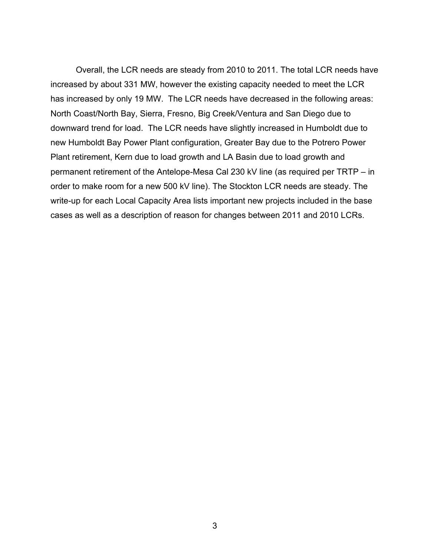Overall, the LCR needs are steady from 2010 to 2011. The total LCR needs have increased by about 331 MW, however the existing capacity needed to meet the LCR has increased by only 19 MW. The LCR needs have decreased in the following areas: North Coast/North Bay, Sierra, Fresno, Big Creek/Ventura and San Diego due to downward trend for load. The LCR needs have slightly increased in Humboldt due to new Humboldt Bay Power Plant configuration, Greater Bay due to the Potrero Power Plant retirement, Kern due to load growth and LA Basin due to load growth and permanent retirement of the Antelope-Mesa Cal 230 kV line (as required per TRTP – in order to make room for a new 500 kV line). The Stockton LCR needs are steady. The write-up for each Local Capacity Area lists important new projects included in the base cases as well as a description of reason for changes between 2011 and 2010 LCRs.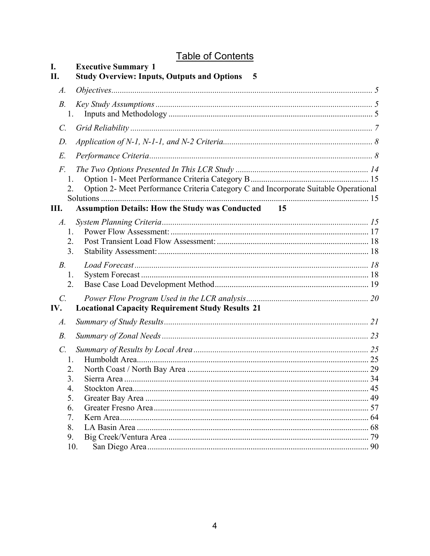# **Table of Contents**

| I.<br>П.               | <b>Executive Summary 1</b><br><b>Study Overview: Inputs, Outputs and Options</b><br>- 5   |  |
|------------------------|-------------------------------------------------------------------------------------------|--|
| A.                     |                                                                                           |  |
| <i>B</i> .             | 1.                                                                                        |  |
| $\mathcal{C}$ .        |                                                                                           |  |
| D.                     |                                                                                           |  |
| $E$ .                  |                                                                                           |  |
| F.<br>2.               | 1.<br>Option 2- Meet Performance Criteria Category C and Incorporate Suitable Operational |  |
| Ш.                     | <b>Assumption Details: How the Study was Conducted</b><br>15                              |  |
| $A$ .                  | 1.<br>2.<br>3.                                                                            |  |
| $B$ .<br>2.            | 1.                                                                                        |  |
| $\mathcal{C}$ .<br>IV. | <b>Locational Capacity Requirement Study Results 21</b>                                   |  |
| A.                     |                                                                                           |  |
| $B$ .                  |                                                                                           |  |
| $\mathcal{C}$ .        | $\mathbf{1}$ .                                                                            |  |
|                        |                                                                                           |  |
|                        | 3.<br>4.                                                                                  |  |
|                        | 5.                                                                                        |  |
|                        | 6.                                                                                        |  |
|                        | 7.                                                                                        |  |
|                        | 8.                                                                                        |  |
|                        | 9.                                                                                        |  |
|                        | 10.                                                                                       |  |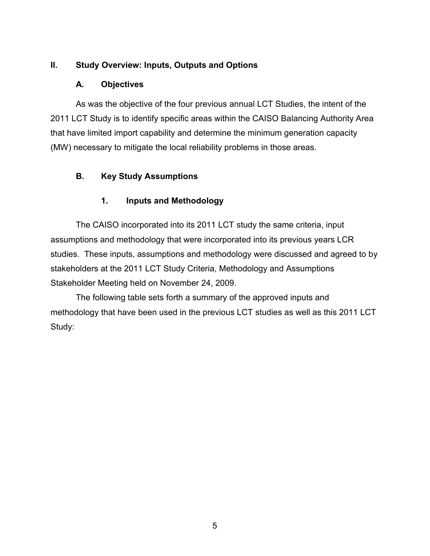## **II. Study Overview: Inputs, Outputs and Options**

#### **A. Objectives**

As was the objective of the four previous annual LCT Studies, the intent of the 2011 LCT Study is to identify specific areas within the CAISO Balancing Authority Area that have limited import capability and determine the minimum generation capacity (MW) necessary to mitigate the local reliability problems in those areas.

# **B. Key Study Assumptions**

# **1. Inputs and Methodology**

The CAISO incorporated into its 2011 LCT study the same criteria, input assumptions and methodology that were incorporated into its previous years LCR studies. These inputs, assumptions and methodology were discussed and agreed to by stakeholders at the 2011 LCT Study Criteria, Methodology and Assumptions Stakeholder Meeting held on November 24, 2009.

The following table sets forth a summary of the approved inputs and methodology that have been used in the previous LCT studies as well as this 2011 LCT Study: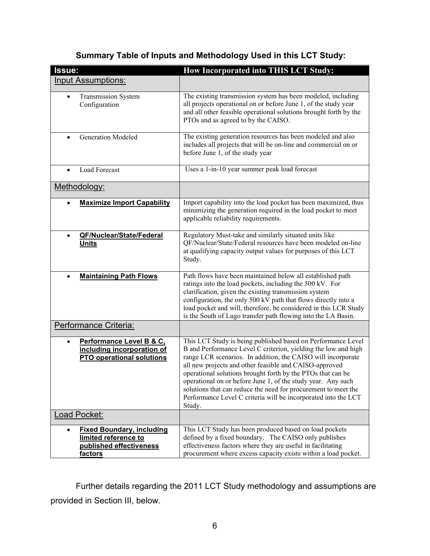| Issue:                                                                                                      | <b>How Incorporated into THIS LCT Study:</b>                                                                                                                                                                                                                                                                                                                                                                                                                                                                                          |
|-------------------------------------------------------------------------------------------------------------|---------------------------------------------------------------------------------------------------------------------------------------------------------------------------------------------------------------------------------------------------------------------------------------------------------------------------------------------------------------------------------------------------------------------------------------------------------------------------------------------------------------------------------------|
| <b>Input Assumptions:</b>                                                                                   |                                                                                                                                                                                                                                                                                                                                                                                                                                                                                                                                       |
| <b>Transmission System</b><br>$\bullet$<br>Configuration                                                    | The existing transmission system has been modeled, including<br>all projects operational on or before June 1, of the study year<br>and all other feasible operational solutions brought forth by the<br>PTOs and as agreed to by the CAISO.                                                                                                                                                                                                                                                                                           |
| <b>Generation Modeled</b>                                                                                   | The existing generation resources has been modeled and also<br>includes all projects that will be on-line and commercial on or<br>before June 1, of the study year                                                                                                                                                                                                                                                                                                                                                                    |
| <b>Load Forecast</b><br>$\bullet$                                                                           | Uses a 1-in-10 year summer peak load forecast                                                                                                                                                                                                                                                                                                                                                                                                                                                                                         |
| Methodology:                                                                                                |                                                                                                                                                                                                                                                                                                                                                                                                                                                                                                                                       |
| <b>Maximize Import Capability</b><br>$\bullet$                                                              | Import capability into the load pocket has been maximized, thus<br>minimizing the generation required in the load pocket to meet<br>applicable reliability requirements.                                                                                                                                                                                                                                                                                                                                                              |
| QF/Nuclear/State/Federal<br>$\bullet$<br><b>Units</b>                                                       | Regulatory Must-take and similarly situated units like<br>QF/Nuclear/State/Federal resources have been modeled on-line<br>at qualifying capacity output values for purposes of this LCT<br>Study.                                                                                                                                                                                                                                                                                                                                     |
| <b>Maintaining Path Flows</b>                                                                               | Path flows have been maintained below all established path<br>ratings into the load pockets, including the 500 kV. For<br>clarification, given the existing transmission system<br>configuration, the only 500 kV path that flows directly into a<br>load pocket and will, therefore, be considered in this LCR Study<br>is the South of Lugo transfer path flowing into the LA Basin.                                                                                                                                                |
| Performance Criteria:                                                                                       |                                                                                                                                                                                                                                                                                                                                                                                                                                                                                                                                       |
| Performance Level B & C,<br>$\bullet$<br>including incorporation of<br><b>PTO operational solutions</b>     | This LCT Study is being published based on Performance Level<br>B and Performance Level C criterion, yielding the low and high<br>range LCR scenarios. In addition, the CAISO will incorporate<br>all new projects and other feasible and CAISO-approved<br>operational solutions brought forth by the PTOs that can be<br>operational on or before June 1, of the study year. Any such<br>solutions that can reduce the need for procurement to meet the<br>Performance Level C criteria will be incorporated into the LCT<br>Study. |
| <b>Load Pocket:</b>                                                                                         |                                                                                                                                                                                                                                                                                                                                                                                                                                                                                                                                       |
| <b>Fixed Boundary, including</b><br>$\bullet$<br>limited reference to<br>published effectiveness<br>factors | This LCT Study has been produced based on load pockets<br>defined by a fixed boundary. The CAISO only publishes<br>effectiveness factors where they are useful in facilitating<br>procurement where excess capacity exists within a load pocket.                                                                                                                                                                                                                                                                                      |

# **Summary Table of Inputs and Methodology Used in this LCT Study:**

Further details regarding the 2011 LCT Study methodology and assumptions are provided in Section III, below.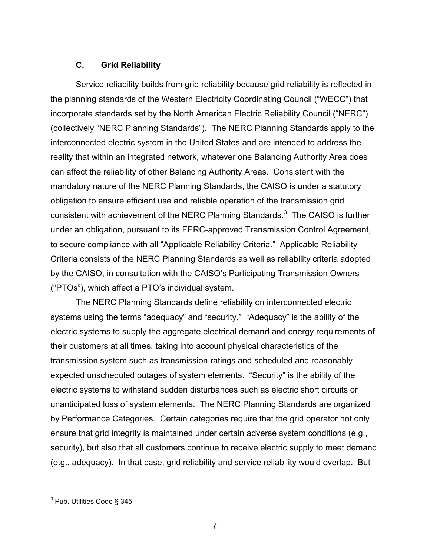#### **C. Grid Reliability**

Service reliability builds from grid reliability because grid reliability is reflected in the planning standards of the Western Electricity Coordinating Council ("WECC") that incorporate standards set by the North American Electric Reliability Council ("NERC") (collectively "NERC Planning Standards"). The NERC Planning Standards apply to the interconnected electric system in the United States and are intended to address the reality that within an integrated network, whatever one Balancing Authority Area does can affect the reliability of other Balancing Authority Areas. Consistent with the mandatory nature of the NERC Planning Standards, the CAISO is under a statutory obligation to ensure efficient use and reliable operation of the transmission grid consistent with achievement of the NERC Planning Standards. $3$  The CAISO is further under an obligation, pursuant to its FERC-approved Transmission Control Agreement, to secure compliance with all "Applicable Reliability Criteria." Applicable Reliability Criteria consists of the NERC Planning Standards as well as reliability criteria adopted by the CAISO, in consultation with the CAISO's Participating Transmission Owners ("PTOs"), which affect a PTO's individual system.

The NERC Planning Standards define reliability on interconnected electric systems using the terms "adequacy" and "security." "Adequacy" is the ability of the electric systems to supply the aggregate electrical demand and energy requirements of their customers at all times, taking into account physical characteristics of the transmission system such as transmission ratings and scheduled and reasonably expected unscheduled outages of system elements. "Security" is the ability of the electric systems to withstand sudden disturbances such as electric short circuits or unanticipated loss of system elements. The NERC Planning Standards are organized by Performance Categories. Certain categories require that the grid operator not only ensure that grid integrity is maintained under certain adverse system conditions (e.g., security), but also that all customers continue to receive electric supply to meet demand (e.g., adequacy). In that case, grid reliability and service reliability would overlap. But

 $\overline{a}$ 

<sup>&</sup>lt;sup>3</sup> Pub. Utilities Code § 345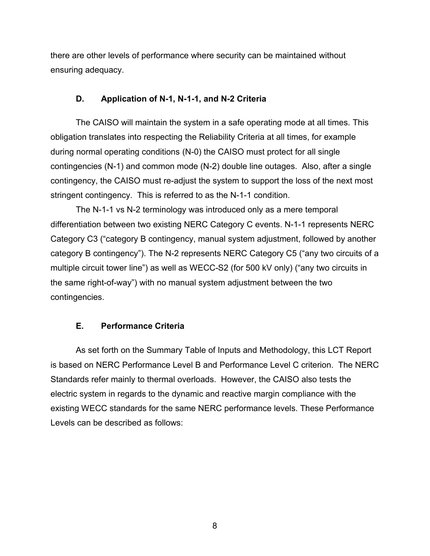there are other levels of performance where security can be maintained without ensuring adequacy.

#### **D. Application of N-1, N-1-1, and N-2 Criteria**

The CAISO will maintain the system in a safe operating mode at all times. This obligation translates into respecting the Reliability Criteria at all times, for example during normal operating conditions (N-0) the CAISO must protect for all single contingencies (N-1) and common mode (N-2) double line outages. Also, after a single contingency, the CAISO must re-adjust the system to support the loss of the next most stringent contingency. This is referred to as the N-1-1 condition.

The N-1-1 vs N-2 terminology was introduced only as a mere temporal differentiation between two existing NERC Category C events. N-1-1 represents NERC Category C3 ("category B contingency, manual system adjustment, followed by another category B contingency"). The N-2 represents NERC Category C5 ("any two circuits of a multiple circuit tower line") as well as WECC-S2 (for 500 kV only) ("any two circuits in the same right-of-way") with no manual system adjustment between the two contingencies.

#### **E. Performance Criteria**

As set forth on the Summary Table of Inputs and Methodology, this LCT Report is based on NERC Performance Level B and Performance Level C criterion. The NERC Standards refer mainly to thermal overloads. However, the CAISO also tests the electric system in regards to the dynamic and reactive margin compliance with the existing WECC standards for the same NERC performance levels. These Performance Levels can be described as follows:

8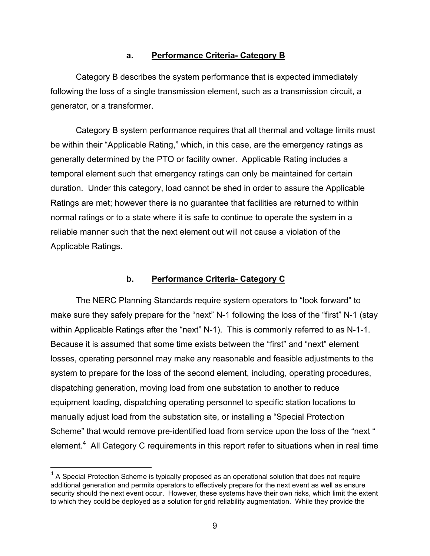#### **a. Performance Criteria- Category B**

Category B describes the system performance that is expected immediately following the loss of a single transmission element, such as a transmission circuit, a generator, or a transformer.

Category B system performance requires that all thermal and voltage limits must be within their "Applicable Rating," which, in this case, are the emergency ratings as generally determined by the PTO or facility owner. Applicable Rating includes a temporal element such that emergency ratings can only be maintained for certain duration. Under this category, load cannot be shed in order to assure the Applicable Ratings are met; however there is no guarantee that facilities are returned to within normal ratings or to a state where it is safe to continue to operate the system in a reliable manner such that the next element out will not cause a violation of the Applicable Ratings.

#### **b. Performance Criteria- Category C**

The NERC Planning Standards require system operators to "look forward" to make sure they safely prepare for the "next" N-1 following the loss of the "first" N-1 (stay within Applicable Ratings after the "next" N-1). This is commonly referred to as N-1-1. Because it is assumed that some time exists between the "first" and "next" element losses, operating personnel may make any reasonable and feasible adjustments to the system to prepare for the loss of the second element, including, operating procedures, dispatching generation, moving load from one substation to another to reduce equipment loading, dispatching operating personnel to specific station locations to manually adjust load from the substation site, or installing a "Special Protection Scheme" that would remove pre-identified load from service upon the loss of the "next " element.<sup>4</sup> All Category C requirements in this report refer to situations when in real time

 $\overline{a}$ 

 $4\,$  A Special Protection Scheme is typically proposed as an operational solution that does not require additional generation and permits operators to effectively prepare for the next event as well as ensure security should the next event occur. However, these systems have their own risks, which limit the extent to which they could be deployed as a solution for grid reliability augmentation. While they provide the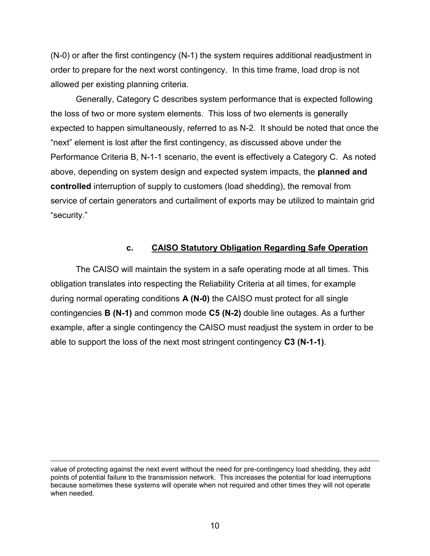(N-0) or after the first contingency (N-1) the system requires additional readjustment in order to prepare for the next worst contingency. In this time frame, load drop is not allowed per existing planning criteria.

Generally, Category C describes system performance that is expected following the loss of two or more system elements. This loss of two elements is generally expected to happen simultaneously, referred to as N-2. It should be noted that once the "next" element is lost after the first contingency, as discussed above under the Performance Criteria B, N-1-1 scenario, the event is effectively a Category C. As noted above, depending on system design and expected system impacts, the **planned and controlled** interruption of supply to customers (load shedding), the removal from service of certain generators and curtailment of exports may be utilized to maintain grid "security."

#### **c. CAISO Statutory Obligation Regarding Safe Operation**

The CAISO will maintain the system in a safe operating mode at all times. This obligation translates into respecting the Reliability Criteria at all times, for example during normal operating conditions **A (N-0)** the CAISO must protect for all single contingencies **B (N-1)** and common mode **C5 (N-2)** double line outages. As a further example, after a single contingency the CAISO must readjust the system in order to be able to support the loss of the next most stringent contingency **C3 (N-1-1)**.

 $\overline{a}$ 

value of protecting against the next event without the need for pre-contingency load shedding, they add points of potential failure to the transmission network. This increases the potential for load interruptions because sometimes these systems will operate when not required and other times they will not operate when needed.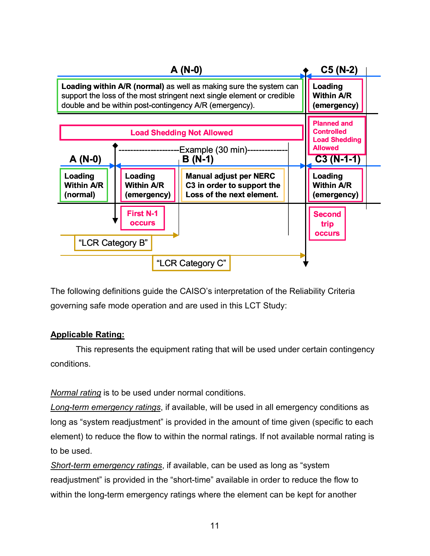

The following definitions guide the CAISO's interpretation of the Reliability Criteria governing safe mode operation and are used in this LCT Study:

#### **Applicable Rating:**

This represents the equipment rating that will be used under certain contingency conditions.

*Normal rating* is to be used under normal conditions.

*Long-term emergency ratings*, if available, will be used in all emergency conditions as long as "system readjustment" is provided in the amount of time given (specific to each element) to reduce the flow to within the normal ratings. If not available normal rating is to be used.

*Short-term emergency ratings*, if available, can be used as long as "system readjustment" is provided in the "short-time" available in order to reduce the flow to within the long-term emergency ratings where the element can be kept for another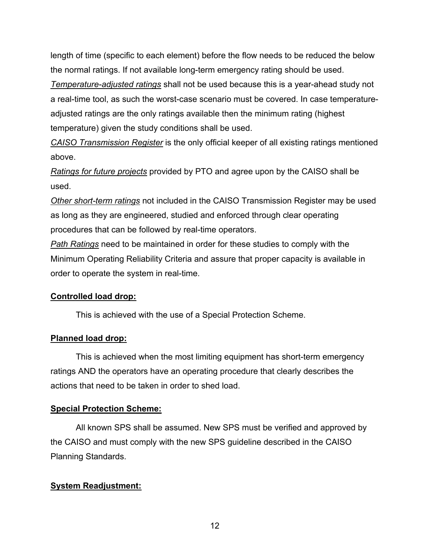length of time (specific to each element) before the flow needs to be reduced the below the normal ratings. If not available long-term emergency rating should be used.

*Temperature-adjusted ratings* shall not be used because this is a year-ahead study not a real-time tool, as such the worst-case scenario must be covered. In case temperatureadjusted ratings are the only ratings available then the minimum rating (highest temperature) given the study conditions shall be used.

*CAISO Transmission Register* is the only official keeper of all existing ratings mentioned above.

*Ratings for future projects* provided by PTO and agree upon by the CAISO shall be used.

*Other short-term ratings* not included in the CAISO Transmission Register may be used as long as they are engineered, studied and enforced through clear operating procedures that can be followed by real-time operators.

*Path Ratings* need to be maintained in order for these studies to comply with the Minimum Operating Reliability Criteria and assure that proper capacity is available in order to operate the system in real-time.

#### **Controlled load drop:**

This is achieved with the use of a Special Protection Scheme.

#### **Planned load drop:**

This is achieved when the most limiting equipment has short-term emergency ratings AND the operators have an operating procedure that clearly describes the actions that need to be taken in order to shed load.

#### **Special Protection Scheme:**

All known SPS shall be assumed. New SPS must be verified and approved by the CAISO and must comply with the new SPS guideline described in the CAISO Planning Standards.

#### **System Readjustment:**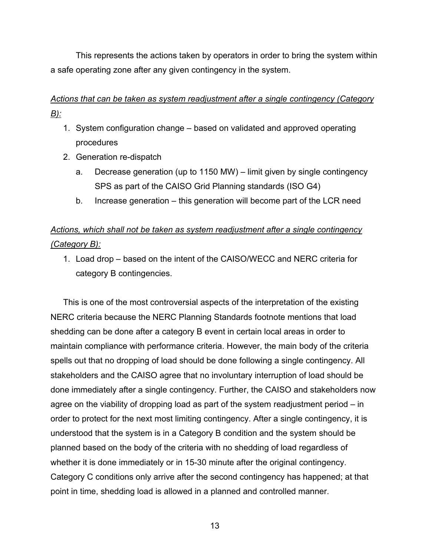This represents the actions taken by operators in order to bring the system within a safe operating zone after any given contingency in the system.

# *Actions that can be taken as system readjustment after a single contingency (Category B):*

- 1. System configuration change based on validated and approved operating procedures
- 2. Generation re-dispatch
	- a. Decrease generation (up to 1150 MW) limit given by single contingency SPS as part of the CAISO Grid Planning standards (ISO G4)
	- b. Increase generation this generation will become part of the LCR need

# *Actions, which shall not be taken as system readjustment after a single contingency (Category B):*

1. Load drop – based on the intent of the CAISO/WECC and NERC criteria for category B contingencies.

This is one of the most controversial aspects of the interpretation of the existing NERC criteria because the NERC Planning Standards footnote mentions that load shedding can be done after a category B event in certain local areas in order to maintain compliance with performance criteria. However, the main body of the criteria spells out that no dropping of load should be done following a single contingency. All stakeholders and the CAISO agree that no involuntary interruption of load should be done immediately after a single contingency. Further, the CAISO and stakeholders now agree on the viability of dropping load as part of the system readjustment period – in order to protect for the next most limiting contingency. After a single contingency, it is understood that the system is in a Category B condition and the system should be planned based on the body of the criteria with no shedding of load regardless of whether it is done immediately or in 15-30 minute after the original contingency. Category C conditions only arrive after the second contingency has happened; at that point in time, shedding load is allowed in a planned and controlled manner.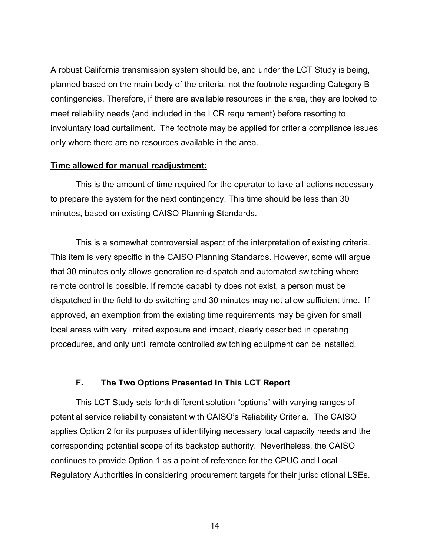A robust California transmission system should be, and under the LCT Study is being, planned based on the main body of the criteria, not the footnote regarding Category B contingencies. Therefore, if there are available resources in the area, they are looked to meet reliability needs (and included in the LCR requirement) before resorting to involuntary load curtailment. The footnote may be applied for criteria compliance issues only where there are no resources available in the area.

#### **Time allowed for manual readjustment:**

This is the amount of time required for the operator to take all actions necessary to prepare the system for the next contingency. This time should be less than 30 minutes, based on existing CAISO Planning Standards.

This is a somewhat controversial aspect of the interpretation of existing criteria. This item is very specific in the CAISO Planning Standards. However, some will argue that 30 minutes only allows generation re-dispatch and automated switching where remote control is possible. If remote capability does not exist, a person must be dispatched in the field to do switching and 30 minutes may not allow sufficient time. If approved, an exemption from the existing time requirements may be given for small local areas with very limited exposure and impact, clearly described in operating procedures, and only until remote controlled switching equipment can be installed.

#### **F. The Two Options Presented In This LCT Report**

This LCT Study sets forth different solution "options" with varying ranges of potential service reliability consistent with CAISO's Reliability Criteria. The CAISO applies Option 2 for its purposes of identifying necessary local capacity needs and the corresponding potential scope of its backstop authority. Nevertheless, the CAISO continues to provide Option 1 as a point of reference for the CPUC and Local Regulatory Authorities in considering procurement targets for their jurisdictional LSEs.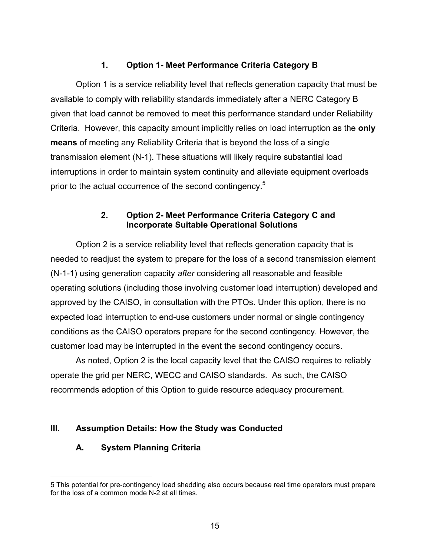# **1. Option 1- Meet Performance Criteria Category B**

Option 1 is a service reliability level that reflects generation capacity that must be available to comply with reliability standards immediately after a NERC Category B given that load cannot be removed to meet this performance standard under Reliability Criteria. However, this capacity amount implicitly relies on load interruption as the **only means** of meeting any Reliability Criteria that is beyond the loss of a single transmission element (N-1). These situations will likely require substantial load interruptions in order to maintain system continuity and alleviate equipment overloads prior to the actual occurrence of the second contingency.<sup>5</sup>

## **2. Option 2- Meet Performance Criteria Category C and Incorporate Suitable Operational Solutions**

Option 2 is a service reliability level that reflects generation capacity that is needed to readjust the system to prepare for the loss of a second transmission element (N-1-1) using generation capacity *after* considering all reasonable and feasible operating solutions (including those involving customer load interruption) developed and approved by the CAISO, in consultation with the PTOs. Under this option, there is no expected load interruption to end-use customers under normal or single contingency conditions as the CAISO operators prepare for the second contingency. However, the customer load may be interrupted in the event the second contingency occurs.

As noted, Option 2 is the local capacity level that the CAISO requires to reliably operate the grid per NERC, WECC and CAISO standards. As such, the CAISO recommends adoption of this Option to guide resource adequacy procurement.

# **III. Assumption Details: How the Study was Conducted**

# **A. System Planning Criteria**

 $\overline{a}$ 

<sup>5</sup> This potential for pre-contingency load shedding also occurs because real time operators must prepare for the loss of a common mode N-2 at all times.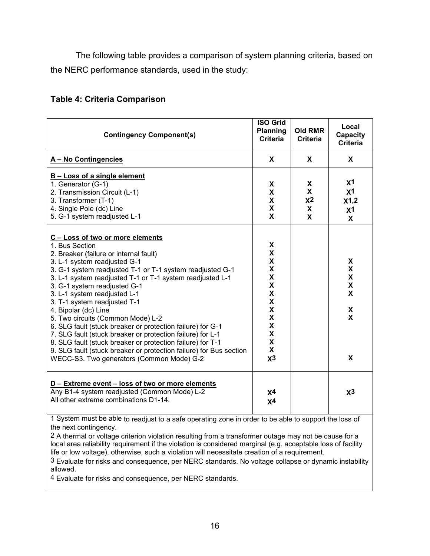The following table provides a comparison of system planning criteria, based on the NERC performance standards, used in the study:

#### **Table 4: Criteria Comparison**

| <b>Contingency Component(s)</b>                                                                                                                                                                                                                                                                                                                                                                                                                                                                                                                                                                                                                                                                                                  | <b>ISO Grid</b><br><b>Planning</b><br><b>Criteria</b>                                                                                                                                                                                                                          | Old RMR<br><b>Criteria</b>                 | Local<br>Capacity<br><b>Criteria</b>                                |
|----------------------------------------------------------------------------------------------------------------------------------------------------------------------------------------------------------------------------------------------------------------------------------------------------------------------------------------------------------------------------------------------------------------------------------------------------------------------------------------------------------------------------------------------------------------------------------------------------------------------------------------------------------------------------------------------------------------------------------|--------------------------------------------------------------------------------------------------------------------------------------------------------------------------------------------------------------------------------------------------------------------------------|--------------------------------------------|---------------------------------------------------------------------|
| A - No Contingencies                                                                                                                                                                                                                                                                                                                                                                                                                                                                                                                                                                                                                                                                                                             | X                                                                                                                                                                                                                                                                              | X                                          | X                                                                   |
| <b>B-Loss of a single element</b><br>1. Generator (G-1)<br>2. Transmission Circuit (L-1)<br>3. Transformer (T-1)<br>4. Single Pole (dc) Line<br>5. G-1 system readjusted L-1                                                                                                                                                                                                                                                                                                                                                                                                                                                                                                                                                     | X<br>X<br>X<br>X<br>X                                                                                                                                                                                                                                                          | X<br>$\pmb{\mathsf{X}}$<br>$x^2$<br>X<br>X | X <sup>1</sup><br>x <sub>1</sub><br>x1,2<br>x <sub>1</sub><br>X     |
| C - Loss of two or more elements<br>1. Bus Section<br>2. Breaker (failure or internal fault)<br>3. L-1 system readjusted G-1<br>3. G-1 system readjusted T-1 or T-1 system readjusted G-1<br>3. L-1 system readjusted T-1 or T-1 system readjusted L-1<br>3. G-1 system readjusted G-1<br>3. L-1 system readjusted L-1<br>3. T-1 system readjusted T-1<br>4. Bipolar (dc) Line<br>5. Two circuits (Common Mode) L-2<br>6. SLG fault (stuck breaker or protection failure) for G-1<br>7. SLG fault (stuck breaker or protection failure) for L-1<br>8. SLG fault (stuck breaker or protection failure) for T-1<br>9. SLG fault (stuck breaker or protection failure) for Bus section<br>WECC-S3. Two generators (Common Mode) G-2 | X<br>X<br>X<br>X<br>$\boldsymbol{\mathsf{x}}$<br>$\boldsymbol{\mathsf{x}}$<br>$\mathsf{X}$<br>$\mathsf{X}$<br>$\mathsf{X}$<br>$\boldsymbol{\mathsf{X}}$<br>$\boldsymbol{\mathsf{X}}$<br>$\mathsf{X}$<br>$\mathsf{\overline{X}}$<br>$\boldsymbol{\mathsf{x}}$<br>X <sup>3</sup> |                                            | X<br>X<br>X<br>$\mathbf x$<br>$\mathbf x$<br>X<br>$\mathbf{x}$<br>X |
| D - Extreme event - loss of two or more elements<br>Any B1-4 system readjusted (Common Mode) L-2<br>All other extreme combinations D1-14.<br>1 System must be able to readjust to a safe operating zone in order to be able to support the loss of                                                                                                                                                                                                                                                                                                                                                                                                                                                                               | X <sup>4</sup><br>X <sup>4</sup>                                                                                                                                                                                                                                               |                                            | $x^3$                                                               |

the next contingency.

2 A thermal or voltage criterion violation resulting from a transformer outage may not be cause for a local area reliability requirement if the violation is considered marginal (e.g. acceptable loss of facility life or low voltage), otherwise, such a violation will necessitate creation of a requirement.

3 Evaluate for risks and consequence, per NERC standards. No voltage collapse or dynamic instability allowed.

4 Evaluate for risks and consequence, per NERC standards.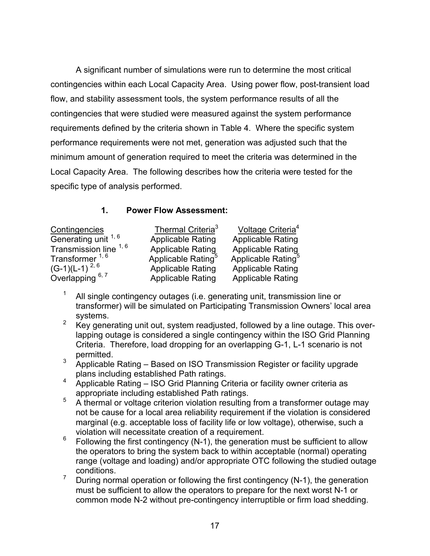A significant number of simulations were run to determine the most critical contingencies within each Local Capacity Area. Using power flow, post-transient load flow, and stability assessment tools, the system performance results of all the contingencies that were studied were measured against the system performance requirements defined by the criteria shown in Table 4. Where the specific system performance requirements were not met, generation was adjusted such that the minimum amount of generation required to meet the criteria was determined in the Local Capacity Area. The following describes how the criteria were tested for the specific type of analysis performed.

# **1. Power Flow Assessment:**

| Contingencies              | Thermal Criteria <sup>3</sup>  | Voltage Criteria <sup>4</sup>  |
|----------------------------|--------------------------------|--------------------------------|
| Generating unit 1, 6       | <b>Applicable Rating</b>       | <b>Applicable Rating</b>       |
| Transmission line 1, 6     | <b>Applicable Rating</b>       | <b>Applicable Rating</b>       |
| Transformer <sup>1,6</sup> | Applicable Rating <sup>5</sup> | Applicable Rating <sup>5</sup> |
| $(G-1)(L-1)^{2, 6}$        | <b>Applicable Rating</b>       | <b>Applicable Rating</b>       |
| Overlapping $6, 7$         | <b>Applicable Rating</b>       | <b>Applicable Rating</b>       |

- <sup>1</sup> All single contingency outages (i.e. generating unit, transmission line or transformer) will be simulated on Participating Transmission Owners' local area
- systems.<br><sup>2</sup> Key generating unit out, system readjusted, followed by a line outage. This overlapping outage is considered a single contingency within the ISO Grid Planning Criteria. Therefore, load dropping for an overlapping G-1, L-1 scenario is not permitted.
- $3$  Applicable Rating Based on ISO Transmission Register or facility upgrade plans including established Path ratings.
- <sup>4</sup> Applicable Rating ISO Grid Planning Criteria or facility owner criteria as appropriate including established Path ratings.
- <sup>5</sup> A thermal or voltage criterion violation resulting from a transformer outage may not be cause for a local area reliability requirement if the violation is considered marginal (e.g. acceptable loss of facility life or low voltage), otherwise, such a violation will necessitate creation of a requirement.
- $6$  Following the first contingency (N-1), the generation must be sufficient to allow the operators to bring the system back to within acceptable (normal) operating range (voltage and loading) and/or appropriate OTC following the studied outage conditions.
- <sup>7</sup> During normal operation or following the first contingency (N-1), the generation must be sufficient to allow the operators to prepare for the next worst N-1 or common mode N-2 without pre-contingency interruptible or firm load shedding.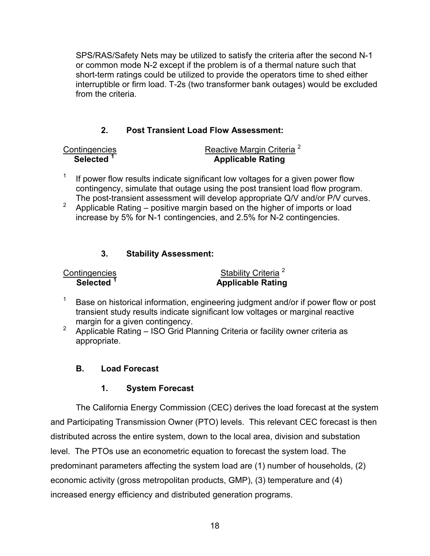SPS/RAS/Safety Nets may be utilized to satisfy the criteria after the second N-1 or common mode N-2 except if the problem is of a thermal nature such that short-term ratings could be utilized to provide the operators time to shed either interruptible or firm load. T-2s (two transformer bank outages) would be excluded from the criteria.

# **2. Post Transient Load Flow Assessment:**

| Contingencies         | Reactive Margin Criteria <sup>2</sup> |
|-----------------------|---------------------------------------|
| Selected <sup>1</sup> | <b>Applicable Rating</b>              |

- $1$  If power flow results indicate significant low voltages for a given power flow contingency, simulate that outage using the post transient load flow program. The post-transient assessment will develop appropriate Q/V and/or P/V curves.
- <sup>2</sup> Applicable Rating positive margin based on the higher of imports or load increase by 5% for N-1 contingencies, and 2.5% for N-2 contingencies.

# **3. Stability Assessment:**

| Contingencies         |  |
|-----------------------|--|
| Selected <sup>1</sup> |  |

Stability Criteria<sup>2</sup> **Applicable Rating** 

- <sup>1</sup> Base on historical information, engineering judgment and/or if power flow or post transient study results indicate significant low voltages or marginal reactive
- margin for a given contingency.<br><sup>2</sup> Applicable Rating ISO Grid Planning Criteria or facility owner criteria as appropriate.

# **B. Load Forecast**

# **1. System Forecast**

The California Energy Commission (CEC) derives the load forecast at the system and Participating Transmission Owner (PTO) levels. This relevant CEC forecast is then distributed across the entire system, down to the local area, division and substation level. The PTOs use an econometric equation to forecast the system load. The predominant parameters affecting the system load are (1) number of households, (2) economic activity (gross metropolitan products, GMP), (3) temperature and (4) increased energy efficiency and distributed generation programs.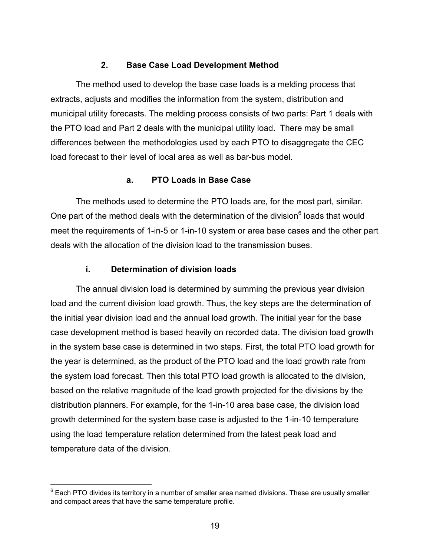## **2. Base Case Load Development Method**

The method used to develop the base case loads is a melding process that extracts, adjusts and modifies the information from the system, distribution and municipal utility forecasts. The melding process consists of two parts: Part 1 deals with the PTO load and Part 2 deals with the municipal utility load. There may be small differences between the methodologies used by each PTO to disaggregate the CEC load forecast to their level of local area as well as bar-bus model.

#### **a. PTO Loads in Base Case**

The methods used to determine the PTO loads are, for the most part, similar. One part of the method deals with the determination of the division $<sup>6</sup>$  loads that would</sup> meet the requirements of 1-in-5 or 1-in-10 system or area base cases and the other part deals with the allocation of the division load to the transmission buses.

#### **i. Determination of division loads**

 $\overline{a}$ 

The annual division load is determined by summing the previous year division load and the current division load growth. Thus, the key steps are the determination of the initial year division load and the annual load growth. The initial year for the base case development method is based heavily on recorded data. The division load growth in the system base case is determined in two steps. First, the total PTO load growth for the year is determined, as the product of the PTO load and the load growth rate from the system load forecast. Then this total PTO load growth is allocated to the division, based on the relative magnitude of the load growth projected for the divisions by the distribution planners. For example, for the 1-in-10 area base case, the division load growth determined for the system base case is adjusted to the 1-in-10 temperature using the load temperature relation determined from the latest peak load and temperature data of the division.

 $6$  Each PTO divides its territory in a number of smaller area named divisions. These are usually smaller and compact areas that have the same temperature profile.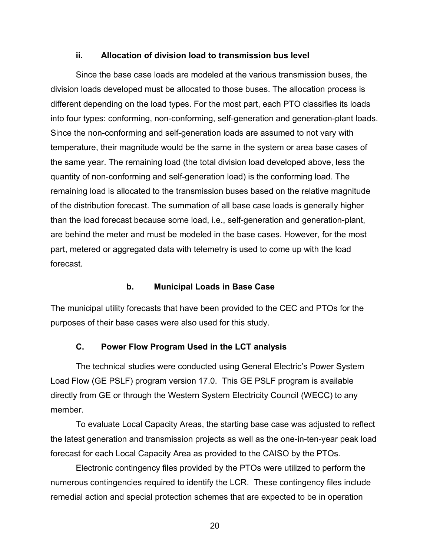#### **ii. Allocation of division load to transmission bus level**

Since the base case loads are modeled at the various transmission buses, the division loads developed must be allocated to those buses. The allocation process is different depending on the load types. For the most part, each PTO classifies its loads into four types: conforming, non-conforming, self-generation and generation-plant loads. Since the non-conforming and self-generation loads are assumed to not vary with temperature, their magnitude would be the same in the system or area base cases of the same year. The remaining load (the total division load developed above, less the quantity of non-conforming and self-generation load) is the conforming load. The remaining load is allocated to the transmission buses based on the relative magnitude of the distribution forecast. The summation of all base case loads is generally higher than the load forecast because some load, i.e., self-generation and generation-plant, are behind the meter and must be modeled in the base cases. However, for the most part, metered or aggregated data with telemetry is used to come up with the load forecast.

#### **b. Municipal Loads in Base Case**

The municipal utility forecasts that have been provided to the CEC and PTOs for the purposes of their base cases were also used for this study.

#### **C. Power Flow Program Used in the LCT analysis**

The technical studies were conducted using General Electric's Power System Load Flow (GE PSLF) program version 17.0. This GE PSLF program is available directly from GE or through the Western System Electricity Council (WECC) to any member.

To evaluate Local Capacity Areas, the starting base case was adjusted to reflect the latest generation and transmission projects as well as the one-in-ten-year peak load forecast for each Local Capacity Area as provided to the CAISO by the PTOs.

Electronic contingency files provided by the PTOs were utilized to perform the numerous contingencies required to identify the LCR. These contingency files include remedial action and special protection schemes that are expected to be in operation

20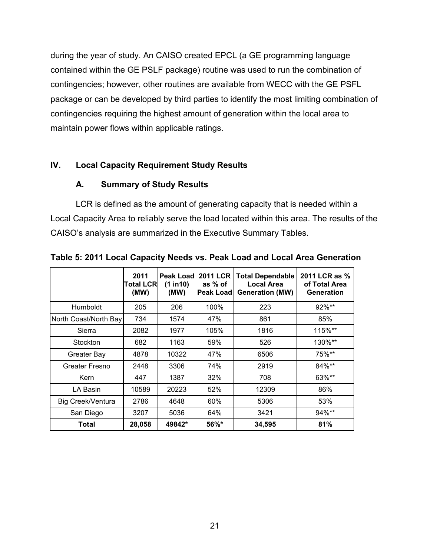during the year of study. An CAISO created EPCL (a GE programming language contained within the GE PSLF package) routine was used to run the combination of contingencies; however, other routines are available from WECC with the GE PSFL package or can be developed by third parties to identify the most limiting combination of contingencies requiring the highest amount of generation within the local area to maintain power flows within applicable ratings.

## **IV. Local Capacity Requirement Study Results**

#### **A. Summary of Study Results**

LCR is defined as the amount of generating capacity that is needed within a Local Capacity Area to reliably serve the load located within this area. The results of the CAISO's analysis are summarized in the Executive Summary Tables.

|                       | 2011<br><b>Total LCR</b><br>(MW) | Peak Load<br>(1 in 10)<br>(MW) | <b>2011 LCR</b><br>as % of<br><b>Peak Loadl</b> | <b>Total Dependable</b><br><b>Local Area</b><br><b>Generation (MW)</b> | 2011 LCR as %<br>of Total Area<br>Generation |
|-----------------------|----------------------------------|--------------------------------|-------------------------------------------------|------------------------------------------------------------------------|----------------------------------------------|
| Humboldt              | 205                              | 206                            | 100%                                            | 223                                                                    | 92%**                                        |
| North Coast/North Bay | 734                              | 1574                           | 47%                                             | 861                                                                    | 85%                                          |
| Sierra                | 2082                             | 1977                           | 105%                                            | 1816                                                                   | 115%**                                       |
| Stockton              | 682                              | 1163                           | 59%                                             | 526                                                                    | $130\%$ **                                   |
| Greater Bay           | 4878                             | 10322                          | 47%                                             | 6506                                                                   | 75%**                                        |
| Greater Fresno        | 2448                             | 3306                           | 74%                                             | 2919                                                                   | 84%**                                        |
| Kern                  | 447                              | 1387                           | 32%                                             | 708                                                                    | 63%**                                        |
| LA Basin              | 10589                            | 20223                          | 52%                                             | 12309                                                                  | 86%                                          |
| Big Creek/Ventura     | 2786                             | 4648                           | 60%                                             | 5306                                                                   | 53%                                          |
| San Diego             | 3207                             | 5036                           | 64%                                             | 3421                                                                   | 94%**                                        |
| Total                 | 28,058                           | 49842*                         | 56%*                                            | 34,595                                                                 | 81%                                          |

**Table 5: 2011 Local Capacity Needs vs. Peak Load and Local Area Generation**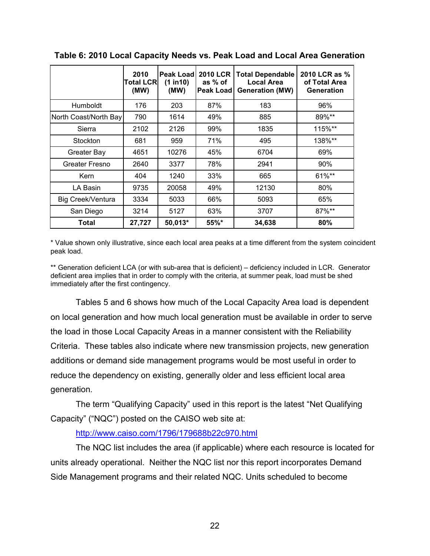|                          | 2010<br><b>Total LCRI</b><br>(MW) | <b>Peak Load</b><br>(1 in 10)<br>(MW) | <b>2010 LCR</b><br>as % of<br><b>Peak Load</b> | <b>Total Dependable</b><br><b>Local Area</b><br><b>Generation (MW)</b> | 2010 LCR as %<br>of Total Area<br><b>Generation</b> |
|--------------------------|-----------------------------------|---------------------------------------|------------------------------------------------|------------------------------------------------------------------------|-----------------------------------------------------|
| Humboldt                 | 176                               | 203                                   | 87%                                            | 183                                                                    | 96%                                                 |
| North Coast/North Bay    | 790                               | 1614                                  | 49%                                            | 885                                                                    | 89%**                                               |
| Sierra                   | 2102                              | 2126                                  | 99%                                            | 1835                                                                   | 115%**                                              |
| Stockton                 | 681                               | 959                                   | 71%                                            | 495                                                                    | 138%**                                              |
| Greater Bay              | 4651                              | 10276                                 | 45%                                            | 6704                                                                   | 69%                                                 |
| Greater Fresno           | 2640                              | 3377                                  | 78%                                            | 2941                                                                   | 90%                                                 |
| Kern                     | 404                               | 1240                                  | 33%                                            | 665                                                                    | 61%**                                               |
| LA Basin                 | 9735                              | 20058                                 | 49%                                            | 12130                                                                  | 80%                                                 |
| <b>Big Creek/Ventura</b> | 3334                              | 5033                                  | 66%                                            | 5093                                                                   | 65%                                                 |
| San Diego                | 3214                              | 5127                                  | 63%                                            | 3707                                                                   | 87%**                                               |
| Total                    | 27,727                            | $50,013*$                             | 55%*                                           | 34,638                                                                 | 80%                                                 |

**Table 6: 2010 Local Capacity Needs vs. Peak Load and Local Area Generation**

\* Value shown only illustrative, since each local area peaks at a time different from the system coincident peak load.

\*\* Generation deficient LCA (or with sub-area that is deficient) – deficiency included in LCR. Generator deficient area implies that in order to comply with the criteria, at summer peak, load must be shed immediately after the first contingency.

Tables 5 and 6 shows how much of the Local Capacity Area load is dependent on local generation and how much local generation must be available in order to serve the load in those Local Capacity Areas in a manner consistent with the Reliability Criteria. These tables also indicate where new transmission projects, new generation additions or demand side management programs would be most useful in order to reduce the dependency on existing, generally older and less efficient local area generation*.*

The term "Qualifying Capacity" used in this report is the latest "Net Qualifying Capacity" ("NQC") posted on the CAISO web site at:

#### http://www.caiso.com/1796/179688b22c970.html

The NQC list includes the area (if applicable) where each resource is located for units already operational. Neither the NQC list nor this report incorporates Demand Side Management programs and their related NQC. Units scheduled to become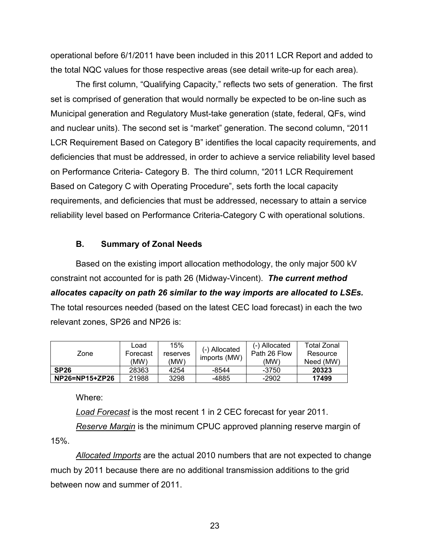operational before 6/1/2011 have been included in this 2011 LCR Report and added to the total NQC values for those respective areas (see detail write-up for each area).

The first column, "Qualifying Capacity," reflects two sets of generation. The first set is comprised of generation that would normally be expected to be on-line such as Municipal generation and Regulatory Must-take generation (state, federal, QFs, wind and nuclear units). The second set is "market" generation. The second column, "2011 LCR Requirement Based on Category B" identifies the local capacity requirements, and deficiencies that must be addressed, in order to achieve a service reliability level based on Performance Criteria- Category B. The third column, "2011 LCR Requirement Based on Category C with Operating Procedure", sets forth the local capacity requirements, and deficiencies that must be addressed, necessary to attain a service reliability level based on Performance Criteria-Category C with operational solutions.

#### **B. Summary of Zonal Needs**

Based on the existing import allocation methodology, the only major 500 kV constraint not accounted for is path 26 (Midway-Vincent). *The current method allocates capacity on path 26 similar to the way imports are allocated to LSEs.* The total resources needed (based on the latest CEC load forecast) in each the two relevant zones, SP26 and NP26 is:

| Zone           | Load<br>Forecast<br>(MW) | 15%<br>reserves<br>(MW) | (-) Allocated<br>imports (MW) | (-) Allocated<br>Path 26 Flow<br>(MW) | Total Zonal<br>Resource<br>Need (MW) |
|----------------|--------------------------|-------------------------|-------------------------------|---------------------------------------|--------------------------------------|
| <b>SP26</b>    | 28363                    | 4254                    | $-8544$                       | -3750                                 | 20323                                |
| NP26=NP15+ZP26 | 21988                    | 3298                    | -4885                         | -2902                                 | 17499                                |

Where:

*Load Forecast* is the most recent 1 in 2 CEC forecast for year 2011.

*Reserve Margin* is the minimum CPUC approved planning reserve margin of 15%.

*Allocated Imports* are the actual 2010 numbers that are not expected to change much by 2011 because there are no additional transmission additions to the grid between now and summer of 2011.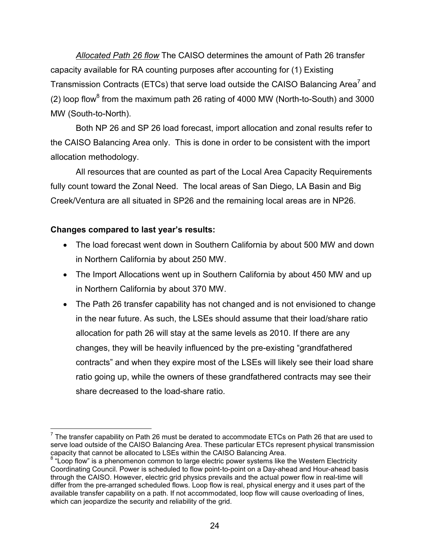*Allocated Path 26 flow* The CAISO determines the amount of Path 26 transfer capacity available for RA counting purposes after accounting for (1) Existing Transmission Contracts (ETCs) that serve load outside the CAISO Balancing Area' and (2) loop flow<sup>8</sup> from the maximum path 26 rating of 4000 MW (North-to-South) and 3000 MW (South-to-North).

Both NP 26 and SP 26 load forecast, import allocation and zonal results refer to the CAISO Balancing Area only. This is done in order to be consistent with the import allocation methodology.

All resources that are counted as part of the Local Area Capacity Requirements fully count toward the Zonal Need. The local areas of San Diego, LA Basin and Big Creek/Ventura are all situated in SP26 and the remaining local areas are in NP26.

#### **Changes compared to last year's results:**

- The load forecast went down in Southern California by about 500 MW and down in Northern California by about 250 MW.
- The Import Allocations went up in Southern California by about 450 MW and up in Northern California by about 370 MW.
- The Path 26 transfer capability has not changed and is not envisioned to change in the near future. As such, the LSEs should assume that their load/share ratio allocation for path 26 will stay at the same levels as 2010. If there are any changes, they will be heavily influenced by the pre-existing "grandfathered contracts" and when they expire most of the LSEs will likely see their load share ratio going up, while the owners of these grandfathered contracts may see their share decreased to the load-share ratio.

 $\overline{a}$  $<sup>7</sup>$  The transfer capability on Path 26 must be derated to accommodate ETCs on Path 26 that are used to</sup> serve load outside of the CAISO Balancing Area. These particular ETCs represent physical transmission capacity that cannot be allocated to LSEs within the CAISO Balancing Area.

 $8$  "Loop flow" is a phenomenon common to large electric power systems like the Western Electricity Coordinating Council. Power is scheduled to flow point-to-point on a Day-ahead and Hour-ahead basis through the CAISO. However, electric grid physics prevails and the actual power flow in real-time will differ from the pre-arranged scheduled flows. Loop flow is real, physical energy and it uses part of the available transfer capability on a path. If not accommodated, loop flow will cause overloading of lines, which can jeopardize the security and reliability of the grid.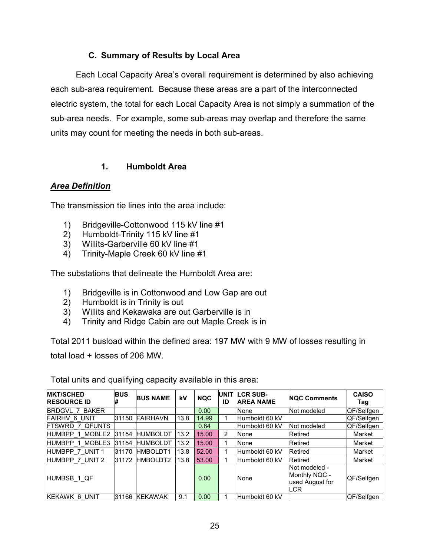## **C. Summary of Results by Local Area**

Each Local Capacity Area's overall requirement is determined by also achieving each sub-area requirement. Because these areas are a part of the interconnected electric system, the total for each Local Capacity Area is not simply a summation of the sub-area needs. For example, some sub-areas may overlap and therefore the same units may count for meeting the needs in both sub-areas.

## **1. Humboldt Area**

#### *Area Definition*

The transmission tie lines into the area include:

- 1) Bridgeville-Cottonwood 115 kV line #1
- 2) Humboldt-Trinity 115 kV line #1
- 3) Willits-Garberville 60 kV line #1
- 4) Trinity-Maple Creek 60 kV line #1

The substations that delineate the Humboldt Area are:

- 1) Bridgeville is in Cottonwood and Low Gap are out
- 2) Humboldt is in Trinity is out
- 3) Willits and Kekawaka are out Garberville is in
- 4) Trinity and Ridge Cabin are out Maple Creek is in

Total 2011 busload within the defined area: 197 MW with 9 MW of losses resulting in total load + losses of 206 MW.

| <b>MKT/SCHED</b><br><b>RESOURCE ID</b> | <b>BUS</b> | <b>BUS NAME</b> | kV   | <b>NQC</b> | <b>UNIT</b><br>ID | <b>LCR SUB-</b><br><b>AREA NAME</b> | <b>NQC Comments</b>                                      | <b>CAISO</b><br>Tag |
|----------------------------------------|------------|-----------------|------|------------|-------------------|-------------------------------------|----------------------------------------------------------|---------------------|
| <b>BRDGVL 7 BAKER</b>                  |            |                 |      | 0.00       |                   | None                                | Not modeled                                              | QF/Selfgen          |
| FAIRHV 6 UNIT                          | 31150      | <b>FAIRHAVN</b> | 13.8 | 14.99      |                   | Humboldt 60 kV                      |                                                          | QF/Selfgen          |
| <b>FTSWRD 7 QFUNTS</b>                 |            |                 |      | 0.64       |                   | Humboldt 60 kV                      | Not modeled                                              | QF/Selfgen          |
| HUMBPP 1 MOBLE2                        | 31154      | <b>HUMBOLDT</b> | 13.2 | 15.00      | 2                 | None                                | Retired                                                  | Market              |
| HUMBPP 1 MOBLE3                        | 31154      | <b>HUMBOLDT</b> | 13.2 | 15.00      |                   | None                                | Retired                                                  | Market              |
| HUMBPP 7 UNIT 1                        | 31170      | HMBOLDT1        | 13.8 | 52.00      |                   | Humboldt 60 kV                      | Retired                                                  | Market              |
| HUMBPP 7 UNIT 2                        | 31172      | HMBOLDT2        | 13.8 | 53.00      |                   | Humboldt 60 kV                      | Retired                                                  | Market              |
| HUMBSB 1 QF                            |            |                 |      | 0.00       |                   | None                                | Not modeled -<br>Monthly NQC -<br>used August for<br>LCR | QF/Selfgen          |
| KEKAWK 6 UNIT                          |            | 31166 KEKAWAK   | 9.1  | 0.00       |                   | Humboldt 60 kV                      |                                                          | QF/Selfgen          |

Total units and qualifying capacity available in this area: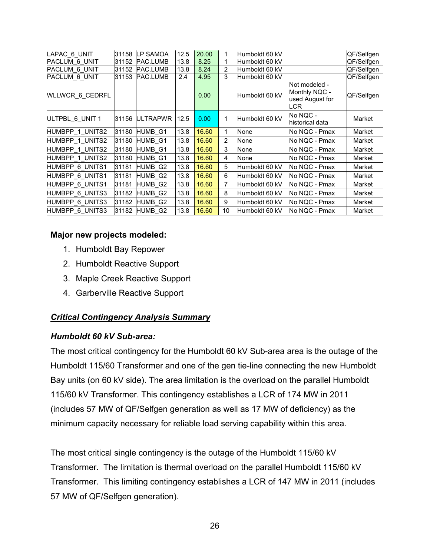| LAPAC 6 UNIT           | 31158 | <b>LP SAMOA</b> | 12.5 | 20.00 | 1              | Humboldt 60 kV |                                                          | QF/Selfgen |
|------------------------|-------|-----------------|------|-------|----------------|----------------|----------------------------------------------------------|------------|
| <b>PACLUM 6 UNIT</b>   | 31152 | <b>PAC.LUMB</b> | 13.8 | 8.25  | 1              | Humboldt 60 kV |                                                          | QF/Selfgen |
| <b>PACLUM 6 UNIT</b>   | 31152 | PAC.LUMB        | 13.8 | 8.24  | $\overline{2}$ | Humboldt 60 kV |                                                          | QF/Selfgen |
| PACLUM 6 UNIT          | 31153 | PAC.LUMB        | 2.4  | 4.95  | 3              | Humboldt 60 kV |                                                          | QF/Selfgen |
| <b>WLLWCR 6 CEDRFL</b> |       |                 |      | 0.00  |                | Humboldt 60 kV | Not modeled -<br>Monthly NQC -<br>used August for<br>LCR | QF/Selfgen |
| ULTPBL 6 UNIT 1        | 31156 | <b>ULTRAPWR</b> | 12.5 | 0.00  | 1              | Humboldt 60 kV | No NQC -<br>historical data                              | Market     |
| HUMBPP 1 UNITS2        | 31180 | HUMB G1         | 13.8 | 16.60 | 1              | None           | No NQC - Pmax                                            | Market     |
| <b>HUMBPP 1 UNITS2</b> | 31180 | HUMB G1         | 13.8 | 16.60 | $\overline{2}$ | None           | No NQC - Pmax                                            | Market     |
| HUMBPP 1 UNITS2        | 31180 | HUMB G1         | 13.8 | 16.60 | 3              | None           | No NQC - Pmax                                            | Market     |
| HUMBPP 1 UNITS2        | 31180 | HUMB G1         | 13.8 | 16.60 | 4              | None           | No NQC - Pmax                                            | Market     |
| HUMBPP 6 UNITS1        | 31181 | HUMB G2         | 13.8 | 16.60 | 5              | Humboldt 60 kV | No NQC - Pmax                                            | Market     |
| HUMBPP 6 UNITS1        | 31181 | HUMB G2         | 13.8 | 16.60 | 6              | Humboldt 60 kV | No NQC - Pmax                                            | Market     |
| HUMBPP 6 UNITS1        | 31181 | HUMB G2         | 13.8 | 16.60 | $\overline{7}$ | Humboldt 60 kV | No NQC - Pmax                                            | Market     |
| <b>HUMBPP 6 UNITS3</b> | 31182 | HUMB_G2         | 13.8 | 16.60 | 8              | Humboldt 60 kV | No NQC - Pmax                                            | Market     |
| <b>HUMBPP 6 UNITS3</b> | 31182 | HUMB_G2         | 13.8 | 16.60 | 9              | Humboldt 60 kV | No NQC - Pmax                                            | Market     |
| <b>HUMBPP 6 UNITS3</b> |       | 31182 HUMB_G2   | 13.8 | 16.60 | 10             | Humboldt 60 kV | No NQC - Pmax                                            | Market     |

#### **Major new projects modeled:**

- 1. Humboldt Bay Repower
- 2. Humboldt Reactive Support
- 3. Maple Creek Reactive Support
- 4. Garberville Reactive Support

# *Critical Contingency Analysis Summary*

#### *Humboldt 60 kV Sub-area:*

The most critical contingency for the Humboldt 60 kV Sub-area area is the outage of the Humboldt 115/60 Transformer and one of the gen tie-line connecting the new Humboldt Bay units (on 60 kV side). The area limitation is the overload on the parallel Humboldt 115/60 kV Transformer. This contingency establishes a LCR of 174 MW in 2011 (includes 57 MW of QF/Selfgen generation as well as 17 MW of deficiency) as the minimum capacity necessary for reliable load serving capability within this area.

The most critical single contingency is the outage of the Humboldt 115/60 kV Transformer. The limitation is thermal overload on the parallel Humboldt 115/60 kV Transformer. This limiting contingency establishes a LCR of 147 MW in 2011 (includes 57 MW of QF/Selfgen generation).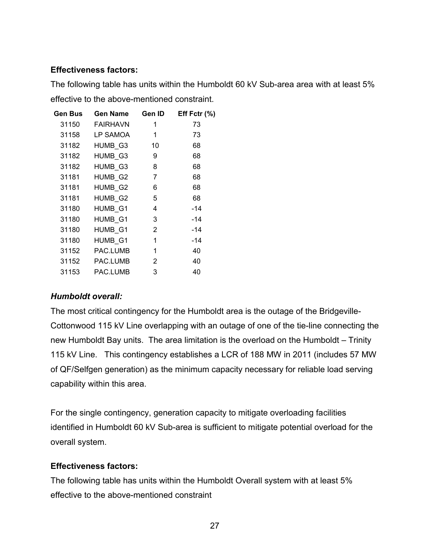#### **Effectiveness factors:**

The following table has units within the Humboldt 60 kV Sub-area area with at least 5% effective to the above-mentioned constraint.

| <b>Gen Bus</b> | <b>Gen Name</b> | Gen ID | Eff Fctr $(%)$ |
|----------------|-----------------|--------|----------------|
| 31150          | <b>FAIRHAVN</b> | 1      | 73             |
| 31158          | LP SAMOA        | 1      | 73             |
| 31182          | HUMB_G3         | 10     | 68             |
| 31182          | HUMB_G3         | 9      | 68             |
| 31182          | HUMB_G3         | 8      | 68             |
| 31181          | HUMB_G2         | 7      | 68             |
| 31181          | HUMB_G2         | 6      | 68             |
| 31181          | HUMB_G2         | 5      | 68             |
| 31180          | HUMB_G1         | 4      | -14            |
| 31180          | HUMB_G1         | 3      | $-14$          |
| 31180          | HUMB_G1         | 2      | -14            |
| 31180          | HUMB_G1         | 1      | $-14$          |
| 31152          | PAC.LUMB        | 1      | 40             |
| 31152          | PAC.LUMB        | 2      | 40             |
| 31153          | PAC.LUMB        | 3      | 40             |

#### *Humboldt overall:*

The most critical contingency for the Humboldt area is the outage of the Bridgeville-Cottonwood 115 kV Line overlapping with an outage of one of the tie-line connecting the new Humboldt Bay units. The area limitation is the overload on the Humboldt – Trinity 115 kV Line. This contingency establishes a LCR of 188 MW in 2011 (includes 57 MW of QF/Selfgen generation) as the minimum capacity necessary for reliable load serving capability within this area.

For the single contingency, generation capacity to mitigate overloading facilities identified in Humboldt 60 kV Sub-area is sufficient to mitigate potential overload for the overall system.

#### **Effectiveness factors:**

The following table has units within the Humboldt Overall system with at least 5% effective to the above-mentioned constraint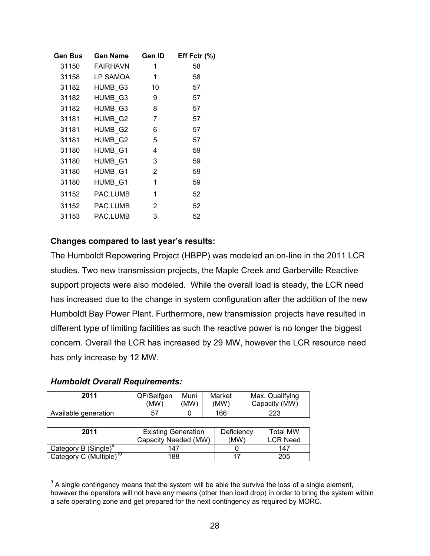| <b>Gen Bus</b> | <b>Gen Name</b> | Gen ID         | Eff Fctr (%) |
|----------------|-----------------|----------------|--------------|
| 31150          | <b>FAIRHAVN</b> | 1              | 58           |
| 31158          | LP SAMOA        | 1              | 58           |
| 31182          | HUMB G3         | 10             | 57           |
| 31182          | HUMB_G3         | 9              | 57           |
| 31182          | HUMB_G3         | 8              | 57           |
| 31181          | HUMB_G2         | 7              | 57           |
| 31181          | HUMB_G2         | 6              | 57           |
| 31181          | HUMB_G2         | 5              | 57           |
| 31180          | HUMB_G1         | 4              | 59           |
| 31180          | HUMB_G1         | 3              | 59           |
| 31180          | HUMB_G1         | 2              | 59           |
| 31180          | HUMB_G1         | 1              | 59           |
| 31152          | PAC.LUMB        | 1              | 52           |
| 31152          | PAC.LUMB        | $\overline{2}$ | 52           |
| 31153          | PAC.LUMB        | 3              | 52           |
|                |                 |                |              |

#### **Changes compared to last year's results:**

The Humboldt Repowering Project (HBPP) was modeled an on-line in the 2011 LCR studies. Two new transmission projects, the Maple Creek and Garberville Reactive support projects were also modeled. While the overall load is steady, the LCR need has increased due to the change in system configuration after the addition of the new Humboldt Bay Power Plant. Furthermore, new transmission projects have resulted in different type of limiting facilities as such the reactive power is no longer the biggest concern. Overall the LCR has increased by 29 MW, however the LCR resource need has only increase by 12 MW.

#### *Humboldt Overall Requirements:*

 $\overline{a}$ 

| 2011                 | QF/Selfgen | Muni | Market | Max. Qualifying |
|----------------------|------------|------|--------|-----------------|
|                      | (MW)       | (MW) | (MW)   | Capacity (MW)   |
| Available generation | 57         |      | 166    | 223             |

| 2011                                | <b>Existing Generation</b><br>Capacity Needed (MW) | Deficiency<br>(MW) | Total MW<br><b>LCR Need</b> |
|-------------------------------------|----------------------------------------------------|--------------------|-----------------------------|
| Category B (Single) <sup>9</sup>    | 147                                                |                    | 147                         |
| Category C (Multiple) <sup>10</sup> | 188                                                |                    | 205                         |

 $9<sup>9</sup>$  A single contingency means that the system will be able the survive the loss of a single element, however the operators will not have any means (other then load drop) in order to bring the system within a safe operating zone and get prepared for the next contingency as required by MORC.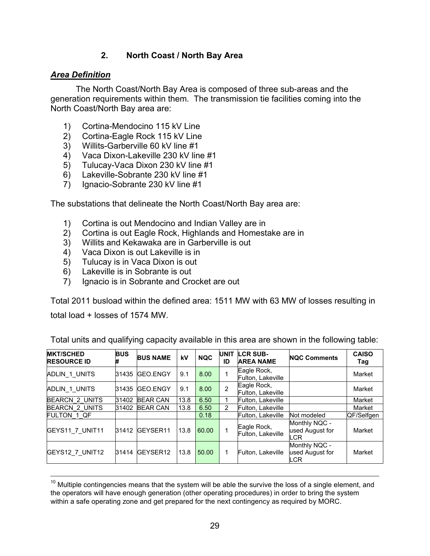## **2. North Coast / North Bay Area**

#### *Area Definition*

The North Coast/North Bay Area is composed of three sub-areas and the generation requirements within them. The transmission tie facilities coming into the North Coast/North Bay area are:

- 1) Cortina-Mendocino 115 kV Line
- 2) Cortina-Eagle Rock 115 kV Line
- 3) Willits-Garberville 60 kV line #1
- 4) Vaca Dixon-Lakeville 230 kV line #1
- 5) Tulucay-Vaca Dixon 230 kV line #1
- 6) Lakeville-Sobrante 230 kV line #1
- 7) Ignacio-Sobrante 230 kV line #1

The substations that delineate the North Coast/North Bay area are:

- 1) Cortina is out Mendocino and Indian Valley are in
- 2) Cortina is out Eagle Rock, Highlands and Homestake are in
- 3) Willits and Kekawaka are in Garberville is out
- 4) Vaca Dixon is out Lakeville is in
- 5) Tulucay is in Vaca Dixon is out
- 6) Lakeville is in Sobrante is out
- 7) Ignacio is in Sobrante and Crocket are out

Total 2011 busload within the defined area: 1511 MW with 63 MW of losses resulting in

total load + losses of 1574 MW.

| <b>MKT/SCHED</b><br><b>RESOURCE ID</b> | <b>BUS</b><br># | <b>BUS NAME</b> | kV   | <b>NQC</b> | <b>UNIT</b><br>ID | <b>LCR SUB-</b><br><b>AREA NAME</b> | <b>NQC Comments</b>                            | <b>CAISO</b><br>Tag |
|----------------------------------------|-----------------|-----------------|------|------------|-------------------|-------------------------------------|------------------------------------------------|---------------------|
| ADLIN 1 UNITS                          |                 | 31435 GEO.ENGY  | 9.1  | 8.00       | 1                 | Eagle Rock,<br>Fulton, Lakeville    |                                                | Market              |
| ADLIN 1 UNITS                          |                 | 31435 GEO.ENGY  | 9.1  | 8.00       | $\overline{2}$    | Eagle Rock,<br>Fulton, Lakeville    |                                                | Market              |
| <b>BEARCN 2 UNITS</b>                  | 31402           | <b>BEAR CAN</b> | 13.8 | 6.50       | 1                 | Fulton, Lakeville                   |                                                | Market              |
| <b>BEARCN 2 UNITS</b>                  |                 | 31402 BEAR CAN  | 13.8 | 6.50       | $\overline{2}$    | Fulton, Lakeville                   |                                                | Market              |
| FULTON 1 QF                            |                 |                 |      | 0.18       |                   | Fulton, Lakeville                   | Not modeled                                    | QF/Selfgen          |
| GEYS11 7 UNIT11                        | 31412           | GEYSER11        | 13.8 | 60.00      | 1                 | Eagle Rock,<br>Fulton, Lakeville    | Monthly NQC -<br>used August for<br><b>LCR</b> | Market              |
| GEYS12 7 UNIT12                        | 31414           | GEYSER12        | 13.8 | 50.00      | 1                 | Fulton, Lakeville                   | Monthly NQC -<br>used August for<br><b>LCR</b> | Market              |

Total units and qualifying capacity available in this area are shown in the following table:

 $\overline{a}$  $10$  Multiple contingencies means that the system will be able the survive the loss of a single element, and the operators will have enough generation (other operating procedures) in order to bring the system within a safe operating zone and get prepared for the next contingency as required by MORC.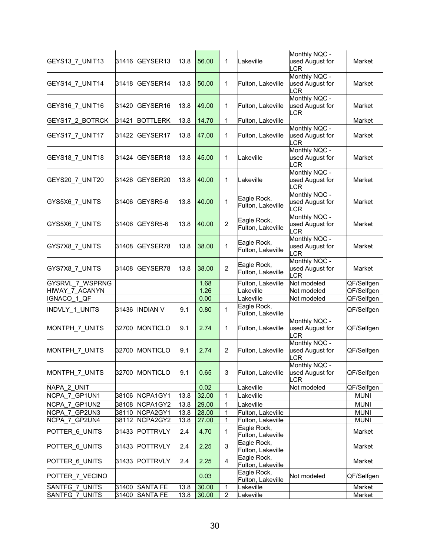| GEYS13_7_UNIT13        | 31416 | GEYSER13        | 13.8 | 56.00 | 1              | Lakeville                        | Monthly NQC -<br>used August for<br>_CR        | Market      |
|------------------------|-------|-----------------|------|-------|----------------|----------------------------------|------------------------------------------------|-------------|
| GEYS14_7_UNIT14        | 31418 | GEYSER14        | 13.8 | 50.00 | 1              | Fulton, Lakeville                | Monthly NQC -<br>used August for<br>LCR        | Market      |
| GEYS16_7_UNIT16        | 31420 | GEYSER16        | 13.8 | 49.00 | 1              | Fulton, Lakeville                | Monthly NQC -<br>used August for<br>LCR        | Market      |
| <b>GEYS17 2 BOTRCK</b> | 31421 | <b>BOTTLERK</b> | 13.8 | 14.70 | 1              | Fulton, Lakeville                |                                                | Market      |
| GEYS17_7_UNIT17        | 31422 | GEYSER17        | 13.8 | 47.00 | 1              | Fulton, Lakeville                | Monthly NQC -<br>used August for<br><b>LCR</b> | Market      |
| GEYS18_7_UNIT18        | 31424 | GEYSER18        | 13.8 | 45.00 | 1              | Lakeville                        | Monthly NQC -<br>used August for<br>LCR        | Market      |
| GEYS20_7_UNIT20        | 31426 | GEYSER20        | 13.8 | 40.00 | 1              | Lakeville                        | Monthly NQC -<br>used August for<br><b>LCR</b> | Market      |
| GYS5X6 7 UNITS         | 31406 | GEYSR5-6        | 13.8 | 40.00 | 1              | Eagle Rock,<br>Fulton, Lakeville | Monthly NQC -<br>used August for<br><b>LCR</b> | Market      |
| GYS5X6_7_UNITS         | 31406 | GEYSR5-6        | 13.8 | 40.00 | $\overline{2}$ | Eagle Rock,<br>Fulton, Lakeville | Monthly NQC -<br>used August for<br>_CR        | Market      |
| GYS7X8_7_UNITS         | 31408 | GEYSER78        | 13.8 | 38.00 | 1              | Eagle Rock,<br>Fulton, Lakeville | Monthly NQC -<br>used August for<br>LCR        | Market      |
| GYS7X8_7_UNITS         | 31408 | GEYSER78        | 13.8 | 38.00 | $\overline{2}$ | Eagle Rock,<br>Fulton, Lakeville | Monthly NQC -<br>used August for<br>LCR        | Market      |
| GYSRVL 7 WSPRNG        |       |                 |      | 1.68  |                | Fulton, Lakeville                | Not modeled                                    | QF/Selfgen  |
| HIWAY 7 ACANYN         |       |                 |      | 1.26  |                | Lakeville                        | Not modeled                                    | QF/Selfgen  |
| IGNACO 1 QF            |       |                 |      | 0.00  |                | Lakeville                        | Not modeled                                    | QF/Selfgen  |
| INDVLY_1_UNITS         | 31436 | <b>INDIAN V</b> | 9.1  | 0.80  | 1              | Eagle Rock,<br>Fulton, Lakeville |                                                | QF/Selfgen  |
| MONTPH_7_UNITS         | 32700 | <b>MONTICLO</b> | 9.1  | 2.74  | 1              | Fulton, Lakeville                | Monthly NQC -<br>used August for<br><b>LCR</b> | QF/Selfgen  |
| MONTPH_7_UNITS         | 32700 | <b>MONTICLO</b> | 9.1  | 2.74  | $\overline{2}$ | Fulton, Lakeville                | Monthly NQC -<br>used August for<br>LCR        | QF/Selfgen  |
| MONTPH_7_UNITS         |       | 32700 MONTICLO  | 9.1  | 0.65  | 3              | Fulton, Lakeville                | Monthly NQC -<br>used August for<br>LCR        | QF/Selfgen  |
| NAPA 2 UNIT            |       |                 |      | 0.02  |                | Lakeville                        | Not modeled                                    | QF/Selfgen  |
| NCPA_7_GP1UN1          | 38106 | NCPA1GY1        | 13.8 | 32.00 | 1              | Lakeville                        |                                                | <b>MUNI</b> |
| NCPA 7 GP1UN2          | 38108 | NCPA1GY2        | 13.8 | 29.00 | $\mathbf 1$    | Lakeville                        |                                                | <b>MUNI</b> |
| NCPA 7 GP2UN3          | 38110 | NCPA2GY1        | 13.8 | 28.00 | $\mathbf 1$    | Fulton, Lakeville                |                                                | <b>MUNI</b> |
| NCPA 7 GP2UN4          | 38112 | NCPA2GY2        | 13.8 | 27.00 | 1              | Fulton, Lakeville                |                                                | <b>MUNI</b> |
| POTTER 6 UNITS         | 31433 | <b>POTTRVLY</b> | 2.4  | 4.70  | 1              | Eagle Rock,<br>Fulton, Lakeville |                                                | Market      |
| POTTER_6_UNITS         | 31433 | <b>POTTRVLY</b> | 2.4  | 2.25  | 3              | Eagle Rock,<br>Fulton, Lakeville |                                                | Market      |
| POTTER 6 UNITS         | 31433 | <b>POTTRVLY</b> | 2.4  | 2.25  | $\overline{4}$ | Eagle Rock,<br>Fulton, Lakeville |                                                | Market      |
| POTTER_7_VECINO        |       |                 |      | 0.03  |                | Eagle Rock,<br>Fulton, Lakeville | Not modeled                                    | QF/Selfgen  |
| SANTFG_7_UNITS         | 31400 | <b>SANTA FE</b> | 13.8 | 30.00 | 1              | Lakeville                        |                                                | Market      |
| SANTFG 7 UNITS         | 31400 | <b>SANTA FE</b> | 13.8 | 30.00 | $\overline{2}$ | Lakeville                        |                                                | Market      |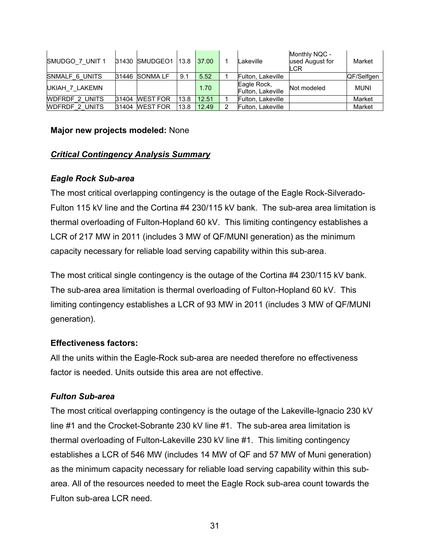| SMUDGO 7 UNIT 1       | 31430 SMUDGEO1 13.8 |      | 37.00 |   | Lakeville                        | Monthly NQC -<br>used August for<br><b>LCR</b> | Market      |
|-----------------------|---------------------|------|-------|---|----------------------------------|------------------------------------------------|-------------|
| SNMALF 6 UNITS        | 31446 SONMA LF      | 9.1  | 5.52  |   | Fulton, Lakeville                |                                                | QF/Selfgen  |
| UKIAH 7 LAKEMN        |                     |      | 1.70  |   | Eagle Rock,<br>Fulton, Lakeville | Not modeled                                    | <b>MUNI</b> |
| <b>WDFRDF 2 UNITS</b> | 31404 WEST FOR      | 13.8 | 12.51 |   | Fulton, Lakeville                |                                                | Market      |
| <b>WDFRDF 2 UNITS</b> | 31404 WEST FOR      | 13.8 | 12.49 | າ | Fulton, Lakeville                |                                                | Market      |

#### **Major new projects modeled:** None

#### *Critical Contingency Analysis Summary*

#### *Eagle Rock Sub-area*

The most critical overlapping contingency is the outage of the Eagle Rock-Silverado-Fulton 115 kV line and the Cortina #4 230/115 kV bank. The sub-area area limitation is thermal overloading of Fulton-Hopland 60 kV. This limiting contingency establishes a LCR of 217 MW in 2011 (includes 3 MW of QF/MUNI generation) as the minimum capacity necessary for reliable load serving capability within this sub-area.

The most critical single contingency is the outage of the Cortina #4 230/115 kV bank. The sub-area area limitation is thermal overloading of Fulton-Hopland 60 kV. This limiting contingency establishes a LCR of 93 MW in 2011 (includes 3 MW of QF/MUNI generation).

#### **Effectiveness factors:**

All the units within the Eagle-Rock sub-area are needed therefore no effectiveness factor is needed. Units outside this area are not effective.

#### *Fulton Sub-area*

The most critical overlapping contingency is the outage of the Lakeville-Ignacio 230 kV line #1 and the Crocket-Sobrante 230 kV line #1. The sub-area area limitation is thermal overloading of Fulton-Lakeville 230 kV line #1. This limiting contingency establishes a LCR of 546 MW (includes 14 MW of QF and 57 MW of Muni generation) as the minimum capacity necessary for reliable load serving capability within this subarea. All of the resources needed to meet the Eagle Rock sub-area count towards the Fulton sub-area LCR need.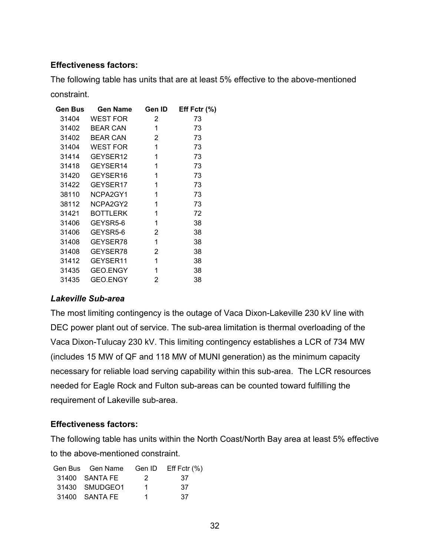#### **Effectiveness factors:**

The following table has units that are at least 5% effective to the above-mentioned constraint.

| Gen Bus | <b>Gen Name</b> | Gen ID         | Eff Fctr $(\% )$ |
|---------|-----------------|----------------|------------------|
| 31404   | <b>WEST FOR</b> | 2              | 73               |
| 31402   | <b>BEAR CAN</b> | 1              | 73               |
| 31402   | <b>BEAR CAN</b> | $\overline{2}$ | 73               |
| 31404   | <b>WEST FOR</b> | 1              | 73               |
| 31414   | GEYSER12        | 1              | 73               |
| 31418   | GEYSER14        | 1              | 73               |
| 31420   | GEYSER16        | 1              | 73               |
| 31422   | GEYSER17        | 1              | 73               |
| 38110   | NCPA2GY1        | 1              | 73               |
| 38112   | NCPA2GY2        | 1              | 73               |
| 31421   | <b>BOTTLERK</b> | 1              | 72               |
| 31406   | GEYSR5-6        | 1              | 38               |
| 31406   | GEYSR5-6        | 2              | 38               |
| 31408   | GEYSER78        | 1              | 38               |
| 31408   | GEYSER78        | 2              | 38               |
| 31412   | GEYSER11        | 1              | 38               |
| 31435   | <b>GEO.ENGY</b> | 1              | 38               |
| 31435   | <b>GEO.ENGY</b> | 2              | 38               |

#### *Lakeville Sub-area*

The most limiting contingency is the outage of Vaca Dixon-Lakeville 230 kV line with DEC power plant out of service. The sub-area limitation is thermal overloading of the Vaca Dixon-Tulucay 230 kV. This limiting contingency establishes a LCR of 734 MW (includes 15 MW of QF and 118 MW of MUNI generation) as the minimum capacity necessary for reliable load serving capability within this sub-area. The LCR resources needed for Eagle Rock and Fulton sub-areas can be counted toward fulfilling the requirement of Lakeville sub-area.

#### **Effectiveness factors:**

The following table has units within the North Coast/North Bay area at least 5% effective to the above-mentioned constraint.

| Gen Bus Gen Name Gen ID Eff Fctr (%) |     |     |
|--------------------------------------|-----|-----|
| 31400 SANTA FE                       | - 2 | -37 |
| 31430 SMUDGEO1                       | 1.  | 37  |
| 31400 SANTA FE                       | 1.  | 37  |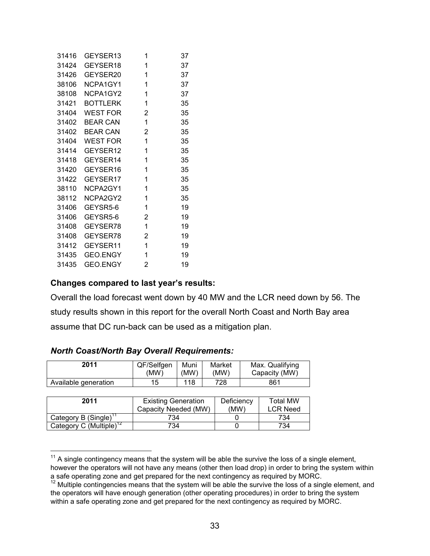| 31416 | GEYSER13        | 1              | 37 |
|-------|-----------------|----------------|----|
| 31424 | GEYSER18        | 1              | 37 |
| 31426 | GEYSER20        | 1              | 37 |
| 38106 | NCPA1GY1        | 1              | 37 |
| 38108 | NCPA1GY2        | 1              | 37 |
| 31421 | <b>BOTTLERK</b> | 1              | 35 |
| 31404 | <b>WEST FOR</b> | $\overline{2}$ | 35 |
| 31402 | BEAR CAN        | 1              | 35 |
| 31402 | <b>BEAR CAN</b> | $\overline{2}$ | 35 |
| 31404 | <b>WEST FOR</b> | 1              | 35 |
| 31414 | GEYSER12        | 1              | 35 |
| 31418 | GEYSER14        | 1              | 35 |
| 31420 | GEYSER16        | 1              | 35 |
| 31422 | GEYSER17        | 1              | 35 |
| 38110 | NCPA2GY1        | 1              | 35 |
| 38112 | NCPA2GY2        | 1              | 35 |
| 31406 | GEYSR5-6        | 1              | 19 |
| 31406 | GEYSR5-6        | $\overline{2}$ | 19 |
| 31408 | GEYSER78        | 1              | 19 |
| 31408 | GEYSER78        | 2              | 19 |
| 31412 | GEYSER11        | 1              | 19 |
| 31435 | GEO.ENGY        | 1              | 19 |
| 31435 | <b>GEO.ENGY</b> | 2              | 19 |

#### **Changes compared to last year's results:**

Overall the load forecast went down by 40 MW and the LCR need down by 56. The study results shown in this report for the overall North Coast and North Bay area assume that DC run-back can be used as a mitigation plan.

| 2011                                | QF/Selfgen<br>(MW)         | Muni<br>(MW)         |  | Market<br>(MW) |  | Max. Qualifying<br>Capacity (MW) |  |
|-------------------------------------|----------------------------|----------------------|--|----------------|--|----------------------------------|--|
| Available generation                | 15                         | 118                  |  | 728            |  | 861                              |  |
|                                     |                            |                      |  |                |  |                                  |  |
| 2011                                | <b>Existing Generation</b> |                      |  | Deficiency     |  | <b>Total MW</b>                  |  |
|                                     |                            | Capacity Needed (MW) |  | (MW)           |  | <b>LCR Need</b>                  |  |
| Category B (Single) <sup>1</sup>    | 734                        |                      |  |                |  | 734                              |  |
| Category C (Multiple) <sup>12</sup> | 734                        |                      |  |                |  | 734                              |  |

#### *North Coast/North Bay Overall Requirements:*

 $\overline{a}$ 

 $11$  A single contingency means that the system will be able the survive the loss of a single element,

however the operators will not have any means (other then load drop) in order to bring the system within a safe operating zone and get prepared for the next contingency as required by MORC.

 $12$  Multiple contingencies means that the system will be able the survive the loss of a single element, and the operators will have enough generation (other operating procedures) in order to bring the system within a safe operating zone and get prepared for the next contingency as required by MORC.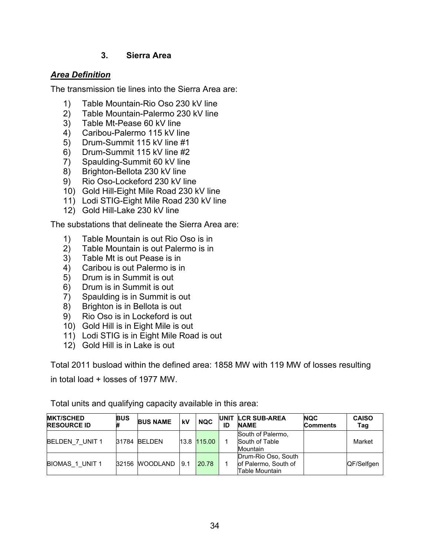#### **3. Sierra Area**

#### *Area Definition*

The transmission tie lines into the Sierra Area are:

- 1) Table Mountain-Rio Oso 230 kV line
- 2) Table Mountain-Palermo 230 kV line
- 3) Table Mt-Pease 60 kV line
- 4) Caribou-Palermo 115 kV line
- 5) Drum-Summit 115 kV line #1
- 6) Drum-Summit 115 kV line #2
- 7) Spaulding-Summit 60 kV line
- 8) Brighton-Bellota 230 kV line
- 9) Rio Oso-Lockeford 230 kV line
- 10) Gold Hill-Eight Mile Road 230 kV line
- 11) Lodi STIG-Eight Mile Road 230 kV line
- 12) Gold Hill-Lake 230 kV line

The substations that delineate the Sierra Area are:

- 1) Table Mountain is out Rio Oso is in<br>2) Table Mountain is out Palermo is in
- Table Mountain is out Palermo is in
- 3) Table Mt is out Pease is in
- 4) Caribou is out Palermo is in
- 5) Drum is in Summit is out
- 6) Drum is in Summit is out
- 7) Spaulding is in Summit is out
- 8) Brighton is in Bellota is out
- 9) Rio Oso is in Lockeford is out
- 10) Gold Hill is in Eight Mile is out
- 11) Lodi STIG is in Eight Mile Road is out
- 12) Gold Hill is in Lake is out

Total 2011 busload within the defined area: 1858 MW with 119 MW of losses resulting

in total load + losses of 1977 MW.

| <b>MKT/SCHED</b><br><b>RESOURCE ID</b> | <b>BUS</b><br># | <b>BUS NAME</b> | kV   | <b>NQC</b>  | ID | UNIT LCR SUB-AREA<br><b>NAME</b>                              | <b>NQC</b><br><b>Comments</b> | <b>CAISO</b><br>Tag |
|----------------------------------------|-----------------|-----------------|------|-------------|----|---------------------------------------------------------------|-------------------------------|---------------------|
| BELDEN 7 UNIT 1                        |                 | 31784 BELDEN    |      | 13.8 115.00 |    | South of Palermo,<br>South of Table<br>Mountain               |                               | Market              |
| BIOMAS 1 UNIT 1                        |                 | 32156 MOODLAND  | 19.1 | 20.78       |    | Drum-Rio Oso, South<br>of Palermo, South of<br>Table Mountain |                               | QF/Selfgen          |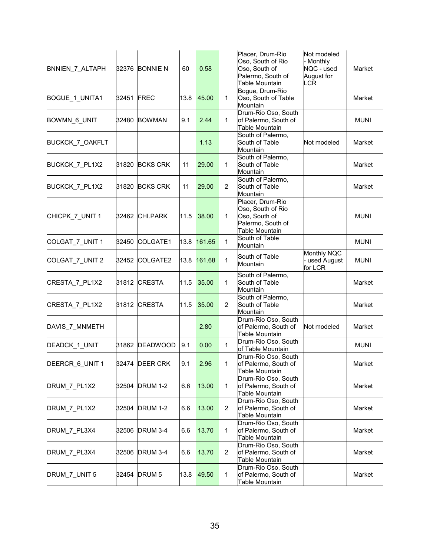| BNNIEN_7_ALTAPH |            | 32376 BONNIE N  | 60   | 0.58   |                | Placer, Drum-Rio<br>Oso, South of Rio<br>Oso, South of<br>Palermo, South of<br>Table Mountain | Not modeled<br>Monthly<br>NQC - used<br>August for<br><b>LCR</b> | Market      |
|-----------------|------------|-----------------|------|--------|----------------|-----------------------------------------------------------------------------------------------|------------------------------------------------------------------|-------------|
| BOGUE_1_UNITA1  | 32451 FREC |                 | 13.8 | 45.00  | $\mathbf{1}$   | Bogue, Drum-Rio<br>Oso, South of Table<br>Mountain                                            |                                                                  | Market      |
| BOWMN_6_UNIT    | 32480      | <b>BOWMAN</b>   | 9.1  | 2.44   | $\mathbf{1}$   | Drum-Rio Oso, South<br>of Palermo, South of<br>Table Mountain                                 |                                                                  | <b>MUNI</b> |
| BUCKCK_7_OAKFLT |            |                 |      | 1.13   |                | South of Palermo,<br>South of Table<br>Mountain                                               | Not modeled                                                      | Market      |
| BUCKCK_7_PL1X2  |            | 31820 BCKS CRK  | 11   | 29.00  | 1              | South of Palermo,<br>South of Table<br>Mountain                                               |                                                                  | Market      |
| BUCKCK 7 PL1X2  | 31820      | <b>BCKS CRK</b> | 11   | 29.00  | $\overline{2}$ | South of Palermo,<br>South of Table<br>Mountain                                               |                                                                  | Market      |
| CHICPK_7_UNIT 1 |            | 32462 CHI.PARK  | 11.5 | 38.00  | $\mathbf{1}$   | Placer, Drum-Rio<br>Oso, South of Rio<br>Oso, South of<br>Palermo, South of<br>Table Mountain |                                                                  | <b>MUNI</b> |
| COLGAT_7_UNIT 1 |            | 32450 COLGATE1  | 13.8 | 161.65 | $\mathbf{1}$   | South of Table<br>Mountain                                                                    |                                                                  | <b>MUNI</b> |
| COLGAT_7_UNIT 2 |            | 32452 COLGATE2  | 13.8 | 161.68 | $\mathbf{1}$   | South of Table<br>Mountain                                                                    | Monthly NQC<br>used August<br>for LCR                            | <b>MUNI</b> |
| CRESTA_7_PL1X2  |            | 31812 CRESTA    | 11.5 | 35.00  | 1              | South of Palermo,<br>South of Table<br>Mountain                                               |                                                                  | Market      |
| CRESTA_7_PL1X2  |            | 31812 CRESTA    | 11.5 | 35.00  | $\overline{2}$ | South of Palermo,<br>South of Table<br>Mountain                                               |                                                                  | Market      |
| DAVIS 7 MNMETH  |            |                 |      | 2.80   |                | Drum-Rio Oso, South<br>of Palermo, South of<br>Table Mountain                                 | Not modeled                                                      | Market      |
| DEADCK_1_UNIT   | 31862      | <b>DEADWOOD</b> | 9.1  | 0.00   | $\mathbf{1}$   | Drum-Rio Oso, South<br>of Table Mountain                                                      |                                                                  | <b>MUNI</b> |
| DEERCR_6_UNIT 1 |            | 32474 DEER CRK  | 9.1  | 2.96   | 1              | Drum-Rio Oso, South<br>of Palermo, South of<br>Table Mountain                                 |                                                                  | Market      |
| DRUM 7 PL1X2    | 32504      | <b>DRUM 1-2</b> | 6.6  | 13.00  | $\mathbf{1}$   | Drum-Rio Oso, South<br>of Palermo, South of<br>Table Mountain                                 |                                                                  | Market      |
| DRUM_7_PL1X2    | 32504      | <b>DRUM 1-2</b> | 6.6  | 13.00  | $\overline{2}$ | Drum-Rio Oso, South<br>of Palermo, South of<br>Table Mountain                                 |                                                                  | Market      |
| DRUM_7_PL3X4    | 32506      | <b>DRUM 3-4</b> | 6.6  | 13.70  | 1              | Drum-Rio Oso, South<br>of Palermo, South of<br>Table Mountain                                 |                                                                  | Market      |
| DRUM_7_PL3X4    | 32506      | DRUM 3-4        | 6.6  | 13.70  | $\overline{2}$ | Drum-Rio Oso, South<br>of Palermo, South of<br>Table Mountain                                 |                                                                  | Market      |
| DRUM_7_UNIT 5   |            | 32454 DRUM 5    | 13.8 | 49.50  | $\mathbf{1}$   | Drum-Rio Oso, South<br>of Palermo, South of<br>Table Mountain                                 |                                                                  | Market      |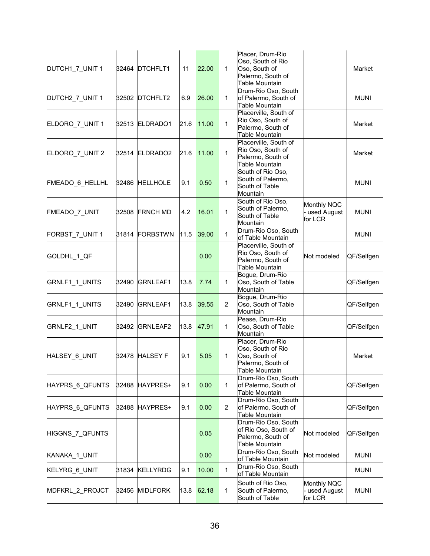| DUTCH1_7_UNIT 1              |       | 32464 DTCHFLT1  | 11   | 22.00 | $\mathbf{1}$   | Placer, Drum-Rio<br>Oso, South of Rio<br>Oso, South of<br>Palermo, South of<br><b>Table Mountain</b><br>Drum-Rio Oso, South |                                       | Market      |
|------------------------------|-------|-----------------|------|-------|----------------|-----------------------------------------------------------------------------------------------------------------------------|---------------------------------------|-------------|
| DUTCH2_7_UNIT 1              | 32502 | DTCHFLT2        | 6.9  | 26.00 | 1              | of Palermo, South of<br>Table Mountain                                                                                      |                                       | <b>MUNI</b> |
| ELDORO_7_UNIT 1              |       | 32513 ELDRADO1  | 21.6 | 11.00 | $\mathbf{1}$   | Placerville, South of<br>Rio Oso, South of<br>Palermo, South of<br><b>Table Mountain</b>                                    |                                       | Market      |
| ELDORO_7_UNIT 2              |       | 32514 ELDRADO2  | 21.6 | 11.00 | $\mathbf{1}$   | Placerville, South of<br>Rio Oso, South of<br>Palermo, South of<br>Table Mountain                                           |                                       | Market      |
| FMEADO <sub>_6</sub> _HELLHL |       | 32486 HELLHOLE  | 9.1  | 0.50  | $\mathbf{1}$   | South of Rio Oso,<br>South of Palermo,<br>South of Table<br>Mountain                                                        |                                       | <b>MUNI</b> |
| FMEADO_7_UNIT                | 32508 | <b>FRNCH MD</b> | 4.2  | 16.01 | $\mathbf{1}$   | South of Rio Oso,<br>South of Palermo,<br>South of Table<br>Mountain                                                        | Monthly NQC<br>used August<br>for LCR | <b>MUNI</b> |
| FORBST_7_UNIT 1              |       | 31814 FORBSTWN  | 11.5 | 39.00 | $\mathbf{1}$   | Drum-Rio Oso, South<br>of Table Mountain                                                                                    |                                       | <b>MUNI</b> |
| GOLDHL_1_QF                  |       |                 |      | 0.00  |                | Placerville, South of<br>Rio Oso, South of<br>Palermo, South of<br>Table Mountain                                           | Not modeled                           | QF/Selfgen  |
| GRNLF1_1_UNITS               | 32490 | <b>GRNLEAF1</b> | 13.8 | 7.74  | 1              | Bogue, Drum-Rio<br>Oso, South of Table<br>Mountain                                                                          |                                       | QF/Selfgen  |
| GRNLF1_1_UNITS               | 32490 | <b>GRNLEAF1</b> | 13.8 | 39.55 | $\overline{2}$ | Bogue, Drum-Rio<br>Oso, South of Table<br>Mountain                                                                          |                                       | QF/Selfgen  |
| GRNLF2_1_UNIT                | 32492 | GRNLEAF2        | 13.8 | 47.91 | 1              | Pease, Drum-Rio<br>Oso, South of Table<br>Mountain                                                                          |                                       | QF/Selfgen  |
| HALSEY_6_UNIT                | 32478 | <b>HALSEY F</b> | 9.1  | 5.05  | 1              | Placer, Drum-Rio<br>Oso, South of Rio<br>Oso, South of<br>Palermo, South of<br>Table Mountain                               |                                       | Market      |
| HAYPRS 6_QFUNTS              | 32488 | HAYPRES+        | 9.1  | 0.00  | 1              | Drum-Rio Oso, South<br>of Palermo, South of<br>Table Mountain                                                               |                                       | QF/Selfgen  |
| HAYPRS 6_QFUNTS              | 32488 | <b>HAYPRES+</b> | 9.1  | 0.00  | $\overline{2}$ | Drum-Rio Oso, South<br>of Palermo, South of<br>Table Mountain                                                               |                                       | QF/Selfgen  |
| HIGGNS_7_QFUNTS              |       |                 |      | 0.05  |                | Drum-Rio Oso, South<br>of Rio Oso, South of<br>Palermo, South of<br>Table Mountain                                          | Not modeled                           | QF/Selfgen  |
| KANAKA 1 UNIT                |       |                 |      | 0.00  |                | Drum-Rio Oso, South<br>of Table Mountain                                                                                    | Not modeled                           | <b>MUNI</b> |
| KELYRG_6_UNIT                | 31834 | <b>KELLYRDG</b> | 9.1  | 10.00 | 1              | Drum-Rio Oso, South<br>of Table Mountain                                                                                    |                                       | <b>MUNI</b> |
| MDFKRL_2_PROJCT              | 32456 | <b>MIDLFORK</b> | 13.8 | 62.18 | 1              | South of Rio Oso,<br>South of Palermo,<br>South of Table                                                                    | Monthly NQC<br>used August<br>for LCR | <b>MUNI</b> |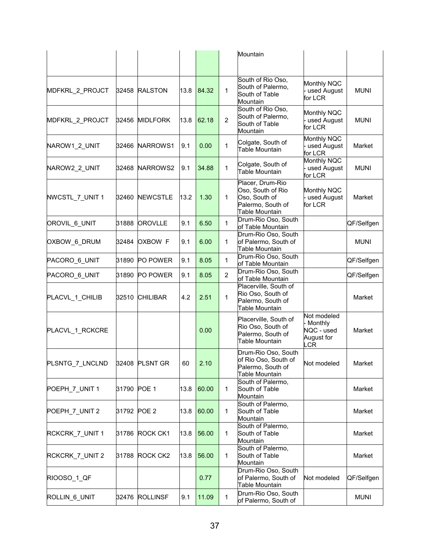|                                |             |                 |      |       |                | Mountain                                                                                      |                                                                  |             |
|--------------------------------|-------------|-----------------|------|-------|----------------|-----------------------------------------------------------------------------------------------|------------------------------------------------------------------|-------------|
|                                |             |                 |      |       |                |                                                                                               |                                                                  |             |
| MDFKRL_2_PROJCT                | 32458       | <b>RALSTON</b>  | 13.8 | 84.32 | $\mathbf{1}$   | South of Rio Oso,<br>South of Palermo,<br>South of Table<br>Mountain                          | Monthly NQC<br>used August<br>for LCR                            | <b>MUNI</b> |
| MDFKRL_2_PROJCT                | 32456       | <b>MIDLFORK</b> | 13.8 | 62.18 | $\overline{2}$ | South of Rio Oso,<br>South of Palermo,<br>South of Table<br>Mountain                          | Monthly NQC<br>used August<br>for LCR                            | <b>MUNI</b> |
| NAROW1 2 UNIT                  | 32466       | NARROWS1        | 9.1  | 0.00  | $\mathbf{1}$   | Colgate, South of<br>Table Mountain                                                           | Monthly NQC<br>used August<br>for LCR                            | Market      |
| NAROW2_2_UNIT                  | 32468       | NARROWS2        | 9.1  | 34.88 | 1              | Colgate, South of<br><b>Table Mountain</b>                                                    | Monthly NQC<br>used August<br>for LCR                            | <b>MUNI</b> |
| NWCSTL_7_UNIT 1                | 32460       | <b>NEWCSTLE</b> | 13.2 | 1.30  | $\mathbf{1}$   | Placer, Drum-Rio<br>Oso, South of Rio<br>Oso, South of<br>Palermo, South of<br>Table Mountain | <b>Monthly NQC</b><br>used August<br>for LCR                     | Market      |
| OROVIL_6_UNIT                  | 31888       | <b>OROVLLE</b>  | 9.1  | 6.50  | 1              | Drum-Rio Oso, South<br>of Table Mountain                                                      |                                                                  | QF/Selfgen  |
| OXBOW_6_DRUM                   | 32484       | <b>OXBOW F</b>  | 9.1  | 6.00  | $\mathbf{1}$   | Drum-Rio Oso, South<br>of Palermo, South of<br>Table Mountain                                 |                                                                  | <b>MUNI</b> |
| PACORO 6_UNIT                  | 31890       | PO POWER        | 9.1  | 8.05  | $\mathbf{1}$   | Drum-Rio Oso, South<br>of Table Mountain                                                      |                                                                  | QF/Selfgen  |
| PACORO 6_UNIT                  | 31890       | PO POWER        | 9.1  | 8.05  | $\overline{2}$ | Drum-Rio Oso, South<br>of Table Mountain                                                      |                                                                  | QF/Selfgen  |
| PLACVL_1_CHILIB                | 32510       | <b>CHILIBAR</b> | 4.2  | 2.51  | $\mathbf{1}$   | Placerville, South of<br>Rio Oso, South of<br>Palermo, South of<br>Table Mountain             |                                                                  | Market      |
| PLACVL_1_RCKCRE                |             |                 |      | 0.00  |                | Placerville, South of<br>Rio Oso, South of<br>Palermo, South of<br><b>Table Mountain</b>      | Not modeled<br>Monthly<br>NQC - used<br>August for<br><b>LCR</b> | Market      |
| PLSNTG_7_LNCLND 32408 PLSNT GR |             |                 | 60   | 2.10  |                | Drum-Rio Oso, South<br>of Rio Oso, South of<br>Palermo, South of<br>Table Mountain            | Not modeled                                                      | Market      |
| POEPH_7_UNIT 1                 | 31790 POE 1 |                 | 13.8 | 60.00 | $\mathbf{1}$   | South of Palermo,<br>South of Table<br>Mountain                                               |                                                                  | Market      |
| POEPH_7_UNIT 2                 | 31792 POE 2 |                 | 13.8 | 60.00 | $\mathbf{1}$   | South of Palermo,<br>South of Table<br>Mountain                                               |                                                                  | Market      |
| RCKCRK_7_UNIT 1                | 31786       | ROCK CK1        | 13.8 | 56.00 | $\mathbf{1}$   | South of Palermo,<br>South of Table<br>Mountain                                               |                                                                  | Market      |
| RCKCRK_7_UNIT 2                | 31788       | ROCK CK2        | 13.8 | 56.00 | 1              | South of Palermo,<br>South of Table<br>Mountain                                               |                                                                  | Market      |
| RIOOSO_1_QF                    |             |                 |      | 0.77  |                | Drum-Rio Oso, South<br>of Palermo, South of<br>Table Mountain                                 | Not modeled                                                      | QF/Selfgen  |
| ROLLIN <sub>6_UNIT</sub>       | 32476       | <b>ROLLINSF</b> | 9.1  | 11.09 | $\mathbf{1}$   | Drum-Rio Oso, South<br>of Palermo, South of                                                   |                                                                  | <b>MUNI</b> |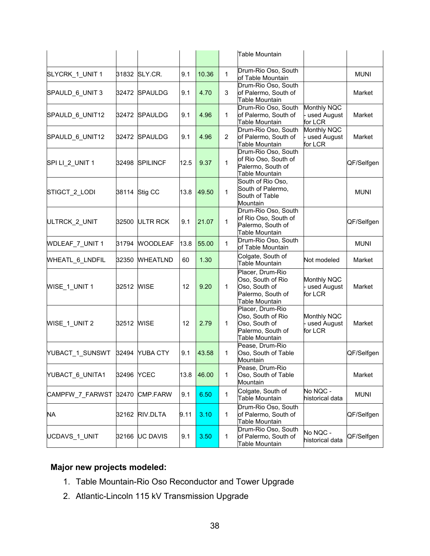|                 |            |                 |      |       |                | <b>Table Mountain</b>                                                                         |                                         |             |
|-----------------|------------|-----------------|------|-------|----------------|-----------------------------------------------------------------------------------------------|-----------------------------------------|-------------|
| SLYCRK_1_UNIT 1 |            | 31832 SLY.CR.   | 9.1  | 10.36 | $\mathbf{1}$   | Drum-Rio Oso, South<br>of Table Mountain                                                      |                                         | <b>MUNI</b> |
| SPAULD_6_UNIT 3 | 32472      | <b>SPAULDG</b>  | 9.1  | 4.70  | 3              | Drum-Rio Oso, South<br>of Palermo, South of<br>Table Mountain                                 |                                         | Market      |
| SPAULD_6_UNIT12 |            | 32472 SPAULDG   | 9.1  | 4.96  | $\mathbf{1}$   | Drum-Rio Oso, South<br>of Palermo, South of<br>Table Mountain                                 | Monthly NQC<br>- used August<br>for LCR | Market      |
| SPAULD_6_UNIT12 | 32472      | <b>SPAULDG</b>  | 9.1  | 4.96  | $\overline{2}$ | Drum-Rio Oso, South<br>of Palermo, South of<br>Table Mountain                                 | Monthly NQC<br>used August<br>for LCR   | Market      |
| SPI LI_2_UNIT 1 | 32498      | <b>SPILINCF</b> | 12.5 | 9.37  | $\mathbf{1}$   | Drum-Rio Oso, South<br>of Rio Oso, South of<br>Palermo, South of<br>Table Mountain            |                                         | QF/Selfgen  |
| STIGCT_2_LODI   |            | 38114 Stig CC   | 13.8 | 49.50 | $\mathbf{1}$   | South of Rio Oso,<br>South of Palermo,<br>South of Table<br>Mountain                          |                                         | <b>MUNI</b> |
| ULTRCK_2_UNIT   |            | 32500 ULTR RCK  | 9.1  | 21.07 | $\mathbf{1}$   | Drum-Rio Oso, South<br>of Rio Oso, South of<br>Palermo, South of<br><b>Table Mountain</b>     |                                         | QF/Selfgen  |
| WDLEAF_7_UNIT 1 | 31794      | <b>WOODLEAF</b> | 13.8 | 55.00 | 1              | Drum-Rio Oso, South<br>of Table Mountain                                                      |                                         | <b>MUNI</b> |
| WHEATL_6_LNDFIL | 32350      | <b>WHEATLND</b> | 60   | 1.30  |                | Colgate, South of<br>Table Mountain                                                           | Not modeled                             | Market      |
| WISE_1_UNIT 1   | 32512 WISE |                 | 12   | 9.20  | $\mathbf{1}$   | Placer, Drum-Rio<br>Oso, South of Rio<br>Oso, South of<br>Palermo, South of<br>Table Mountain | Monthly NQC<br>- used August<br>for LCR | Market      |
| WISE 1 UNIT 2   | 32512 WISE |                 | 12   | 2.79  | $\mathbf{1}$   | Placer, Drum-Rio<br>Oso, South of Rio<br>Oso, South of<br>Palermo, South of<br>Table Mountain | Monthly NQC<br>- used August<br>for LCR | Market      |
| YUBACT_1_SUNSWT | 32494      | <b>YUBA CTY</b> | 9.1  | 43.58 | 1              | Pease, Drum-Rio<br>Oso, South of Table<br>Mountain                                            |                                         | QF/Selfgen  |
| YUBACT_6_UNITA1 | 32496      | <b>YCEC</b>     | 13.8 | 46.00 | 1              | Pease, Drum-Rio<br>Oso, South of Table<br>Mountain                                            |                                         | Market      |
| CAMPFW_7_FARWST | 32470      | <b>CMP.FARW</b> | 9.1  | 6.50  | $\mathbf{1}$   | Colgate, South of<br><b>Table Mountain</b>                                                    | No NQC -<br>historical data             | <b>MUNI</b> |
| NA              | 32162      | RIV.DLTA        | 9.11 | 3.10  | 1              | Drum-Rio Oso, South<br>of Palermo, South of<br><b>Table Mountain</b>                          |                                         | QF/Selfgen  |
| UCDAVS_1_UNIT   | 32166      | <b>UC DAVIS</b> | 9.1  | 3.50  | 1              | Drum-Rio Oso, South<br>of Palermo, South of<br>Table Mountain                                 | No NQC -<br>historical data             | QF/Selfgen  |

# **Major new projects modeled:**

- 1. Table Mountain-Rio Oso Reconductor and Tower Upgrade
- 2. Atlantic-Lincoln 115 kV Transmission Upgrade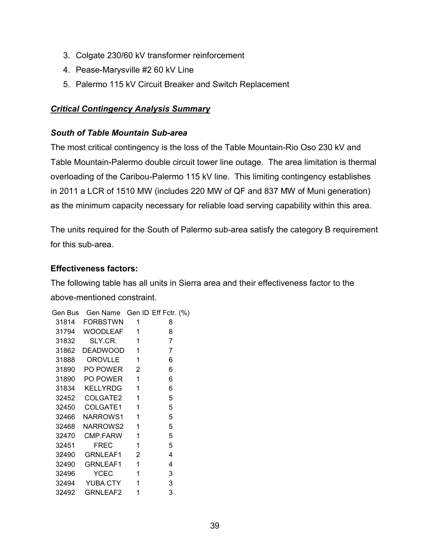- 3. Colgate 230/60 kV transformer reinforcement
- 4. Pease-Marysville #2 60 kV Line
- 5. Palermo 115 kV Circuit Breaker and Switch Replacement

# *Critical Contingency Analysis Summary*

### *South of Table Mountain Sub-area*

The most critical contingency is the loss of the Table Mountain-Rio Oso 230 kV and Table Mountain-Palermo double circuit tower line outage. The area limitation is thermal overloading of the Caribou-Palermo 115 kV line. This limiting contingency establishes in 2011 a LCR of 1510 MW (includes 220 MW of QF and 837 MW of Muni generation) as the minimum capacity necessary for reliable load serving capability within this area.

The units required for the South of Palermo sub-area satisfy the category B requirement for this sub-area.

### **Effectiveness factors:**

The following table has all units in Sierra area and their effectiveness factor to the above-mentioned constraint.

|       | Gen Bus Gen Name Gen ID Eff Fctr. (%) |          |                |
|-------|---------------------------------------|----------|----------------|
|       | 31814 FORBSTWN 1                      |          | 8              |
|       | 31794 WOODLEAF 1                      |          | 8              |
|       | 31832 SLY.CR. 1                       |          | $\overline{7}$ |
| 31862 | DEADWOOD 1                            |          | $\overline{7}$ |
| 31888 | OROVLLE 1                             |          | 6              |
|       | 31890 PO POWER 2                      |          | 6              |
|       | 31890 PO POWER 1                      |          | 6              |
|       | 31834 KELLYRDG 1                      |          | 6              |
|       |                                       |          | 5              |
|       |                                       |          | 5              |
|       | 32466 NARROWS1 1                      |          | 5              |
|       | 32468 NARROWS2 1                      |          | 5              |
|       | 32470 CMP.FARW 1                      |          | 5              |
| 32451 | FREC                                  | $\sim$ 1 | 5              |
| 32490 | GRNLEAF1 2                            |          | 4              |
| 32490 | GRNLEAF1 1                            |          | 4              |
| 32496 | YCEC                                  | $\sim$ 1 | 3              |
|       | 32494 YUBA CTY 1                      |          | 3              |
| 32492 | GRNLEAF2                              | 1        | 3              |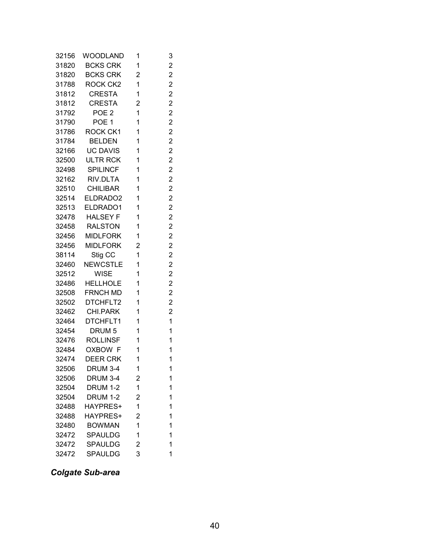| 32156 | WOODLAND         | 1                       | 3                       |
|-------|------------------|-------------------------|-------------------------|
| 31820 | <b>BCKS CRK</b>  | 1                       | $\overline{c}$          |
| 31820 | <b>BCKS CRK</b>  | 2                       | $\overline{c}$          |
| 31788 | ROCK CK2         | 1                       | $\overline{c}$          |
| 31812 | CRESTA           | 1                       | $\overline{c}$          |
| 31812 | <b>CRESTA</b>    | $\overline{2}$          | $\overline{c}$          |
| 31792 | POE <sub>2</sub> | 1                       | $\overline{c}$          |
| 31790 | POE <sub>1</sub> | 1                       | $\overline{c}$          |
| 31786 | ROCK CK1         | 1                       | $\overline{c}$          |
| 31784 | <b>BELDEN</b>    | 1                       | $\overline{c}$          |
| 32166 | <b>UC DAVIS</b>  | 1                       | $\overline{c}$          |
| 32500 | ULTR RCK         | 1                       | $\overline{c}$          |
| 32498 | <b>SPILINCF</b>  | 1                       | $\overline{c}$          |
| 32162 | RIV.DLTA         | 1                       | $\overline{c}$          |
| 32510 | <b>CHILIBAR</b>  | 1                       | $\overline{c}$          |
| 32514 | ELDRADO2         | 1                       | $\overline{c}$          |
| 32513 | ELDRADO1         | 1                       | $\overline{c}$          |
| 32478 | <b>HALSEY F</b>  | 1                       | $\overline{c}$          |
| 32458 | <b>RALSTON</b>   | 1                       | $\overline{c}$          |
| 32456 | <b>MIDLFORK</b>  | 1                       | $\overline{c}$          |
| 32456 | <b>MIDLFORK</b>  | $\overline{2}$          | $\overline{c}$          |
| 38114 | Stig CC          | $\mathbf{1}$            | $\overline{\mathbf{c}}$ |
| 32460 | <b>NEWCSTLE</b>  | 1                       | $\overline{c}$          |
| 32512 | <b>WISE</b>      | 1                       | $\overline{c}$          |
| 32486 | <b>HELLHOLE</b>  | 1                       | $\overline{c}$          |
| 32508 | FRNCH MD         | 1                       | $\overline{c}$          |
| 32502 | DTCHFLT2         | 1                       | $\overline{c}$          |
| 32462 | CHI.PARK         | 1                       | $\overline{c}$          |
| 32464 | DTCHFLT1         | 1                       | 1                       |
| 32454 | DRUM 5           | 1                       | $\mathbf{1}$            |
| 32476 | <b>ROLLINSF</b>  | 1                       | 1                       |
| 32484 | OXBOW F          | 1                       | 1                       |
| 32474 | DEER CRK         | 1                       | 1                       |
| 32506 | DRUM 3-4         | 1                       | 1                       |
| 32506 | <b>DRUM 3-4</b>  | $\overline{\mathbf{c}}$ | 1                       |
| 32504 | <b>DRUM 1-2</b>  | 1                       | 1                       |
| 32504 | <b>DRUM 1-2</b>  | $\overline{c}$          | 1                       |
| 32488 | HAYPRES+         | $\mathbf 1$             | 1                       |
| 32488 | HAYPRES+         | 2                       | 1                       |
| 32480 | <b>BOWMAN</b>    | 1                       | 1                       |
| 32472 | SPAULDG          | 1                       | 1                       |
| 32472 | SPAULDG          | 2                       | 1                       |
| 32472 | SPAULDG          | 3                       | 1                       |

*Colgate Sub-area*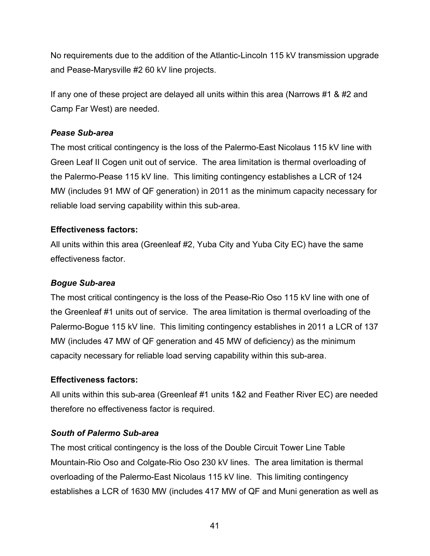No requirements due to the addition of the Atlantic-Lincoln 115 kV transmission upgrade and Pease-Marysville #2 60 kV line projects.

If any one of these project are delayed all units within this area (Narrows #1 & #2 and Camp Far West) are needed.

## *Pease Sub-area*

The most critical contingency is the loss of the Palermo-East Nicolaus 115 kV line with Green Leaf II Cogen unit out of service. The area limitation is thermal overloading of the Palermo-Pease 115 kV line. This limiting contingency establishes a LCR of 124 MW (includes 91 MW of QF generation) in 2011 as the minimum capacity necessary for reliable load serving capability within this sub-area.

# **Effectiveness factors:**

All units within this area (Greenleaf #2, Yuba City and Yuba City EC) have the same effectiveness factor.

# *Bogue Sub-area*

The most critical contingency is the loss of the Pease-Rio Oso 115 kV line with one of the Greenleaf #1 units out of service. The area limitation is thermal overloading of the Palermo-Bogue 115 kV line. This limiting contingency establishes in 2011 a LCR of 137 MW (includes 47 MW of QF generation and 45 MW of deficiency) as the minimum capacity necessary for reliable load serving capability within this sub-area.

# **Effectiveness factors:**

All units within this sub-area (Greenleaf #1 units 1&2 and Feather River EC) are needed therefore no effectiveness factor is required.

# *South of Palermo Sub-area*

The most critical contingency is the loss of the Double Circuit Tower Line Table Mountain-Rio Oso and Colgate-Rio Oso 230 kV lines. The area limitation is thermal overloading of the Palermo-East Nicolaus 115 kV line. This limiting contingency establishes a LCR of 1630 MW (includes 417 MW of QF and Muni generation as well as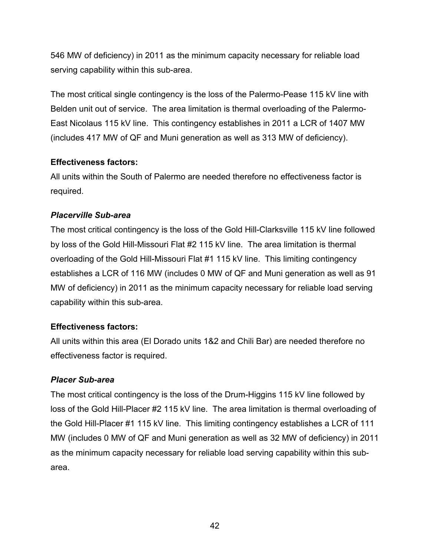546 MW of deficiency) in 2011 as the minimum capacity necessary for reliable load serving capability within this sub-area.

The most critical single contingency is the loss of the Palermo-Pease 115 kV line with Belden unit out of service. The area limitation is thermal overloading of the Palermo-East Nicolaus 115 kV line. This contingency establishes in 2011 a LCR of 1407 MW (includes 417 MW of QF and Muni generation as well as 313 MW of deficiency).

## **Effectiveness factors:**

All units within the South of Palermo are needed therefore no effectiveness factor is required.

## *Placerville Sub-area*

The most critical contingency is the loss of the Gold Hill-Clarksville 115 kV line followed by loss of the Gold Hill-Missouri Flat #2 115 kV line. The area limitation is thermal overloading of the Gold Hill-Missouri Flat #1 115 kV line. This limiting contingency establishes a LCR of 116 MW (includes 0 MW of QF and Muni generation as well as 91 MW of deficiency) in 2011 as the minimum capacity necessary for reliable load serving capability within this sub-area.

## **Effectiveness factors:**

All units within this area (El Dorado units 1&2 and Chili Bar) are needed therefore no effectiveness factor is required.

## *Placer Sub-area*

The most critical contingency is the loss of the Drum-Higgins 115 kV line followed by loss of the Gold Hill-Placer #2 115 kV line. The area limitation is thermal overloading of the Gold Hill-Placer #1 115 kV line. This limiting contingency establishes a LCR of 111 MW (includes 0 MW of QF and Muni generation as well as 32 MW of deficiency) in 2011 as the minimum capacity necessary for reliable load serving capability within this subarea.

42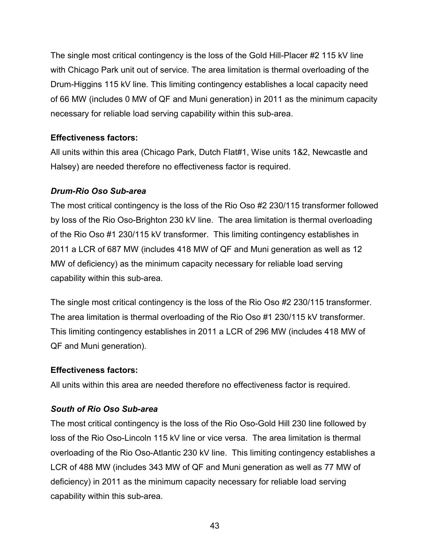The single most critical contingency is the loss of the Gold Hill-Placer #2 115 kV line with Chicago Park unit out of service. The area limitation is thermal overloading of the Drum-Higgins 115 kV line. This limiting contingency establishes a local capacity need of 66 MW (includes 0 MW of QF and Muni generation) in 2011 as the minimum capacity necessary for reliable load serving capability within this sub-area.

# **Effectiveness factors:**

All units within this area (Chicago Park, Dutch Flat#1, Wise units 1&2, Newcastle and Halsey) are needed therefore no effectiveness factor is required.

# *Drum-Rio Oso Sub-area*

The most critical contingency is the loss of the Rio Oso #2 230/115 transformer followed by loss of the Rio Oso-Brighton 230 kV line. The area limitation is thermal overloading of the Rio Oso #1 230/115 kV transformer. This limiting contingency establishes in 2011 a LCR of 687 MW (includes 418 MW of QF and Muni generation as well as 12 MW of deficiency) as the minimum capacity necessary for reliable load serving capability within this sub-area.

The single most critical contingency is the loss of the Rio Oso #2 230/115 transformer. The area limitation is thermal overloading of the Rio Oso #1 230/115 kV transformer. This limiting contingency establishes in 2011 a LCR of 296 MW (includes 418 MW of QF and Muni generation).

# **Effectiveness factors:**

All units within this area are needed therefore no effectiveness factor is required.

# *South of Rio Oso Sub-area*

The most critical contingency is the loss of the Rio Oso-Gold Hill 230 line followed by loss of the Rio Oso-Lincoln 115 kV line or vice versa. The area limitation is thermal overloading of the Rio Oso-Atlantic 230 kV line. This limiting contingency establishes a LCR of 488 MW (includes 343 MW of QF and Muni generation as well as 77 MW of deficiency) in 2011 as the minimum capacity necessary for reliable load serving capability within this sub-area.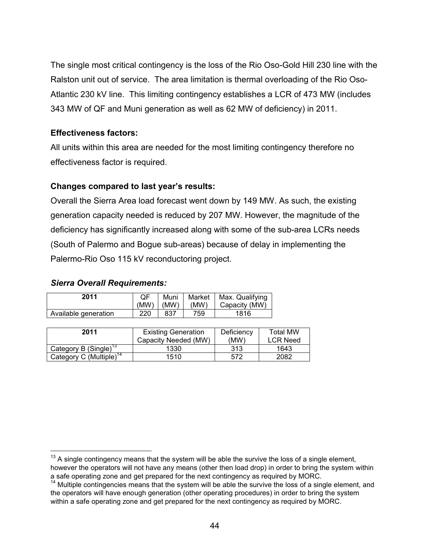The single most critical contingency is the loss of the Rio Oso-Gold Hill 230 line with the Ralston unit out of service. The area limitation is thermal overloading of the Rio Oso-Atlantic 230 kV line. This limiting contingency establishes a LCR of 473 MW (includes 343 MW of QF and Muni generation as well as 62 MW of deficiency) in 2011.

## **Effectiveness factors:**

All units within this area are needed for the most limiting contingency therefore no effectiveness factor is required.

# **Changes compared to last year's results:**

Overall the Sierra Area load forecast went down by 149 MW. As such, the existing generation capacity needed is reduced by 207 MW. However, the magnitude of the deficiency has significantly increased along with some of the sub-area LCRs needs (South of Palermo and Bogue sub-areas) because of delay in implementing the Palermo-Rio Oso 115 kV reconductoring project.

## *Sierra Overall Requirements:*

 $\overline{a}$ 

| 2011                 | (MW) | Muni<br>(MW) | (MW) | Market   Max. Qualifying<br>Capacity (MW) |
|----------------------|------|--------------|------|-------------------------------------------|
| Available generation | 220  | 837          | 759. | 1816                                      |

| 2011                                | <b>Existing Generation</b><br>Capacity Needed (MW) | Deficiency<br>(MW) | <b>Total MW</b><br><b>LCR Need</b> |
|-------------------------------------|----------------------------------------------------|--------------------|------------------------------------|
| Category B (Single) <sup>13</sup>   | 1330                                               | 313                | 1643                               |
| Category C (Multiple) <sup>14</sup> | 1510                                               | 572                | 2082                               |

 $13$  A single contingency means that the system will be able the survive the loss of a single element,

however the operators will not have any means (other then load drop) in order to bring the system within a safe operating zone and get prepared for the next contingency as required by MORC.

 $14$  Multiple contingencies means that the system will be able the survive the loss of a single element, and the operators will have enough generation (other operating procedures) in order to bring the system within a safe operating zone and get prepared for the next contingency as required by MORC.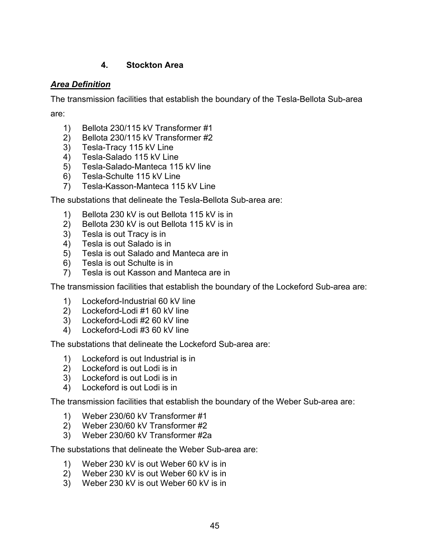# **4. Stockton Area**

## *Area Definition*

The transmission facilities that establish the boundary of the Tesla-Bellota Sub-area

are:

- 1) Bellota 230/115 kV Transformer #1
- 2) Bellota 230/115 kV Transformer #2
- 3) Tesla-Tracy 115 kV Line
- 4) Tesla-Salado 115 kV Line
- 5) Tesla-Salado-Manteca 115 kV line
- 6) Tesla-Schulte 115 kV Line
- 7) Tesla-Kasson-Manteca 115 kV Line

The substations that delineate the Tesla-Bellota Sub-area are:

- 1) Bellota 230 kV is out Bellota 115 kV is in
- 2) Bellota 230 kV is out Bellota 115 kV is in
- 3) Tesla is out Tracy is in
- 4) Tesla is out Salado is in
- 5) Tesla is out Salado and Manteca are in
- 6) Tesla is out Schulte is in
- 7) Tesla is out Kasson and Manteca are in

The transmission facilities that establish the boundary of the Lockeford Sub-area are:

- 1) Lockeford-Industrial 60 kV line
- 2) Lockeford-Lodi #1 60 kV line
- 3) Lockeford-Lodi #2 60 kV line
- 4) Lockeford-Lodi #3 60 kV line

The substations that delineate the Lockeford Sub-area are:

- 1) Lockeford is out Industrial is in
- 2) Lockeford is out Lodi is in
- 3) Lockeford is out Lodi is in
- 4) Lockeford is out Lodi is in

The transmission facilities that establish the boundary of the Weber Sub-area are:

- 1) Weber 230/60 kV Transformer #1
- 2) Weber 230/60 kV Transformer #2
- 3) Weber 230/60 kV Transformer #2a

The substations that delineate the Weber Sub-area are:

- 1) Weber 230 kV is out Weber 60 kV is in
- 2) Weber 230 kV is out Weber 60 kV is in
- 3) Weber 230 kV is out Weber 60 kV is in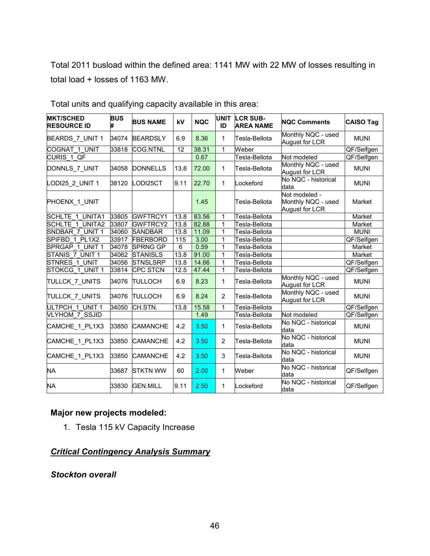Total 2011 busload within the defined area: 1141 MW with 22 MW of losses resulting in total load + losses of 1163 MW.

| <b>MKT/SCHED</b><br><b>RESOURCE ID</b> | <b>BUS</b> | <b>BUS NAME</b> | kV              | <b>NQC</b> | <b>UNIT</b><br>ID | <b>LCR SUB-</b><br><b>AREA NAME</b> | <b>NQC Comments</b>                                   | <b>CAISO Tag</b> |
|----------------------------------------|------------|-----------------|-----------------|------------|-------------------|-------------------------------------|-------------------------------------------------------|------------------|
| BEARDS_7_UNIT 1                        | 34074      | <b>BEARDSLY</b> | 6.9             | 8.36       | 1                 | Tesla-Bellota                       | Monthly NQC - used<br>August for LCR                  | <b>MUNI</b>      |
| COGNAT 1 UNIT                          | 33818      | COG.NTNL        | $\overline{12}$ | 38.31      | 1                 | Weber                               |                                                       | QF/Selfgen       |
| CURIS 1 QF                             |            |                 |                 | 0.67       |                   | Tesla-Bellota                       | Not modeled                                           | QF/Selfgen       |
| DONNLS_7_UNIT                          | 34058      | <b>DONNELLS</b> | 13.8            | 72.00      | 1                 | Tesla-Bellota                       | Monthly NQC - used<br>August for LCR                  | <b>MUNI</b>      |
| LODI25 2 UNIT 1                        | 38120      | LODI25CT        | 9.11            | 22.70      | 1                 | Lockeford                           | No NQC - historical<br>data                           | <b>MUNI</b>      |
| PHOENX_1_UNIT                          |            |                 |                 | 1.45       |                   | Tesla-Bellota                       | Not modeled -<br>Monthly NQC - used<br>August for LCR | Market           |
| SCHLTE 1 UNITA1                        | 33805      | <b>GWFTRCY1</b> | 13.8            | 83.56      | 1                 | Tesla-Bellota                       |                                                       | Market           |
| <b>SCHLTE 1 UNITA2</b>                 | 33807      | GWFTRCY2        | 13.8            | 82.88      | $\mathbf{1}$      | Tesla-Bellota                       |                                                       | Market           |
| SNDBAR 7 UNIT 1                        | 34060      | <b>SANDBAR</b>  | 13.8            | 11.09      | $\mathbf{1}$      | Tesla-Bellota                       |                                                       | <b>MUNI</b>      |
| SPIFBD 1 PL1X2                         | 33917      | <b>FBERBORD</b> | 115             | 3.00       | 1                 | Tesla-Bellota                       |                                                       | QF/Selfgen       |
| SPRGAP 1 UNIT 1                        | 34078      | <b>SPRNG GP</b> | 6               | 0.59       | 1                 | Tesla-Bellota                       |                                                       | Market           |
| STANIS 7 UNIT 1                        | 34062      | <b>STANISLS</b> | 13.8            | 91.00      | 1                 | Tesla-Bellota                       |                                                       | Market           |
| STNRES 1 UNIT                          | 34056      | <b>STNSLSRP</b> | 13.8            | 14.66      | 1                 | Tesla-Bellota                       |                                                       | QF/Selfgen       |
| STOKCG 1 UNIT 1                        | 33814      | <b>CPC STCN</b> | 12.5            | 47.44      | 1                 | Tesla-Bellota                       |                                                       | QF/Selfgen       |
| TULLCK 7 UNITS                         | 34076      | <b>TULLOCH</b>  | 6.9             | 8.23       | 1                 | Tesla-Bellota                       | Monthly NQC - used<br>August for LCR                  | <b>MUNI</b>      |
| TULLCK 7 UNITS                         | 34076      | <b>TULLOCH</b>  | 6.9             | 8.24       | 2                 | Tesla-Bellota                       | Monthly NQC - used<br>August for LCR                  | <b>MUNI</b>      |
| ULTPCH 1 UNIT 1                        | 34050      | CH.STN.         | 13.8            | 15.58      | 1                 | lTesla-Bellota                      |                                                       | QF/Selfgen       |
| <b>VLYHOM 7 SSJID</b>                  |            |                 |                 | 1.49       |                   | Tesla-Bellota                       | Not modeled                                           | QF/Selfgen       |
| CAMCHE 1 PL1X3                         | 33850      | <b>CAMANCHE</b> | 4.2             | 3.50       | 1                 | Tesla-Bellota                       | No NQC - historical<br>data                           | <b>MUNI</b>      |
| CAMCHE_1_PL1X3                         | 33850      | <b>CAMANCHE</b> | 4.2             | 3.50       | $\overline{2}$    | Tesla-Bellota                       | No NQC - historical<br>data                           | <b>MUNI</b>      |
| CAMCHE_1_PL1X3                         | 33850      | <b>CAMANCHE</b> | 4.2             | 3.50       | 3                 | Tesla-Bellota                       | No NQC - historical<br>data                           | <b>MUNI</b>      |
| <b>NA</b>                              | 33687      | <b>STKTN WW</b> | 60              | 2.00       | 1                 | Weber                               | No NQC - historical<br>data                           | QF/Selfgen       |
| <b>NA</b>                              | 33830      | <b>GEN.MILL</b> | 9.11            | 2.50       | 1                 | Lockeford                           | No NQC - historical<br>data                           | QF/Selfgen       |

Total units and qualifying capacity available in this area:

## **Major new projects modeled:**

1. Tesla 115 kV Capacity Increase

# *Critical Contingency Analysis Summary*

*Stockton overall*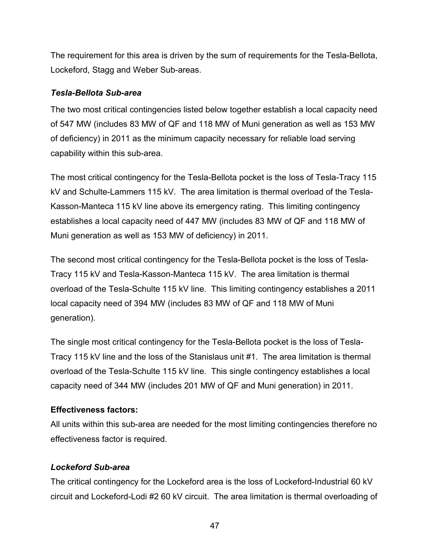The requirement for this area is driven by the sum of requirements for the Tesla-Bellota, Lockeford, Stagg and Weber Sub-areas.

## *Tesla-Bellota Sub-area*

The two most critical contingencies listed below together establish a local capacity need of 547 MW (includes 83 MW of QF and 118 MW of Muni generation as well as 153 MW of deficiency) in 2011 as the minimum capacity necessary for reliable load serving capability within this sub-area.

The most critical contingency for the Tesla-Bellota pocket is the loss of Tesla-Tracy 115 kV and Schulte-Lammers 115 kV. The area limitation is thermal overload of the Tesla-Kasson-Manteca 115 kV line above its emergency rating. This limiting contingency establishes a local capacity need of 447 MW (includes 83 MW of QF and 118 MW of Muni generation as well as 153 MW of deficiency) in 2011.

The second most critical contingency for the Tesla-Bellota pocket is the loss of Tesla-Tracy 115 kV and Tesla-Kasson-Manteca 115 kV. The area limitation is thermal overload of the Tesla-Schulte 115 kV line. This limiting contingency establishes a 2011 local capacity need of 394 MW (includes 83 MW of QF and 118 MW of Muni generation).

The single most critical contingency for the Tesla-Bellota pocket is the loss of Tesla-Tracy 115 kV line and the loss of the Stanislaus unit #1. The area limitation is thermal overload of the Tesla-Schulte 115 kV line. This single contingency establishes a local capacity need of 344 MW (includes 201 MW of QF and Muni generation) in 2011.

# **Effectiveness factors:**

All units within this sub-area are needed for the most limiting contingencies therefore no effectiveness factor is required.

# *Lockeford Sub-area*

The critical contingency for the Lockeford area is the loss of Lockeford-Industrial 60 kV circuit and Lockeford-Lodi #2 60 kV circuit. The area limitation is thermal overloading of

47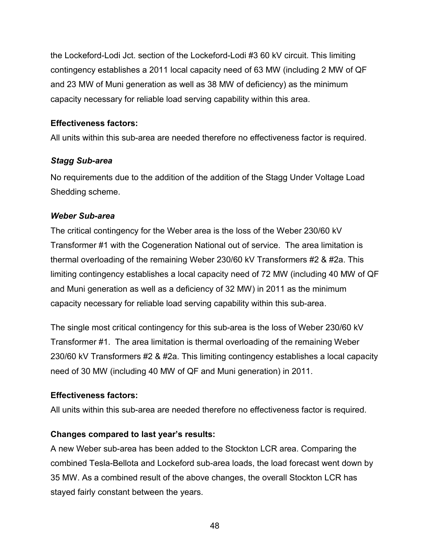the Lockeford-Lodi Jct. section of the Lockeford-Lodi #3 60 kV circuit. This limiting contingency establishes a 2011 local capacity need of 63 MW (including 2 MW of QF and 23 MW of Muni generation as well as 38 MW of deficiency) as the minimum capacity necessary for reliable load serving capability within this area.

## **Effectiveness factors:**

All units within this sub-area are needed therefore no effectiveness factor is required.

# *Stagg Sub-area*

No requirements due to the addition of the addition of the Stagg Under Voltage Load Shedding scheme.

# *Weber Sub-area*

The critical contingency for the Weber area is the loss of the Weber 230/60 kV Transformer #1 with the Cogeneration National out of service. The area limitation is thermal overloading of the remaining Weber 230/60 kV Transformers #2 & #2a. This limiting contingency establishes a local capacity need of 72 MW (including 40 MW of QF and Muni generation as well as a deficiency of 32 MW) in 2011 as the minimum capacity necessary for reliable load serving capability within this sub-area.

The single most critical contingency for this sub-area is the loss of Weber 230/60 kV Transformer #1. The area limitation is thermal overloading of the remaining Weber 230/60 kV Transformers #2 & #2a. This limiting contingency establishes a local capacity need of 30 MW (including 40 MW of QF and Muni generation) in 2011.

# **Effectiveness factors:**

All units within this sub-area are needed therefore no effectiveness factor is required.

# **Changes compared to last year's results:**

A new Weber sub-area has been added to the Stockton LCR area. Comparing the combined Tesla-Bellota and Lockeford sub-area loads, the load forecast went down by 35 MW. As a combined result of the above changes, the overall Stockton LCR has stayed fairly constant between the years.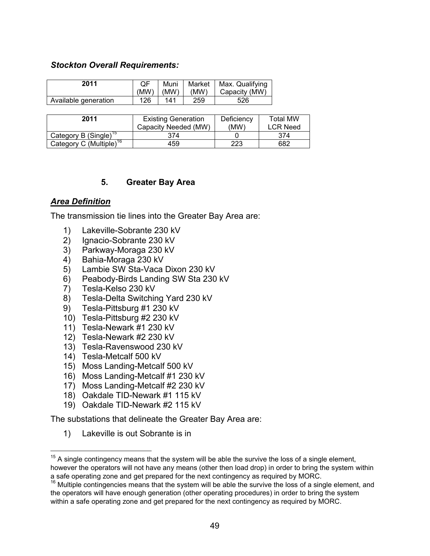#### *Stockton Overall Requirements:*

| 2011                 | OF  | Muni<br>$(MW)$ $(MW)$ | Market<br>(MW) | Max. Qualifying<br>Capacity (MW) |
|----------------------|-----|-----------------------|----------------|----------------------------------|
| Available generation | 126 | 141                   | 259            | 526                              |

| 2011                                | <b>Existing Generation</b><br>Capacity Needed (MW) | Deficiency<br>(MW) | <b>Total MW</b><br><b>LCR Need</b> |
|-------------------------------------|----------------------------------------------------|--------------------|------------------------------------|
| Category B (Single) <sup>15</sup>   | 374                                                |                    | 374                                |
| Category C (Multiple) <sup>16</sup> | 459                                                | 223                | 682                                |

### **5. Greater Bay Area**

### *Area Definition*

 $\overline{a}$ 

The transmission tie lines into the Greater Bay Area are:

- 1) Lakeville-Sobrante 230 kV
- 2) Ignacio-Sobrante 230 kV
- 3) Parkway-Moraga 230 kV
- 4) Bahia-Moraga 230 kV
- 5) Lambie SW Sta-Vaca Dixon 230 kV
- 6) Peabody-Birds Landing SW Sta 230 kV
- 7) Tesla-Kelso 230 kV
- 8) Tesla-Delta Switching Yard 230 kV
- 9) Tesla-Pittsburg #1 230 kV
- 10) Tesla-Pittsburg #2 230 kV
- 11) Tesla-Newark #1 230 kV
- 12) Tesla-Newark #2 230 kV
- 13) Tesla-Ravenswood 230 kV
- 14) Tesla-Metcalf 500 kV
- 15) Moss Landing-Metcalf 500 kV
- 16) Moss Landing-Metcalf #1 230 kV
- 17) Moss Landing-Metcalf #2 230 kV
- 18) Oakdale TID-Newark #1 115 kV
- 19) Oakdale TID-Newark #2 115 kV

The substations that delineate the Greater Bay Area are:

1) Lakeville is out Sobrante is in

 $15$  A single contingency means that the system will be able the survive the loss of a single element,

however the operators will not have any means (other then load drop) in order to bring the system within a safe operating zone and get prepared for the next contingency as required by MORC.

<sup>16</sup> Multiple contingencies means that the system will be able the survive the loss of a single element, and the operators will have enough generation (other operating procedures) in order to bring the system within a safe operating zone and get prepared for the next contingency as required by MORC.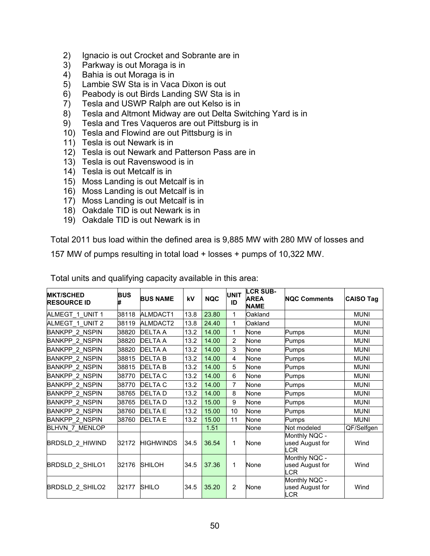- 2) Ignacio is out Crocket and Sobrante are in
- 3) Parkway is out Moraga is in
- 4) Bahia is out Moraga is in
- 5) Lambie SW Sta is in Vaca Dixon is out
- 6) Peabody is out Birds Landing SW Sta is in
- 7) Tesla and USWP Ralph are out Kelso is in
- 8) Tesla and Altmont Midway are out Delta Switching Yard is in
- 9) Tesla and Tres Vaqueros are out Pittsburg is in
- 10) Tesla and Flowind are out Pittsburg is in
- 11) Tesla is out Newark is in
- 12) Tesla is out Newark and Patterson Pass are in
- 13) Tesla is out Ravenswood is in
- 14) Tesla is out Metcalf is in
- 15) Moss Landing is out Metcalf is in
- 16) Moss Landing is out Metcalf is in
- 17) Moss Landing is out Metcalf is in
- 18) Oakdale TID is out Newark is in
- 19) Oakdale TID is out Newark is in

Total 2011 bus load within the defined area is 9,885 MW with 280 MW of losses and

157 MW of pumps resulting in total load + losses + pumps of 10,322 MW.

| <b>MKT/SCHED</b><br><b>RESOURCE ID</b> | <b>BUS</b> | <b>BUS NAME</b>  | kV   | <b>NQC</b> | <b>UNIT</b><br>ID | <b>LCR SUB-</b><br><b>AREA</b><br><b>NAME</b> | <b>INQC Comments</b>                           | <b>CAISO Tag</b> |
|----------------------------------------|------------|------------------|------|------------|-------------------|-----------------------------------------------|------------------------------------------------|------------------|
| ALMEGT 1 UNIT 1                        | 38118      | ALMDACT1         | 13.8 | 23.80      | 1                 | Oakland                                       |                                                | <b>MUNI</b>      |
| ALMEGT 1 UNIT 2                        | 38119      | ALMDACT2         | 13.8 | 24.40      | 1                 | Oakland                                       |                                                | <b>MUNI</b>      |
| <b>BANKPP 2 NSPIN</b>                  | 38820      | <b>DELTA A</b>   | 13.2 | 14.00      | $\mathbf{1}$      | None                                          | Pumps                                          | <b>MUNI</b>      |
| <b>BANKPP 2 NSPIN</b>                  | 38820      | <b>DELTA A</b>   | 13.2 | 14.00      | $\overline{2}$    | None                                          | Pumps                                          | <b>MUNI</b>      |
| <b>BANKPP 2 NSPIN</b>                  | 38820      | <b>DELTA A</b>   | 13.2 | 14.00      | 3                 | None                                          | Pumps                                          | <b>MUNI</b>      |
| <b>BANKPP 2 NSPIN</b>                  | 38815      | <b>DELTAB</b>    | 13.2 | 14.00      | 4                 | None                                          | Pumps                                          | <b>MUNI</b>      |
| <b>BANKPP 2 NSPIN</b>                  | 38815      | <b>DELTAB</b>    | 13.2 | 14.00      | 5                 | None                                          | Pumps                                          | <b>MUNI</b>      |
| <b>BANKPP 2 NSPIN</b>                  | 38770      | <b>DELTA C</b>   | 13.2 | 14.00      | 6                 | None                                          | Pumps                                          | <b>MUNI</b>      |
| <b>BANKPP 2 NSPIN</b>                  | 38770      | <b>DELTA C</b>   | 13.2 | 14.00      | $\overline{7}$    | None                                          | Pumps                                          | <b>MUNI</b>      |
| <b>BANKPP 2 NSPIN</b>                  | 38765      | <b>DELTAD</b>    | 13.2 | 14.00      | 8                 | None                                          | <b>Pumps</b>                                   | <b>MUNI</b>      |
| <b>BANKPP 2 NSPIN</b>                  | 38765      | <b>DELTAD</b>    | 13.2 | 15.00      | 9                 | None                                          | Pumps                                          | <b>MUNI</b>      |
| <b>BANKPP 2 NSPIN</b>                  | 38760      | <b>DELTA E</b>   | 13.2 | 15.00      | 10                | None                                          | <b>Pumps</b>                                   | <b>MUNI</b>      |
| <b>BANKPP 2 NSPIN</b>                  | 38760      | <b>DELTA E</b>   | 13.2 | 15.00      | 11                | None                                          | Pumps                                          | <b>MUNI</b>      |
| <b>BLHVN 7 MENLOP</b>                  |            |                  |      | 1.51       |                   | None                                          | Not modeled                                    | QF/Selfgen       |
| BRDSLD_2_HIWIND                        | 32172      | <b>HIGHWINDS</b> | 34.5 | 36.54      | 1                 | None                                          | Monthly NQC -<br>used August for<br><b>LCR</b> | Wind             |
| <b>BRDSLD 2 SHILO1</b>                 | 32176      | <b>SHILOH</b>    | 34.5 | 37.36      | 1                 | None                                          | Monthly NQC -<br>used August for<br><b>LCR</b> | Wind             |
| BRDSLD_2_SHILO2                        | 32177      | <b>SHILO</b>     | 34.5 | 35.20      | $\overline{2}$    | None                                          | Monthly NQC -<br>used August for<br>LCR        | Wind             |

Total units and qualifying capacity available in this area: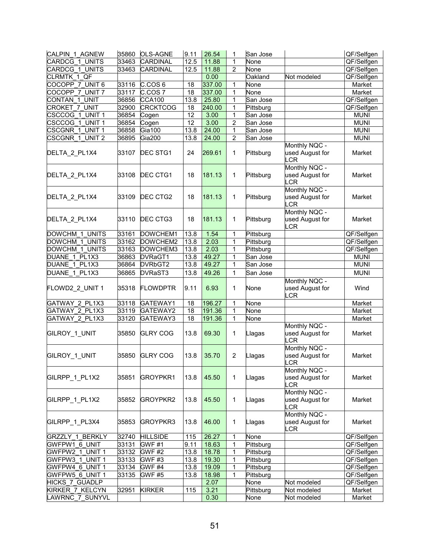| CALPIN_1_AGNEW                     | 35860 | <b>OLS-AGNE</b>      | 9.11            | 26.54  |                | San Jose         |                                                | QF/Selfgen  |
|------------------------------------|-------|----------------------|-----------------|--------|----------------|------------------|------------------------------------------------|-------------|
| CARDCG 1<br><b>UNITS</b>           | 33463 | <b>CARDINAL</b>      | 12.5            | 11.88  | 1              | None             |                                                | QF/Selfgen  |
| CARDCG 1 UNITS                     | 33463 | CARDINAL             | 12.5            | 11.88  | $\overline{2}$ | None             |                                                | QF/Selfgen  |
| CLRMTK 1 QF                        |       |                      |                 | 0.00   |                | Oakland          | Not modeled                                    | QF/Selfgen  |
| COCOPP 7<br>UNIT <sub>6</sub>      | 33116 | C.COS <sub>6</sub>   | 18              | 337.00 | 1              | None             |                                                | Market      |
| COCOPP 7 UNIT 7                    | 33117 | C.COS 7              | 18              | 337.00 | $\mathbf{1}$   | None             |                                                | Market      |
| CONTAN <sub>1</sub><br><b>UNIT</b> | 36856 | <b>CCA100</b>        | 13.8            | 25.80  | 1              | San Jose         |                                                | QF/Selfgen  |
| CROKET 7<br><b>UNIT</b>            | 32900 | <b>CRCKTCOG</b>      | 18              | 240.00 | 1              | Pittsburg        |                                                | QF/Selfgen  |
| CSCCOG 1 UNIT 1                    | 36854 | Cogen                | $\overline{12}$ | 3.00   | 1              | San Jose         |                                                | <b>MUNI</b> |
| CSCCOG 1 UNIT 1                    | 36854 | Cogen                | 12              | 3.00   | 2              | San Jose         |                                                | <b>MUNI</b> |
| CSCGNR_1_UNIT 1                    | 36858 | Gia $\overline{100}$ | 13.8            | 24.00  | $\mathbf 1$    | San Jose         |                                                | <b>MUNI</b> |
| CSCGNR 1 UNIT 2                    | 36895 | <b>Gia200</b>        | 13.8            | 24.00  | $\overline{2}$ | San Jose         |                                                | <b>MUNI</b> |
| DELTA_2_PL1X4                      | 33107 | DEC STG1             | 24              | 269.61 | 1              | Pittsburg        | Monthly NQC -<br>used August for<br><b>LCR</b> | Market      |
| DELTA_2_PL1X4                      | 33108 | DEC CTG1             | 18              | 181.13 | 1              | Pittsburg        | Monthly NQC -<br>used August for<br><b>LCR</b> | Market      |
| DELTA_2_PL1X4                      | 33109 | DEC CTG2             | 18              | 181.13 | 1              | Pittsburg        | Monthly NQC -<br>used August for<br>LCR        | Market      |
| DELTA_2_PL1X4                      | 33110 | DEC CTG3             | 18              | 181.13 | 1              | Pittsburg        | Monthly NQC -<br>used August for<br><b>LCR</b> | Market      |
| DOWCHM 1 UNITS                     | 33161 | DOWCHEM1             | 13.8            | 1.54   | $\mathbf{1}$   | <b>Pittsburg</b> |                                                | QF/Selfgen  |
| <b>DOWCHM 1 UNITS</b>              | 33162 | DOWCHEM2             | 13.8            | 2.03   | 1              | Pittsburg        |                                                | QF/Selfgen  |
| DOWCHM 1 UNITS                     | 33163 | DOWCHEM3             | 13.8            | 2.03   | 1              | Pittsburg        |                                                | QF/Selfgen  |
| DUANE_1_PL1X3                      | 36863 | DVRaGT1              | 13.8            | 49.27  | 1              | San Jose         |                                                | <b>MUNI</b> |
| DUANE 1 PL1X3                      | 36864 | DVRbGT2              | 13.8            | 49.27  | $\mathbf{1}$   | San Jose         |                                                | <b>MUNI</b> |
| DUANE 1 PL1X3                      | 36865 | DVRaST3              | 13.8            | 49.26  | 1              | San Jose         |                                                | <b>MUNI</b> |
| FLOWD2_2_UNIT 1                    | 35318 | <b>FLOWDPTR</b>      | 9.11            | 6.93   | 1              | None             | Monthly NQC -<br>used August for<br>LCR        | Wind        |
| GATWAY_2_PL1X3                     | 33118 | GATEWAY1             | 18              | 196.27 | 1              | None             |                                                | Market      |
| GATWAY 2 PL1X3                     | 33119 | GATEWAY2             | 18              | 191.36 | 1              | None             |                                                | Market      |
| GATWAY 2 PL1X3                     | 33120 | GATEWAY3             | $\overline{18}$ | 191.36 | 1              | None             |                                                | Market      |
| GILROY_1_UNIT                      | 35850 | <b>GLRY COG</b>      | 13.8            | 69.30  | 1              | Llagas           | Monthly NQC -<br>used August for<br><b>LCR</b> | Market      |
| GILROY_1_UNIT                      | 35850 | <b>GLRY COG</b>      | 13.8            | 35.70  | $\overline{2}$ | Llagas           | Monthly NQC -<br>used August for<br>LCR        | Market      |
| GILRPP 1 PL1X2                     | 35851 | GROYPKR1             | 13.8            | 45.50  | 1              | Llagas           | Monthly NQC -<br>used August for<br><b>LCR</b> | Market      |
| GILRPP_1_PL1X2                     | 35852 | <b>GROYPKR2</b>      | 13.8            | 45.50  | 1              | Llagas           | Monthly NQC -<br>used August for<br><b>LCR</b> | Market      |
| GILRPP_1_PL3X4                     | 35853 | GROYPKR3             | 13.8            | 46.00  | 1              | Llagas           | Monthly NQC -<br>used August for<br>LCR        | Market      |
| <b>GRZZLY 1 BERKLY</b>             | 32740 | <b>HILLSIDE</b>      | 115             | 26.27  | 1              | None             |                                                | QF/Selfgen  |
| GWFPW1 6<br><b>UNIT</b>            | 33131 | GWF <sub>#1</sub>    | 9.11            | 18.63  | $\mathbf{1}$   | Pittsburg        |                                                | QF/Selfgen  |
| GWFPW2 1 UNIT 1                    | 33132 | <b>GWF #2</b>        | 13.8            | 18.78  | 1              | Pittsburg        |                                                | QF/Selfgen  |
| GWFPW3 1 UNIT 1                    | 33133 | <b>GWF #3</b>        | 13.8            | 19.30  | 1              | Pittsburg        |                                                | QF/Selfgen  |
| GWFPW4_6_UNIT 1                    | 33134 | <b>GWF #4</b>        | 13.8            | 19.09  | 1              | Pittsburg        |                                                | QF/Selfgen  |
| GWFPW5 6 UNIT 1                    | 33135 | <b>GWF #5</b>        | 13.8            | 18.98  | 1              | Pittsburg        |                                                | QF/Selfgen  |
| <b>HICKS 7 GUADLP</b>              |       |                      |                 | 2.07   |                | None             | Not modeled                                    | QF/Selfgen  |
| KIRKER 7 KELCYN                    | 32951 | <b>KIRKER</b>        | 115             | 3.21   |                | Pittsburg        | Not modeled                                    | Market      |
| LAWRNC_7_SUNYVL                    |       |                      |                 | 0.30   |                | None             | Not modeled                                    | Market      |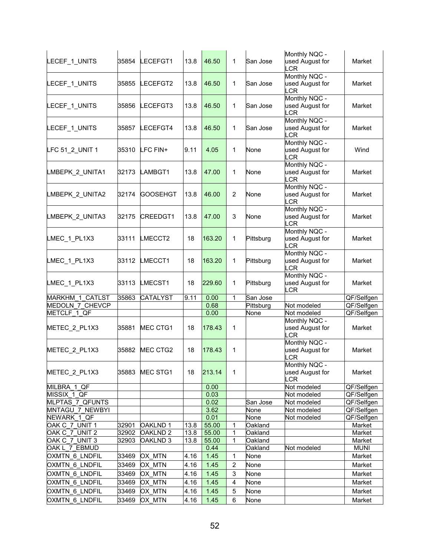|                        |       |                     |      |        |                |           | Monthly NQC -               |             |
|------------------------|-------|---------------------|------|--------|----------------|-----------|-----------------------------|-------------|
| LECEF_1_UNITS          | 35854 | LECEFGT1            | 13.8 | 46.50  | 1              | San Jose  | used August for             | Market      |
|                        |       |                     |      |        |                |           | LCR                         |             |
|                        |       |                     |      |        |                |           | Monthly NQC -               |             |
| LECEF_1_UNITS          | 35855 | LECEFGT2            | 13.8 | 46.50  | 1              | San Jose  | used August for             | Market      |
|                        |       |                     |      |        |                |           | <b>LCR</b>                  |             |
|                        |       |                     |      | 46.50  | 1              |           | Monthly NQC -               |             |
| LECEF_1_UNITS          | 35856 | LECEFGT3            | 13.8 |        |                | San Jose  | used August for<br>$_{CR}$  | Market      |
|                        |       |                     |      |        |                |           | Monthly NQC -               |             |
| LECEF_1_UNITS          | 35857 | LECEFGT4            | 13.8 | 46.50  | 1              | San Jose  | used August for             | Market      |
|                        |       |                     |      |        |                |           | LCR                         |             |
|                        |       |                     |      |        |                |           | Monthly NQC -               |             |
| LFC 51_2_UNIT 1        | 35310 | LFC FIN+            | 9.11 | 4.05   | 1              | None      | used August for             | Wind        |
|                        |       |                     |      |        |                |           | <b>LCR</b>                  |             |
|                        |       |                     |      |        |                |           | Monthly NQC -               |             |
| LMBEPK_2_UNITA1        | 32173 | LAMBGT1             | 13.8 | 47.00  | 1              | None      | used August for             | Market      |
|                        |       |                     |      |        |                |           | <b>LCR</b>                  |             |
|                        |       |                     |      |        |                |           | Monthly NQC -               |             |
| LMBEPK_2_UNITA2        | 32174 | GOOSEHGT            | 13.8 | 46.00  | $\overline{2}$ | None      | used August for             | Market      |
|                        |       |                     |      |        |                |           | LCR                         |             |
|                        |       |                     |      |        |                |           | Monthly NQC -               |             |
| LMBEPK_2_UNITA3        | 32175 | <b>CREEDGT1</b>     | 13.8 | 47.00  | 3              | None      | used August for             | Market      |
|                        |       |                     |      |        |                |           | LCR<br>Monthly NQC -        |             |
| LMEC_1_PL1X3           | 33111 | LMECCT2             | 18   | 163.20 | 1              | Pittsburg | used August for             | Market      |
|                        |       |                     |      |        |                |           | <b>LCR</b>                  |             |
|                        |       |                     |      |        |                |           | Monthly NQC -               |             |
| LMEC_1_PL1X3           | 33112 | LMECCT1             | 18   | 163.20 | 1              | Pittsburg | used August for             | Market      |
|                        |       |                     |      |        |                |           | <b>LCR</b>                  |             |
|                        |       |                     |      |        |                |           | Monthly NQC -               |             |
| LMEC_1_PL1X3           | 33113 | LMECST1             | 18   | 229.60 | 1              | Pittsburg | used August for             | Market      |
|                        |       |                     |      |        |                |           | LCR                         |             |
| MARKHM 1 CATLST        | 35863 | <b>CATALYST</b>     | 9.11 | 0.00   | 1              | San Jose  |                             | QF/Selfgen  |
| <b>MEDOLN 7 CHEVCP</b> |       |                     |      | 0.68   |                | Pittsburg | Not modeled                 | QF/Selfgen  |
| METCLF 1 QF            |       |                     |      | 0.00   |                | None      | Not modeled                 | QF/Selfgen  |
|                        |       |                     |      |        |                |           | Monthly NQC -               |             |
| METEC_2_PL1X3          | 35881 | MEC CTG1            | 18   | 178.43 | 1              |           | used August for             | Market      |
|                        |       |                     |      |        |                |           | <b>LCR</b><br>Monthly NQC - |             |
| METEC_2_PL1X3          | 35882 | MEC CTG2            | 18   | 178.43 | $\mathbf{1}$   |           | used August for             | Market      |
|                        |       |                     |      |        |                |           | .CR                         |             |
|                        |       |                     |      |        |                |           | Monthly NQC -               |             |
| METEC_2_PL1X3          | 35883 | MEC STG1            | 18   | 213.14 | $\mathbf 1$    |           | used August for             | Market      |
|                        |       |                     |      |        |                |           | LCR                         |             |
| MILBRA 1 QF            |       |                     |      | 0.00   |                |           | Not modeled                 | QF/Selfgen  |
| MISSIX 1 QF            |       |                     |      | 0.03   |                |           | Not modeled                 | QF/Selfgen  |
| MLPTAS 7_QFUNTS        |       |                     |      | 0.02   |                | San Jose  | Not modeled                 | QF/Selfgen  |
| MNTAGU 7 NEWBYI        |       |                     |      | 3.62   |                | None      | Not modeled                 | QF/Selfgen  |
| NEWARK 1 QF            |       |                     |      | 0.01   |                | None      | Not modeled                 | QF/Selfgen  |
| OAK C_7_UNIT 1         | 32901 | <b>OAKLND1</b>      | 13.8 | 55.00  | 1              | Oakland   |                             | Market      |
| OAK C_7_UNIT 2         | 32902 | OAKLND <sub>2</sub> | 13.8 | 55.00  | 1              | Oakland   |                             | Market      |
| OAK C 7 UNIT 3         | 32903 | OAKLND 3            | 13.8 | 55.00  | 1              | Oakland   |                             | Market      |
| OAK L 7 EBMUD          |       |                     |      | 0.44   |                | Oakland   | Not modeled                 | <b>MUNI</b> |
| OXMTN 6 LNDFIL         | 33469 | OX MTN              | 4.16 | 1.45   | 1              | None      |                             | Market      |
| <b>OXMTN 6 LNDFIL</b>  | 33469 | OX MTN              | 4.16 | 1.45   | $\overline{2}$ | None      |                             | Market      |
| OXMTN 6 LNDFIL         | 33469 | OX MTN              | 4.16 | 1.45   | 3              | None      |                             | Market      |
| OXMTN 6 LNDFIL         | 33469 | OX MTN              | 4.16 | 1.45   | 4              | None      |                             | Market      |
| OXMTN 6 LNDFIL         | 33469 | OX_MTN              | 4.16 | 1.45   | 5              | None      |                             | Market      |
| OXMTN 6 LNDFIL         | 33469 | OX MTN              | 4.16 | 1.45   | 6              | None      |                             | Market      |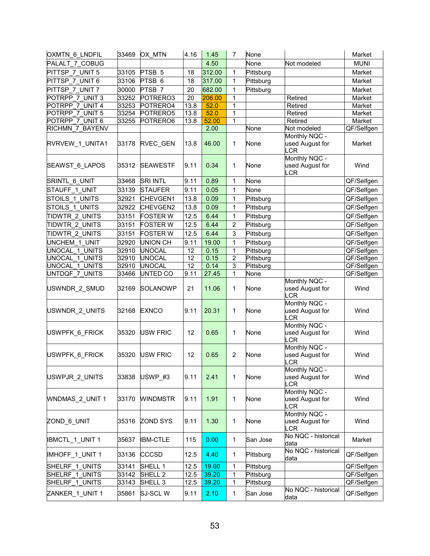| OXMTN 6 LNDFIL           | 33469 | OX MTN             | 4.16 | 1.45   | 7              | None             |                                                | Market      |
|--------------------------|-------|--------------------|------|--------|----------------|------------------|------------------------------------------------|-------------|
| PALALT 7 COBUG           |       |                    |      | 4.50   |                | None             | Not modeled                                    | <b>MUNI</b> |
| PITTSP 7 UNIT 5          | 33105 | PTSB <sub>5</sub>  | 18   | 312.00 | 1              | Pittsburg        |                                                | Market      |
| PITTSP 7 UNIT 6          | 33106 | PTSB <sub>6</sub>  | 18   | 317.00 | 1              | Pittsburg        |                                                | Market      |
| PITTSP 7 UNIT 7          | 30000 | PTSB 7             | 20   | 682.00 | $\mathbf{1}$   | Pittsburg        |                                                | Market      |
| POTRPP 7 UNIT 3          | 33252 | POTRERO3           | 20   | 206.00 | 1              |                  | Retired                                        | Market      |
| POTRPP 7 UNIT 4          | 33253 | POTRERO4           | 13.8 | 52.0   | $\mathbf{1}$   |                  | Retired                                        | Market      |
| POTRPP 7 UNIT 5          | 33254 | POTRERO5           | 13.8 | 52.0   | 1              |                  | Retired                                        | Market      |
| POTRPP 7 UNIT 6          | 33255 | POTRERO6           | 13.8 | 52.00  | 1              |                  | Retired                                        | Market      |
| <b>RICHMN 7 BAYENV</b>   |       |                    |      | 2.00   |                | None             | Not modeled                                    | QF/Selfgen  |
| RVRVEW_1_UNITA1          | 33178 | <b>RVEC GEN</b>    | 13.8 | 46.00  | 1              | None             | Monthly NQC -<br>used August for<br><b>LCR</b> | Market      |
| SEAWST_6_LAPOS           | 35312 | <b>SEAWESTF</b>    | 9.11 | 0.34   | 1              | None             | Monthly NQC -<br>used August for<br>LCR        | Wind        |
| SRINTL 6 UNIT            | 33468 | <b>SRI INTL</b>    | 9.11 | 0.89   | $\mathbf{1}$   | None             |                                                | QF/Selfgen  |
| STAUFF 1 UNIT            | 33139 | <b>STAUFER</b>     | 9.11 | 0.05   | 1              | None             |                                                | QF/Selfgen  |
| STOILS 1 UNITS           | 32921 | <b>CHEVGEN1</b>    | 13.8 | 0.09   | 1              | Pittsburg        |                                                | QF/Selfgen  |
| STOILS 1 UNITS           | 32922 | CHEVGEN2           | 13.8 | 0.09   | 1              | Pittsburg        |                                                | QF/Selfgen  |
| TIDWTR 2 UNITS           | 33151 | <b>FOSTER W</b>    | 12.5 | 6.44   | 1              | Pittsburg        |                                                | QF/Selfgen  |
| TIDWTR 2 UNITS           | 33151 | <b>FOSTER W</b>    | 12.5 | 6.44   | $\overline{2}$ | Pittsburg        |                                                | QF/Selfgen  |
| TIDWTR 2 UNITS           | 33151 | <b>FOSTER W</b>    | 12.5 | 6.44   | 3              | Pittsburg        |                                                | QF/Selfgen  |
| UNCHEM 1 UNIT            | 32920 | <b>UNION CH</b>    | 9.11 | 19.00  | 1              | Pittsburg        |                                                | QF/Selfgen  |
| UNOCAL 1 UNITS           | 32910 | <b>UNOCAL</b>      | 12   | 0.15   | $\mathbf 1$    | <b>Pittsburg</b> |                                                | QF/Selfgen  |
| <b>UNOCAL 1 UNITS</b>    | 32910 | <b>UNOCAL</b>      | 12   | 0.15   | $\overline{2}$ | <b>Pittsburg</b> |                                                | QF/Selfgen  |
| UNOCAL 1 UNITS           | 32910 | <b>UNOCAL</b>      | 12   | 0.14   | 3              | Pittsburg        |                                                | QF/Selfgen  |
| UNTDQF_7_UNITS           | 33466 | UNTED CO           | 9.11 | 27.45  | 1              | None             |                                                | QF/Selfgen  |
| USWNDR_2_SMUD            | 32169 | <b>SOLANOWP</b>    | 21   | 11.06  | 1              | None             | Monthly NQC -<br>used August for<br>LCR        | Wind        |
| USWNDR 2 UNITS           | 32168 | <b>EXNCO</b>       | 9.11 | 20.31  | 1              | None             | Monthly NQC -<br>used August for<br><b>LCR</b> | Wind        |
| USWPFK 6_FRICK           | 35320 | <b>USW FRIC</b>    | 12   | 0.65   | 1              | None             | Monthly NQC -<br>used August for<br>LCR        | Wind        |
| USWPFK 6 FRICK           | 35320 | <b>USW FRIC</b>    | 12   | 0.65   | $\overline{2}$ | None             | Monthly NQC -<br>used August for<br><b>LCR</b> | Wind        |
| USWPJR_2_UNITS           | 33838 | USWP #3            | 9.11 | 2.41   | 1              | None             | Monthly NQC -<br>used August for<br><b>LCR</b> | Wind        |
| <b>WNDMAS 2 UNIT 1</b>   | 33170 | <b>WINDMSTR</b>    | 9.11 | 1.91   | 1              | None             | Monthly NQC -<br>used August for<br>LCR        | Wind        |
| ZOND_6_UNIT              | 35316 | <b>ZOND SYS</b>    | 9.11 | 1.30   | 1              | None             | Monthly NQC -<br>used August for<br>LCR        | Wind        |
| <b>IBMCTL_1_UNIT 1</b>   | 35637 | <b>IBM-CTLE</b>    | 115  | 0.00   | $\mathbf{1}$   | San Jose         | No NQC - historical<br>data                    | Market      |
| IMHOFF_1_UNIT 1          | 33136 | <b>CCCSD</b>       | 12.5 | 4.40   | 1              | Pittsburg        | No NQC - historical<br>data                    | QF/Selfgen  |
| SHELRF 1 UNITS           | 33141 | SHELL 1            | 12.5 | 19.60  | $\mathbf{1}$   | Pittsburg        |                                                | QF/Selfgen  |
| SHELRF 1<br><b>UNITS</b> | 33142 | SHELL <sub>2</sub> | 12.5 | 39.20  | $\mathbf{1}$   | Pittsburg        |                                                | QF/Selfgen  |
| SHELRF_1_UNITS           | 33143 | SHELL <sub>3</sub> | 12.5 | 39.20  | 1              | Pittsburg        |                                                | QF/Selfgen  |
| ZANKER 1 UNIT 1          | 35861 | SJ-SCLW            | 9.11 | 2.10   | 1              | San Jose         | No NQC - historical<br>data                    | QF/Selfgen  |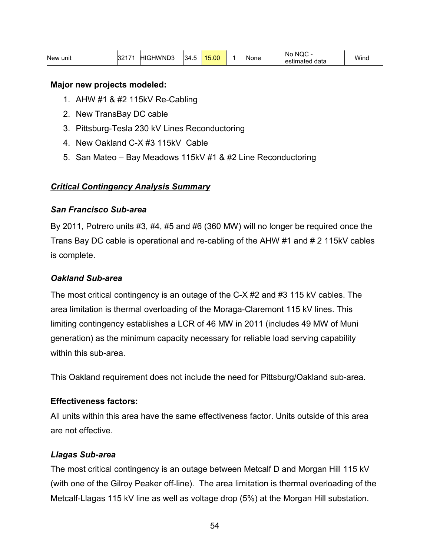| New unit | 2217<br>ے ت | <b>HIGHWND3</b> | 134.5 | 15.00 |  | None | NQC -<br><b>No</b><br>lestimated data | <b>Winc</b> |
|----------|-------------|-----------------|-------|-------|--|------|---------------------------------------|-------------|
|----------|-------------|-----------------|-------|-------|--|------|---------------------------------------|-------------|

#### **Major new projects modeled:**

- 1. AHW #1 & #2 115kV Re-Cabling
- 2. New TransBay DC cable
- 3. Pittsburg-Tesla 230 kV Lines Reconductoring
- 4. New Oakland C-X #3 115kV Cable
- 5. San Mateo Bay Meadows 115kV #1 & #2 Line Reconductoring

## *Critical Contingency Analysis Summary*

### *San Francisco Sub-area*

By 2011, Potrero units #3, #4, #5 and #6 (360 MW) will no longer be required once the Trans Bay DC cable is operational and re-cabling of the AHW #1 and # 2 115kV cables is complete.

### *Oakland Sub-area*

The most critical contingency is an outage of the C-X #2 and #3 115 kV cables. The area limitation is thermal overloading of the Moraga-Claremont 115 kV lines. This limiting contingency establishes a LCR of 46 MW in 2011 (includes 49 MW of Muni generation) as the minimum capacity necessary for reliable load serving capability within this sub-area.

This Oakland requirement does not include the need for Pittsburg/Oakland sub-area.

## **Effectiveness factors:**

All units within this area have the same effectiveness factor. Units outside of this area are not effective.

## *Llagas Sub-area*

The most critical contingency is an outage between Metcalf D and Morgan Hill 115 kV (with one of the Gilroy Peaker off-line). The area limitation is thermal overloading of the Metcalf-Llagas 115 kV line as well as voltage drop (5%) at the Morgan Hill substation.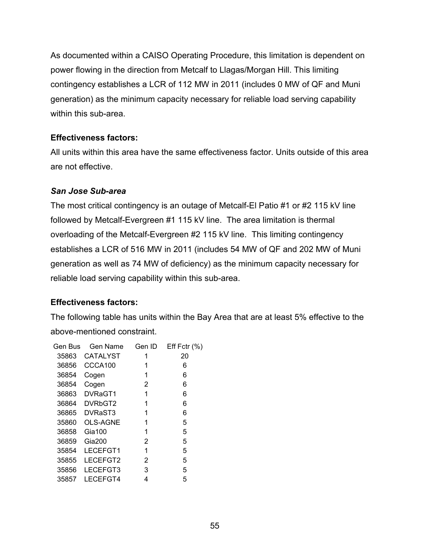As documented within a CAISO Operating Procedure, this limitation is dependent on power flowing in the direction from Metcalf to Llagas/Morgan Hill. This limiting contingency establishes a LCR of 112 MW in 2011 (includes 0 MW of QF and Muni generation) as the minimum capacity necessary for reliable load serving capability within this sub-area.

## **Effectiveness factors:**

All units within this area have the same effectiveness factor. Units outside of this area are not effective.

# *San Jose Sub-area*

The most critical contingency is an outage of Metcalf-El Patio #1 or #2 115 kV line followed by Metcalf-Evergreen #1 115 kV line. The area limitation is thermal overloading of the Metcalf-Evergreen #2 115 kV line. This limiting contingency establishes a LCR of 516 MW in 2011 (includes 54 MW of QF and 202 MW of Muni generation as well as 74 MW of deficiency) as the minimum capacity necessary for reliable load serving capability within this sub-area.

# **Effectiveness factors:**

The following table has units within the Bay Area that are at least 5% effective to the above-mentioned constraint.

| Gen Bus | <b>Gen Name</b> | Gen ID | Eff Fctr $(\%)$ |
|---------|-----------------|--------|-----------------|
| 35863   | <b>CATALYST</b> | 1      | 20              |
| 36856   | CCCA100         | 1      | 6               |
| 36854   | Cogen           | 1      | 6               |
| 36854   | Cogen           | 2      | 6               |
| 36863   | DVRaGT1         | 1      | 6               |
| 36864   | DVRbGT2         | 1      | 6               |
| 36865   | DVRaST3         | 1      | 6               |
| 35860   | <b>OLS-AGNE</b> | 1      | 5               |
| 36858   | $Gi$ a 100      | 1      | 5               |
| 36859   | <b>Gia200</b>   | 2      | 5               |
| 35854   | LECEFGT1        | 1      | 5               |
| 35855   | LECEFGT2        | 2      | 5               |
| 35856   | LECEFGT3        | 3      | 5               |
| 35857   | LECEFGT4        | 4      | 5               |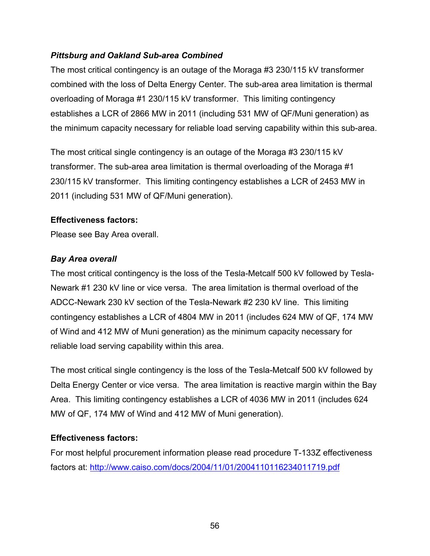## *Pittsburg and Oakland Sub-area Combined*

The most critical contingency is an outage of the Moraga #3 230/115 kV transformer combined with the loss of Delta Energy Center. The sub-area area limitation is thermal overloading of Moraga #1 230/115 kV transformer. This limiting contingency establishes a LCR of 2866 MW in 2011 (including 531 MW of QF/Muni generation) as the minimum capacity necessary for reliable load serving capability within this sub-area.

The most critical single contingency is an outage of the Moraga #3 230/115 kV transformer. The sub-area area limitation is thermal overloading of the Moraga #1 230/115 kV transformer. This limiting contingency establishes a LCR of 2453 MW in 2011 (including 531 MW of QF/Muni generation).

### **Effectiveness factors:**

Please see Bay Area overall.

# *Bay Area overall*

The most critical contingency is the loss of the Tesla-Metcalf 500 kV followed by Tesla-Newark #1 230 kV line or vice versa. The area limitation is thermal overload of the ADCC-Newark 230 kV section of the Tesla-Newark #2 230 kV line. This limiting contingency establishes a LCR of 4804 MW in 2011 (includes 624 MW of QF, 174 MW of Wind and 412 MW of Muni generation) as the minimum capacity necessary for reliable load serving capability within this area.

The most critical single contingency is the loss of the Tesla-Metcalf 500 kV followed by Delta Energy Center or vice versa. The area limitation is reactive margin within the Bay Area. This limiting contingency establishes a LCR of 4036 MW in 2011 (includes 624 MW of QF, 174 MW of Wind and 412 MW of Muni generation).

# **Effectiveness factors:**

For most helpful procurement information please read procedure T-133Z effectiveness factors at: http://www.caiso.com/docs/2004/11/01/2004110116234011719.pdf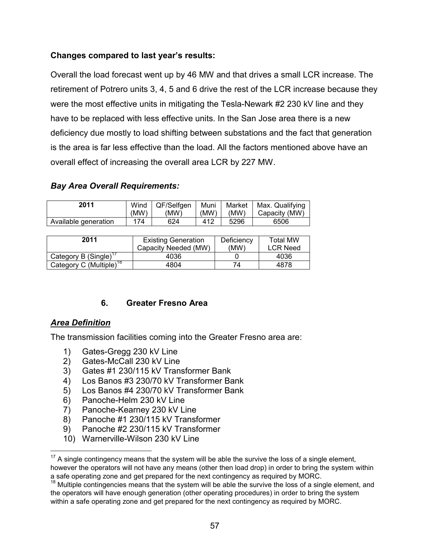## **Changes compared to last year's results:**

Overall the load forecast went up by 46 MW and that drives a small LCR increase. The retirement of Potrero units 3, 4, 5 and 6 drive the rest of the LCR increase because they were the most effective units in mitigating the Tesla-Newark #2 230 kV line and they have to be replaced with less effective units. In the San Jose area there is a new deficiency due mostly to load shifting between substations and the fact that generation is the area is far less effective than the load. All the factors mentioned above have an overall effect of increasing the overall area LCR by 227 MW.

#### *Bay Area Overall Requirements:*

| 2011                 | Wind | QF/Selfgen | Muni | Market | Max. Qualifying |
|----------------------|------|------------|------|--------|-----------------|
|                      | (MW) | 'MW)       | (MW) | (MW)   | Capacity (MW)   |
| Available generation | 174  | 624        | 412  | 5296   | 6506            |

| 2011                                | <b>Existing Generation</b><br>Capacity Needed (MW) | Deficiency<br>(MW) | <b>Total MW</b><br><b>LCR Need</b> |
|-------------------------------------|----------------------------------------------------|--------------------|------------------------------------|
| Category B (Single) <sup>17</sup>   | 4036                                               |                    | 4036                               |
| Category C (Multiple) <sup>18</sup> | 4804                                               | 74                 | 4878                               |

#### **6. Greater Fresno Area**

#### *Area Definition*

 $\overline{a}$ 

The transmission facilities coming into the Greater Fresno area are:

- 1) Gates-Gregg 230 kV Line
- 2) Gates-McCall 230 kV Line
- 3) Gates #1 230/115 kV Transformer Bank
- 4) Los Banos #3 230/70 kV Transformer Bank
- 5) Los Banos #4 230/70 kV Transformer Bank
- 6) Panoche-Helm 230 kV Line
- 7) Panoche-Kearney 230 kV Line
- 8) Panoche #1 230/115 kV Transformer
- 9) Panoche #2 230/115 kV Transformer
- 10) Warnerville-Wilson 230 kV Line

 $17$  A single contingency means that the system will be able the survive the loss of a single element, however the operators will not have any means (other then load drop) in order to bring the system within a safe operating zone and get prepared for the next contingency as required by MORC.

 $18$  Multiple contingencies means that the system will be able the survive the loss of a single element, and the operators will have enough generation (other operating procedures) in order to bring the system within a safe operating zone and get prepared for the next contingency as required by MORC.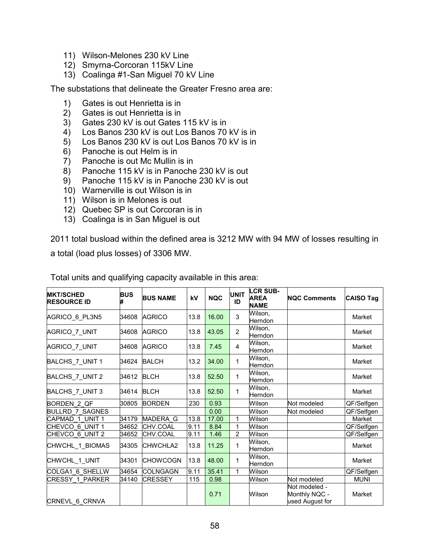- 11) Wilson-Melones 230 kV Line
- 12) Smyrna-Corcoran 115kV Line
- 13) Coalinga #1-San Miguel 70 kV Line

The substations that delineate the Greater Fresno area are:

- 1) Gates is out Henrietta is in
- 2) Gates is out Henrietta is in
- 3) Gates 230 kV is out Gates 115 kV is in
- 4) Los Banos 230 kV is out Los Banos 70 kV is in
- 5) Los Banos 230 kV is out Los Banos 70 kV is in
- 6) Panoche is out Helm is in
- 7) Panoche is out Mc Mullin is in
- 8) Panoche 115 kV is in Panoche 230 kV is out
- 9) Panoche 115 kV is in Panoche 230 kV is out
- 10) Warnerville is out Wilson is in
- 11) Wilson is in Melones is out
- 12) Quebec SP is out Corcoran is in
- 13) Coalinga is in San Miguel is out

2011 total busload within the defined area is 3212 MW with 94 MW of losses resulting in a total (load plus losses) of 3306 MW.

| <b>MKT/SCHED</b><br><b>RESOURCE ID</b> | <b>BUS</b> | <b>BUS NAME</b> | kV   | <b>NQC</b> | <b>UNIT</b><br>ID | <b>LCR SUB-</b><br><b>AREA</b><br><b>NAME</b> | <b>NOC Comments</b>                               | <b>CAISO Tag</b> |
|----------------------------------------|------------|-----------------|------|------------|-------------------|-----------------------------------------------|---------------------------------------------------|------------------|
| AGRICO 6 PL3N5                         | 34608      | <b>AGRICO</b>   | 13.8 | 16.00      | 3                 | Wilson.<br>Herndon                            |                                                   | Market           |
| AGRICO 7 UNIT                          | 34608      | <b>AGRICO</b>   | 13.8 | 43.05      | $\overline{2}$    | Wilson,<br>Herndon                            |                                                   | Market           |
| AGRICO 7 UNIT                          | 34608      | <b>AGRICO</b>   | 13.8 | 7.45       | 4                 | Wilson,<br>Herndon                            |                                                   | Market           |
| BALCHS 7 UNIT 1                        | 34624      | <b>BALCH</b>    | 13.2 | 34.00      | 1                 | Wilson,<br>Herndon                            |                                                   | Market           |
| BALCHS_7_UNIT 2                        | 34612      | <b>BLCH</b>     | 13.8 | 52.50      | 1                 | Wilson,<br>Herndon                            |                                                   | Market           |
| BALCHS_7_UNIT 3                        | 34614      | <b>BLCH</b>     | 13.8 | 52.50      | 1                 | Wilson,<br>Herndon                            |                                                   | Market           |
| BORDEN 2 QF                            | 30805      | <b>BORDEN</b>   | 230  | 0.93       |                   | Wilson                                        | Not modeled                                       | QF/Selfgen       |
| <b>BULLRD 7 SAGNES</b>                 |            |                 |      | 0.00       |                   | Wilson                                        | Not modeled                                       | QF/Selfgen       |
| CAPMAD 1 UNIT 1                        | 34179      | <b>MADERA G</b> | 13.8 | 17.00      | 1                 | Wilson                                        |                                                   | Market           |
| CHEVCO 6 UNIT 1                        | 34652      | CHV.COAL        | 9.11 | 8.84       | 1                 | Wilson                                        |                                                   | QF/Selfgen       |
| CHEVCO 6 UNIT 2                        | 34652      | <b>CHV.COAL</b> | 9.11 | 1.46       | $\overline{2}$    | Wilson                                        |                                                   | QF/Selfgen       |
| CHWCHL 1 BIOMAS                        | 34305      | <b>CHWCHLA2</b> | 13.8 | 11.25      | 1                 | Wilson,<br>Herndon                            |                                                   | Market           |
| CHWCHL 1 UNIT                          | 34301      | <b>CHOWCOGN</b> | 13.8 | 48.00      | 1                 | Wilson,<br>Herndon                            |                                                   | Market           |
| COLGA1 6 SHELLW                        | 34654      | <b>COLNGAGN</b> | 9.11 | 35.41      | 1                 | Wilson                                        |                                                   | QF/Selfgen       |
| <b>CRESSY 1 PARKER</b>                 | 34140      | <b>CRESSEY</b>  | 115  | 0.98       |                   | Wilson                                        | Not modeled                                       | <b>MUNI</b>      |
| CRNEVL 6_CRNVA                         |            |                 |      | 0.71       |                   | Wilson                                        | Not modeled -<br>Monthly NQC -<br>used August for | Market           |

Total units and qualifying capacity available in this area: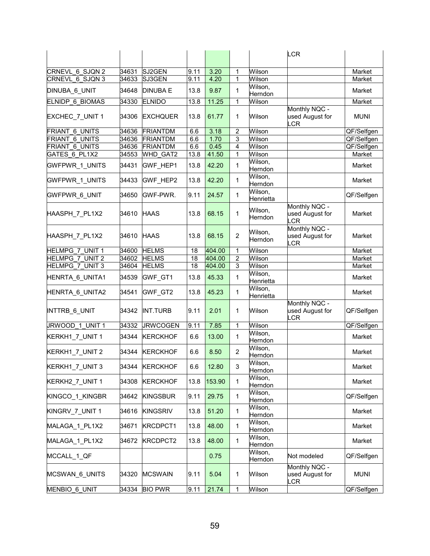|                        |       |                 |      |        |                |                      | <b>LCR</b>                                     |             |
|------------------------|-------|-----------------|------|--------|----------------|----------------------|------------------------------------------------|-------------|
|                        |       |                 |      |        |                |                      |                                                |             |
| CRNEVL 6 SJQN 2        | 34631 | SJ2GEN          | 9.11 | 3.20   | 1              | Wilson               |                                                | Market      |
| CRNEVL 6 SJQN 3        | 34633 | SJ3GEN          | 9.11 | 4.20   | 1              | Wilson               |                                                | Market      |
|                        |       |                 |      |        |                | Wilson,              |                                                |             |
| DINUBA 6 UNIT          | 34648 | <b>DINUBA E</b> | 13.8 | 9.87   | 1              | Herndon              |                                                | Market      |
| <b>ELNIDP 6 BIOMAS</b> | 34330 | <b>ELNIDO</b>   | 13.8 | 11.25  | 1              | Wilson               |                                                | Market      |
| EXCHEC_7_UNIT 1        | 34306 | <b>EXCHQUER</b> | 13.8 | 61.77  | 1              | Wilson               | Monthly NQC -<br>used August for<br>CR         | <b>MUNI</b> |
| <b>FRIANT 6 UNITS</b>  | 34636 | <b>FRIANTDM</b> | 6.6  | 3.18   | $\overline{2}$ | Wilson               |                                                | QF/Selfgen  |
| <b>FRIANT 6 UNITS</b>  | 34636 | <b>FRIANTDM</b> | 6.6  | 1.70   | 3              | Wilson               |                                                | QF/Selfgen  |
| FRIANT 6 UNITS         | 34636 | <b>FRIANTDM</b> | 6.6  | 0.45   | 4              | Wilson               |                                                | QF/Selfgen  |
| GATES 6 PL1X2          | 34553 | <b>WHD GAT2</b> | 13.8 | 41.50  | 1              | Wilson               |                                                | Market      |
|                        |       |                 |      |        |                | Wilson,              |                                                |             |
| <b>GWFPWR 1 UNITS</b>  | 34431 | GWF_HEP1        | 13.8 | 42.20  | 1              | Herndon              |                                                | Market      |
| GWFPWR_1_UNITS         | 34433 | GWF_HEP2        | 13.8 | 42.20  | 1              | Wilson,              |                                                | Market      |
|                        |       |                 |      |        |                | Herndon              |                                                |             |
| GWFPWR_6_UNIT          | 34650 | GWF-PWR.        | 9.11 | 24.57  | 1              | Wilson,              |                                                | QF/Selfgen  |
|                        |       |                 |      |        |                | Henrietta            |                                                |             |
| HAASPH_7_PL1X2         | 34610 | <b>HAAS</b>     | 13.8 | 68.15  | 1              | Wilson,<br>Herndon   | Monthly NQC -<br>used August for<br><b>LCR</b> | Market      |
| HAASPH_7_PL1X2         | 34610 | <b>HAAS</b>     | 13.8 | 68.15  | 2              | Wilson,<br>Herndon   | Monthly NQC -<br>used August for<br>LCR        | Market      |
| <b>HELMPG 7 UNIT 1</b> | 34600 | <b>HELMS</b>    | 18   | 404.00 | 1              | Wilson               |                                                | Market      |
| <b>HELMPG 7 UNIT 2</b> | 34602 | <b>HELMS</b>    | 18   | 404.00 | $\overline{2}$ | Wilson               |                                                | Market      |
| <b>HELMPG 7 UNIT 3</b> | 34604 | <b>HELMS</b>    | 18   | 404.00 | 3              | Wilson               |                                                | Market      |
| HENRTA_6_UNITA1        | 34539 | GWF_GT1         | 13.8 | 45.33  | 1              | Wilson,<br>Henrietta |                                                | Market      |
| HENRTA_6_UNITA2        | 34541 | GWF GT2         | 13.8 | 45.23  | 1              | Wilson,<br>Henrietta |                                                | Market      |
| INTTRB_6_UNIT          | 34342 | <b>INT.TURB</b> | 9.11 | 2.01   | 1              | Wilson               | Monthly NQC -<br>used August for<br>LCR        | QF/Selfgen  |
| JRWOOD 1 UNIT 1        | 34332 | <b>JRWCOGEN</b> | 9.11 | 7.85   | 1              | Wilson               |                                                | QF/Selfgen  |
| KERKH1_7_UNIT 1        | 34344 | <b>KERCKHOF</b> | 6.6  | 13.00  | 1              | Wilson,<br>Herndon   |                                                | Market      |
| KERKH1_7_UNIT 2        | 34344 | <b>KERCKHOF</b> | 6.6  | 8.50   | $\overline{2}$ | Wilson,<br>Herndon   |                                                | Market      |
| KERKH1_7_UNIT 3        | 34344 | <b>KERCKHOF</b> | 6.6  | 12.80  | 3              | Wilson,<br>Herndon   |                                                | Market      |
| KERKH2 7 UNIT 1        | 34308 | <b>KERCKHOF</b> | 13.8 | 153.90 | $\mathbf{1}$   | Wilson,<br>Herndon   |                                                | Market      |
| KINGCO_1_KINGBR        | 34642 | <b>KINGSBUR</b> | 9.11 | 29.75  | 1              | Wilson,<br>Herndon   |                                                | QF/Selfgen  |
| KINGRV 7 UNIT 1        | 34616 | <b>KINGSRIV</b> | 13.8 | 51.20  | $\mathbf{1}$   | Wilson,<br>Herndon   |                                                | Market      |
| MALAGA_1_PL1X2         | 34671 | <b>KRCDPCT1</b> | 13.8 | 48.00  | 1              | Wilson,<br>Herndon   |                                                | Market      |
| MALAGA_1_PL1X2         | 34672 | KRCDPCT2        | 13.8 | 48.00  | 1              | Wilson,<br>Herndon   |                                                | Market      |
| MCCALL_1_QF            |       |                 |      | 0.75   |                | Wilson,<br>Herndon   | Not modeled                                    | QF/Selfgen  |
| MCSWAN_6_UNITS         | 34320 | <b>MCSWAIN</b>  | 9.11 | 5.04   | 1              | Wilson               | Monthly NQC -<br>used August for<br>LCR        | <b>MUNI</b> |
| <b>MENBIO 6 UNIT</b>   | 34334 | <b>BIO PWR</b>  | 9.11 | 21.74  | 1              | Wilson               |                                                | QF/Selfgen  |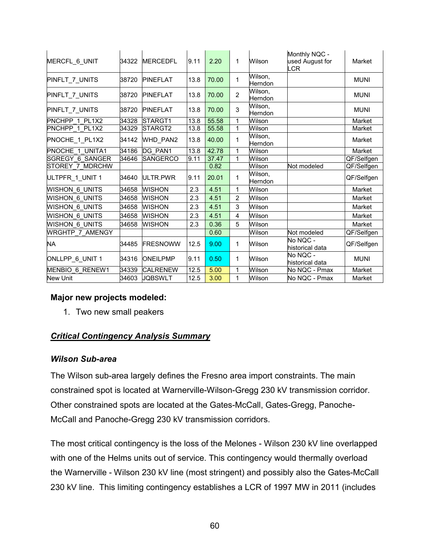| MERCFL_6_UNIT          | 34322 | <b>IMERCEDFL</b> | 9.11 | 2.20  | 1              | Wilson             | Monthly NQC -<br>used August for<br>LCR | Market      |
|------------------------|-------|------------------|------|-------|----------------|--------------------|-----------------------------------------|-------------|
| <b>PINFLT 7 UNITS</b>  | 38720 | <b>PINEFLAT</b>  | 13.8 | 70.00 | 1              | Wilson,<br>Herndon |                                         | <b>MUNI</b> |
| PINFLT_7_UNITS         | 38720 | <b>PINEFLAT</b>  | 13.8 | 70.00 | 2              | Wilson,<br>Herndon |                                         | <b>MUNI</b> |
| PINFLT_7_UNITS         | 38720 | <b>PINEFLAT</b>  | 13.8 | 70.00 | 3              | Wilson,<br>Herndon |                                         | <b>MUNI</b> |
| PNCHPP 1 PL1X2         | 34328 | STARGT1          | 13.8 | 55.58 | 1              | Wilson             |                                         | Market      |
| PNCHPP 1 PL1X2         | 34329 | STARGT2          | 13.8 | 55.58 | 1              | Wilson             |                                         | Market      |
| PNOCHE 1 PL1X2         | 34142 | WHD_PAN2         | 13.8 | 40.00 | 1              | Wilson,<br>Herndon |                                         | Market      |
| <b>PNOCHE 1 UNITA1</b> | 34186 | DG PAN1          | 13.8 | 42.78 | 1              | Wilson             |                                         | Market      |
| <b>SGREGY 6 SANGER</b> | 34646 | <b>SANGERCO</b>  | 9.11 | 37.47 | 1              | Wilson             |                                         | QF/Selfgen  |
| STOREY 7 MDRCHW        |       |                  |      | 0.82  |                | Wilson             | Not modeled                             | QF/Selfgen  |
| ULTPFR_1_UNIT 1        | 34640 | ULTR.PWR         | 9.11 | 20.01 | 1              | Wilson,<br>Herndon |                                         | QF/Selfgen  |
| <b>WISHON 6 UNITS</b>  | 34658 | <b>WISHON</b>    | 2.3  | 4.51  | 1              | Wilson             |                                         | Market      |
| WISHON 6 UNITS         | 34658 | <b>WISHON</b>    | 2.3  | 4.51  | 2              | Wilson             |                                         | Market      |
| WISHON 6 UNITS         | 34658 | <b>WISHON</b>    | 2.3  | 4.51  | 3              | Wilson             |                                         | Market      |
| WISHON 6 UNITS         | 34658 | <b>WISHON</b>    | 2.3  | 4.51  | $\overline{4}$ | Wilson             |                                         | Market      |
| <b>WISHON 6 UNITS</b>  | 34658 | <b>WISHON</b>    | 2.3  | 0.36  | 5              | Wilson             |                                         | Market      |
| <b>WRGHTP 7 AMENGY</b> |       |                  |      | 0.60  |                | Wilson             | Not modeled                             | QF/Selfgen  |
| <b>NA</b>              | 34485 | FRESNOWW         | 12.5 | 9.00  | $\mathbf{1}$   | Wilson             | No NQC -<br>historical data             | QF/Selfgen  |
| ONLLPP_6_UNIT 1        | 34316 | <b>ONEILPMP</b>  | 9.11 | 0.50  | 1              | Wilson             | No NQC -<br>historical data             | <b>MUNI</b> |
| MENBIO 6 RENEW1        | 34339 | <b>CALRENEW</b>  | 12.5 | 5.00  | 1              | Wilson             | No NQC - Pmax                           | Market      |
| <b>New Unit</b>        | 34603 | <b>JOBSWLT</b>   | 12.5 | 3.00  | 1              | Wilson             | No NQC - Pmax                           | Market      |

#### **Major new projects modeled:**

1. Two new small peakers

## *Critical Contingency Analysis Summary*

#### *Wilson Sub-area*

The Wilson sub-area largely defines the Fresno area import constraints. The main constrained spot is located at Warnerville-Wilson-Gregg 230 kV transmission corridor. Other constrained spots are located at the Gates-McCall, Gates-Gregg, Panoche-McCall and Panoche-Gregg 230 kV transmission corridors.

The most critical contingency is the loss of the Melones - Wilson 230 kV line overlapped with one of the Helms units out of service. This contingency would thermally overload the Warnerville - Wilson 230 kV line (most stringent) and possibly also the Gates-McCall 230 kV line. This limiting contingency establishes a LCR of 1997 MW in 2011 (includes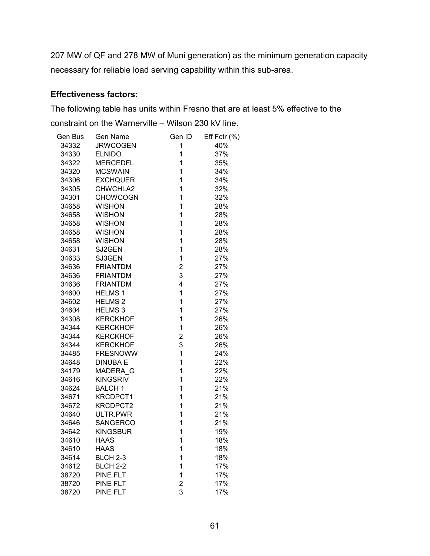207 MW of QF and 278 MW of Muni generation) as the minimum generation capacity necessary for reliable load serving capability within this sub-area.

#### **Effectiveness factors:**

The following table has units within Fresno that are at least 5% effective to the constraint on the Warnerville – Wilson 230 kV line.

| Gen Bus | Gen Name        | Gen ID                  | Eff Fctr (%) |
|---------|-----------------|-------------------------|--------------|
| 34332   | <b>JRWCOGEN</b> | 1                       | 40%          |
| 34330   | <b>ELNIDO</b>   | $\mathbf 1$             | 37%          |
| 34322   | <b>MERCEDFL</b> | $\mathbf 1$             | 35%          |
| 34320   | <b>MCSWAIN</b>  | 1                       | 34%          |
| 34306   | <b>EXCHQUER</b> | $\overline{1}$          | 34%          |
| 34305   | CHWCHLA2        | 1                       | 32%          |
| 34301   | <b>CHOWCOGN</b> | $\mathbf 1$             | 32%          |
| 34658   | <b>WISHON</b>   | $\mathbf 1$             | 28%          |
| 34658   | <b>WISHON</b>   | $\mathbf 1$             | 28%          |
| 34658   | <b>WISHON</b>   | 1                       | 28%          |
| 34658   | <b>WISHON</b>   | 1                       | 28%          |
| 34658   | <b>WISHON</b>   | 1                       | 28%          |
| 34631   | SJ2GEN          | $\mathbf 1$             | 28%          |
| 34633   | SJ3GEN          | $\mathbf 1$             | 27%          |
| 34636   | <b>FRIANTDM</b> | $\overline{\mathbf{c}}$ | 27%          |
| 34636   | <b>FRIANTDM</b> | 3                       | 27%          |
| 34636   | <b>FRIANTDM</b> | 4                       | 27%          |
| 34600   | <b>HELMS1</b>   | $\mathbf 1$             | 27%          |
| 34602   | <b>HELMS 2</b>  | $\mathbf 1$             | 27%          |
| 34604   | <b>HELMS3</b>   | 1                       | 27%          |
| 34308   | <b>KERCKHOF</b> | 1                       | 26%          |
| 34344   | <b>KERCKHOF</b> | 1                       | 26%          |
| 34344   | <b>KERCKHOF</b> | $\overline{2}$          | 26%          |
| 34344   | <b>KERCKHOF</b> | 3                       | 26%          |
| 34485   | <b>FRESNOWW</b> | 1                       | 24%          |
| 34648   | <b>DINUBA E</b> | $\mathbf 1$             | 22%          |
| 34179   | MADERA G        | $\mathbf 1$             | 22%          |
| 34616   | <b>KINGSRIV</b> | $\mathbf 1$             | 22%          |
| 34624   | <b>BALCH1</b>   | 1                       | 21%          |
| 34671   | KRCDPCT1        | $\mathbf 1$             | 21%          |
| 34672   | KRCDPCT2        | 1                       | 21%          |
| 34640   | ULTR.PWR        | $\mathbf 1$             | 21%          |
| 34646   | <b>SANGERCO</b> | 1                       | 21%          |
| 34642   | <b>KINGSBUR</b> | 1                       | 19%          |
| 34610   | <b>HAAS</b>     | 1                       | 18%          |
| 34610   | <b>HAAS</b>     | $\mathbf 1$             | 18%          |
| 34614   | <b>BLCH 2-3</b> | 1                       | 18%          |
| 34612   | <b>BLCH 2-2</b> | $\mathbf 1$             | 17%          |
| 38720   | PINE FLT        | 1                       | 17%          |
| 38720   | PINE FLT        | $\overline{2}$          | 17%          |
| 38720   | <b>PINE FLT</b> | 3                       | 17%          |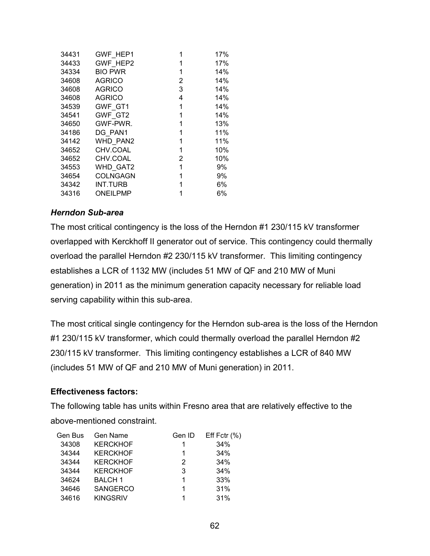| 34431 | <b>GWF HEP1</b> |   | 17% |
|-------|-----------------|---|-----|
| 34433 | GWF HEP2        | 1 | 17% |
| 34334 | <b>BIO PWR</b>  | 1 | 14% |
| 34608 | <b>AGRICO</b>   | 2 | 14% |
| 34608 | <b>AGRICO</b>   | 3 | 14% |
| 34608 | <b>AGRICO</b>   | 4 | 14% |
| 34539 | GWF GT1         | 1 | 14% |
| 34541 | GWF GT2         | 1 | 14% |
| 34650 | GWF-PWR.        | 1 | 13% |
| 34186 | DG PAN1         | 1 | 11% |
| 34142 | WHD PAN2        | 1 | 11% |
| 34652 | CHV.COAL        | 1 | 10% |
| 34652 | CHV.COAL        | 2 | 10% |
| 34553 | <b>WHD GAT2</b> | 1 | 9%  |
| 34654 | <b>COLNGAGN</b> | 1 | 9%  |
| 34342 | INT.TURB        | 1 | 6%  |
| 34316 | ONEILPMP        | 1 | 6%  |

#### *Herndon Sub-area*

The most critical contingency is the loss of the Herndon #1 230/115 kV transformer overlapped with Kerckhoff II generator out of service. This contingency could thermally overload the parallel Herndon #2 230/115 kV transformer. This limiting contingency establishes a LCR of 1132 MW (includes 51 MW of QF and 210 MW of Muni generation) in 2011 as the minimum generation capacity necessary for reliable load serving capability within this sub-area.

The most critical single contingency for the Herndon sub-area is the loss of the Herndon #1 230/115 kV transformer, which could thermally overload the parallel Herndon #2 230/115 kV transformer. This limiting contingency establishes a LCR of 840 MW (includes 51 MW of QF and 210 MW of Muni generation) in 2011.

#### **Effectiveness factors:**

The following table has units within Fresno area that are relatively effective to the above-mentioned constraint.

| Gen Bus | Gen Name        | Gen ID | Eff Fctr $(% )$ |
|---------|-----------------|--------|-----------------|
| 34308   | <b>KERCKHOF</b> | 1      | 34%             |
| 34344   | <b>KERCKHOF</b> | 1      | 34%             |
| 34344   | <b>KERCKHOF</b> | 2      | 34%             |
| 34344   | <b>KERCKHOF</b> | 3      | 34%             |
| 34624   | <b>BALCH1</b>   | 1      | 33%             |
| 34646   | <b>SANGERCO</b> | 1      | 31%             |
| 34616   | <b>KINGSRIV</b> |        | 31%             |
|         |                 |        |                 |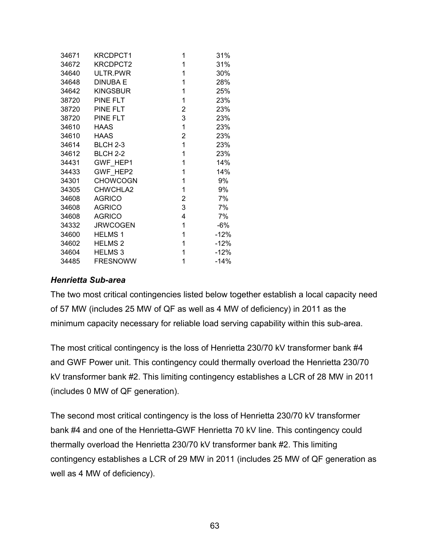| 34671 | <b>KRCDPCT1</b> | 1 | 31%    |
|-------|-----------------|---|--------|
| 34672 | KRCDPCT2        | 1 | 31%    |
| 34640 | ULTR.PWR        | 1 | 30%    |
| 34648 | <b>DINUBA E</b> | 1 | 28%    |
| 34642 | <b>KINGSBUR</b> | 1 | 25%    |
| 38720 | PINE FLT        | 1 | 23%    |
| 38720 | PINE FLT        | 2 | 23%    |
| 38720 | <b>PINE FLT</b> | 3 | 23%    |
| 34610 | <b>HAAS</b>     | 1 | 23%    |
| 34610 | <b>HAAS</b>     | 2 | 23%    |
| 34614 | <b>BLCH 2-3</b> | 1 | 23%    |
| 34612 | <b>BLCH 2-2</b> | 1 | 23%    |
| 34431 | GWF HEP1        | 1 | 14%    |
| 34433 | GWF HEP2        | 1 | 14%    |
| 34301 | <b>CHOWCOGN</b> | 1 | 9%     |
| 34305 | CHWCHLA2        | 1 | 9%     |
| 34608 | <b>AGRICO</b>   | 2 | 7%     |
| 34608 | <b>AGRICO</b>   | 3 | 7%     |
| 34608 | <b>AGRICO</b>   | 4 | 7%     |
| 34332 | <b>JRWCOGEN</b> | 1 | -6%    |
| 34600 | <b>HELMS1</b>   | 1 | $-12%$ |
| 34602 | <b>HELMS 2</b>  | 1 | $-12%$ |
| 34604 | <b>HELMS3</b>   | 1 | $-12%$ |
| 34485 | <b>FRESNOWW</b> | 1 | $-14%$ |

#### *Henrietta Sub-area*

The two most critical contingencies listed below together establish a local capacity need of 57 MW (includes 25 MW of QF as well as 4 MW of deficiency) in 2011 as the minimum capacity necessary for reliable load serving capability within this sub-area.

The most critical contingency is the loss of Henrietta 230/70 kV transformer bank #4 and GWF Power unit. This contingency could thermally overload the Henrietta 230/70 kV transformer bank #2. This limiting contingency establishes a LCR of 28 MW in 2011 (includes 0 MW of QF generation).

The second most critical contingency is the loss of Henrietta 230/70 kV transformer bank #4 and one of the Henrietta-GWF Henrietta 70 kV line. This contingency could thermally overload the Henrietta 230/70 kV transformer bank #2. This limiting contingency establishes a LCR of 29 MW in 2011 (includes 25 MW of QF generation as well as 4 MW of deficiency).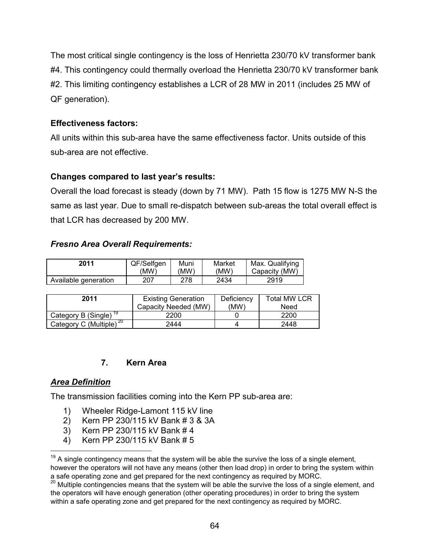The most critical single contingency is the loss of Henrietta 230/70 kV transformer bank #4. This contingency could thermally overload the Henrietta 230/70 kV transformer bank #2. This limiting contingency establishes a LCR of 28 MW in 2011 (includes 25 MW of QF generation).

# **Effectiveness factors:**

All units within this sub-area have the same effectiveness factor. Units outside of this sub-area are not effective.

# **Changes compared to last year's results:**

Overall the load forecast is steady (down by 71 MW). Path 15 flow is 1275 MW N-S the same as last year. Due to small re-dispatch between sub-areas the total overall effect is that LCR has decreased by 200 MW.

## *Fresno Area Overall Requirements:*

| 2011                 | QF/Selfgen | Muni | Market | Max. Qualifying |
|----------------------|------------|------|--------|-----------------|
|                      | 'MW`       | (MW) | (MW)   | Capacity (MW)   |
| Available generation | 207        | 278  | 2434   | 2919            |

| 2011                                | <b>Existing Generation</b><br>Capacity Needed (MW) | Deficiency<br>(MW) | Total MW LCR<br>Need |
|-------------------------------------|----------------------------------------------------|--------------------|----------------------|
| Category B (Single) <sup>19</sup>   | 2200                                               |                    | 2200                 |
| Category C (Multiple) <sup>20</sup> | 2444                                               |                    | 2448                 |

## **7. Kern Area**

## *Area Definition*

 $\overline{a}$ 

The transmission facilities coming into the Kern PP sub-area are:

- 1) Wheeler Ridge-Lamont 115 kV line
- 2) Kern PP 230/115 kV Bank # 3 & 3A
- 3) Kern PP 230/115 kV Bank # 4
- 4) Kern PP 230/115 kV Bank # 5

 $19$  A single contingency means that the system will be able the survive the loss of a single element, however the operators will not have any means (other then load drop) in order to bring the system within a safe operating zone and get prepared for the next contingency as required by MORC.

<sup>20</sup> Multiple contingencies means that the system will be able the survive the loss of a single element, and the operators will have enough generation (other operating procedures) in order to bring the system within a safe operating zone and get prepared for the next contingency as required by MORC.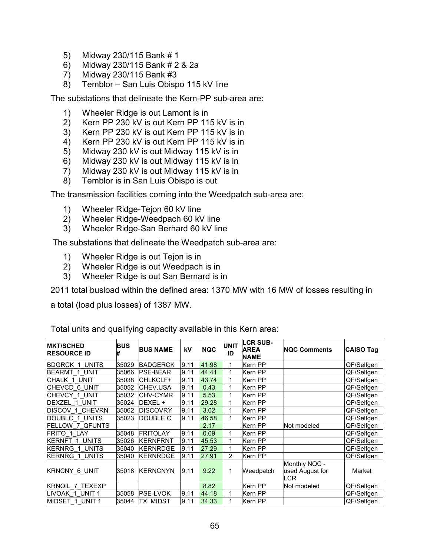- 5) Midway 230/115 Bank # 1
- 6) Midway 230/115 Bank # 2 & 2a
- 7) Midway 230/115 Bank #3
- 8) Temblor San Luis Obispo 115 kV line

The substations that delineate the Kern-PP sub-area are:

- 1) Wheeler Ridge is out Lamont is in
- 2) Kern PP 230 kV is out Kern PP 115 kV is in
- 3) Kern PP 230 kV is out Kern PP 115 kV is in
- 4) Kern PP 230 kV is out Kern PP 115 kV is in
- 5) Midway 230 kV is out Midway 115 kV is in
- 6) Midway 230 kV is out Midway 115 kV is in
- 7) Midway 230 kV is out Midway 115 kV is in
- 8) Temblor is in San Luis Obispo is out

The transmission facilities coming into the Weedpatch sub-area are:

- 1) Wheeler Ridge-Tejon 60 kV line
- 2) Wheeler Ridge-Weedpach 60 kV line
- 3) Wheeler Ridge-San Bernard 60 kV line

The substations that delineate the Weedpatch sub-area are:

- 1) Wheeler Ridge is out Tejon is in
- 2) Wheeler Ridge is out Weedpach is in
- 3) Wheeler Ridge is out San Bernard is in

2011 total busload within the defined area: 1370 MW with 16 MW of losses resulting in

a total (load plus losses) of 1387 MW.

| <b>MKT/SCHED</b><br><b>RESOURCE ID</b> | BUS<br># | <b>BUS NAME</b> | kV   | <b>NQC</b> | <b>UNIT</b><br>ID | <b>LCR SUB-</b><br><b>AREA</b><br><b>NAME</b> | <b>NQC Comments</b>                     | <b>CAISO Tag</b> |
|----------------------------------------|----------|-----------------|------|------------|-------------------|-----------------------------------------------|-----------------------------------------|------------------|
| <b>BDGRCK 1 UNITS</b>                  | 35029    | <b>BADGERCK</b> | 9.11 | 41.98      |                   | Kern PP                                       |                                         | QF/Selfgen       |
| <b>BEARMT 1 UNIT</b>                   | 35066    | <b>PSE-BEAR</b> | 9.11 | 44.41      |                   | Kern PP                                       |                                         | QF/Selfgen       |
| CHALK 1 UNIT                           | 35038    | CHLKCLF+        | 9.11 | 43.74      |                   | Kern PP                                       |                                         | QF/Selfgen       |
| CHEVCD 6 UNIT                          | 35052    | CHEV.USA        | 9.11 | 0.43       |                   | Kern PP                                       |                                         | QF/Selfgen       |
| CHEVCY 1 UNIT                          | 35032    | <b>CHV-CYMR</b> | 9.11 | 5.53       |                   | Kern PP                                       |                                         | QF/Selfgen       |
| DEXZEL 1 UNIT                          | 35024    | DEXEL +         | 9.11 | 29.28      |                   | Kern PP                                       |                                         | QF/Selfgen       |
| DISCOV 1<br><b>CHEVRN</b>              | 35062    | <b>DISCOVRY</b> | 9.11 | 3.02       |                   | Kern PP                                       |                                         | QF/Selfgen       |
| DOUBLC 1 UNITS                         | 35023    | DOUBLE C        | 9.11 | 46.58      |                   | Kern PP                                       |                                         | QF/Selfgen       |
| 7 QFUNTS<br>FELLOW                     |          |                 |      | 2.17       |                   | Kern PP                                       | Not modeled                             | QF/Selfgen       |
| FRITO 1 LAY                            | 35048    | <b>FRITOLAY</b> | 9.11 | 0.09       |                   | Kern PP                                       |                                         | QF/Selfgen       |
| <b>KERNFT 1 UNITS</b>                  | 35026    | <b>KERNFRNT</b> | 9.11 | 45.53      |                   | Kern PP                                       |                                         | QF/Selfgen       |
| KERNRG 1 UNITS                         | 35040    | <b>KERNRDGE</b> | 9.11 | 27.29      |                   | Kern PP                                       |                                         | QF/Selfgen       |
| <b>KERNRG 1 UNITS</b>                  | 35040    | <b>KERNRDGE</b> | 9.11 | 27.91      | 2                 | Kern PP                                       |                                         | QF/Selfgen       |
| <b>KRNCNY 6 UNIT</b>                   | 35018    | <b>KERNCNYN</b> | 9.11 | 9.22       |                   | Weedpatch                                     | Monthly NQC -<br>used August for<br>LCR | Market           |
| <b>KRNOIL 7</b><br><b>TEXEXP</b>       |          |                 |      | 8.82       |                   | Kern PP                                       | Not modeled                             | QF/Selfgen       |
| LIVOAK 1 UNIT1                         | 35058    | <b>PSE-LVOK</b> | 9.11 | 44.18      |                   | Kern PP                                       |                                         | QF/Selfgen       |
| MIDSET 1 UNIT 1                        | 35044    | TX MIDST        | 9.11 | 34.33      |                   | Kern PP                                       |                                         | QF/Selfgen       |

Total units and qualifying capacity available in this Kern area: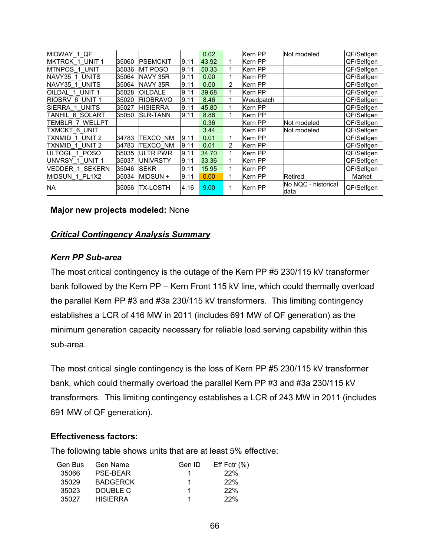| MIDWAY 1 QF                   |       |                 |      | 0.02  |                | Kern PP   | Not modeled                 | QF/Selfgen |
|-------------------------------|-------|-----------------|------|-------|----------------|-----------|-----------------------------|------------|
| MKTRCK 1 UNIT 1               | 35060 | <b>PSEMCKIT</b> | 9.11 | 43.92 |                | Kern PP   |                             | QF/Selfgen |
| <b>MTNPOS 1 UNIT</b>          | 35036 | <b>MT POSO</b>  | 9.11 | 50.33 |                | Kern PP   |                             | QF/Selfgen |
| NAVY35 1 UNITS                | 35064 | NAVY 35R        | 9.11 | 0.00  |                | Kern PP   |                             | QF/Selfgen |
| NAVY35 1 UNITS                | 35064 | NAVY 35R        | 9.11 | 0.00  | 2              | Kern PP   |                             | QF/Selfgen |
| OILDAL 1 UNIT 1               | 35028 | OILDALE         | 9.11 | 39.68 |                | Kern PP   |                             | QF/Selfgen |
| RIOBRV 6 UNIT 1               | 35020 | <b>RIOBRAVO</b> | 9.11 | 8.46  |                | Weedpatch |                             | QF/Selfgen |
| ISIERRA 1 UNITS               | 35027 | <b>HISIERRA</b> | 9.11 | 45.80 |                | Kern PP   |                             | QF/Selfgen |
| TANHIL 6 SOLART               | 35050 | <b>SLR-TANN</b> | 9.11 | 8.86  |                | Kern PP   |                             | QF/Selfgen |
| TEMBLR 7 WELLPT               |       |                 |      | 0.36  |                | Kern PP   | Not modeled                 | QF/Selfgen |
| TXMCKT 6 UNIT                 |       |                 |      | 3.44  |                | Kern PP   | Not modeled                 | QF/Selfgen |
| TXNMID 1 UNIT 2               | 34783 | TEXCO NM        | 9.11 | 0.01  |                | Kern PP   |                             | QF/Selfgen |
| UNIT <sub>2</sub><br>TXNMID 1 | 34783 | TEXCO NM        | 9.11 | 0.01  | $\overline{2}$ | Kern PP   |                             | QF/Selfgen |
| ULTOGL 1 POSO                 | 35035 | ULTR PWR        | 9.11 | 34.70 |                | Kern PP   |                             | QF/Selfgen |
| IUNVRSY 1 UNIT1               | 35037 | UNIVRSTY        | 9.11 | 33.36 |                | Kern PP   |                             | QF/Selfgen |
| NEDDER 1 SEKERN               | 35046 | <b>SEKR</b>     | 9.11 | 15.95 |                | Kern PP   |                             | QF/Selfgen |
| MIDSUN 1 PL1X2                | 35034 | MIDSUN +        | 9.11 | 0.00  |                | Kern PP   | Retired                     | Market     |
| NA                            | 35056 | TX-LOSTH        | 4.16 | 9.00  |                | Kern PP   | No NQC - historical<br>data | QF/Selfgen |

#### **Major new projects modeled:** None

### *Critical Contingency Analysis Summary*

#### *Kern PP Sub-area*

The most critical contingency is the outage of the Kern PP #5 230/115 kV transformer bank followed by the Kern PP – Kern Front 115 kV line, which could thermally overload the parallel Kern PP #3 and #3a 230/115 kV transformers. This limiting contingency establishes a LCR of 416 MW in 2011 (includes 691 MW of QF generation) as the minimum generation capacity necessary for reliable load serving capability within this sub-area.

The most critical single contingency is the loss of Kern PP #5 230/115 kV transformer bank, which could thermally overload the parallel Kern PP #3 and #3a 230/115 kV transformers. This limiting contingency establishes a LCR of 243 MW in 2011 (includes 691 MW of QF generation).

#### **Effectiveness factors:**

The following table shows units that are at least 5% effective:

| Gen Bus | Gen Name        | Gen ID | Eff Fctr $(\% )$ |
|---------|-----------------|--------|------------------|
| 35066   | <b>PSE-BEAR</b> |        | 22%              |
| 35029   | <b>BADGERCK</b> |        | 22%              |
| 35023   | DOUBLE C        |        | 22%              |
| 35027   | <b>HISIERRA</b> | 1      | 22%              |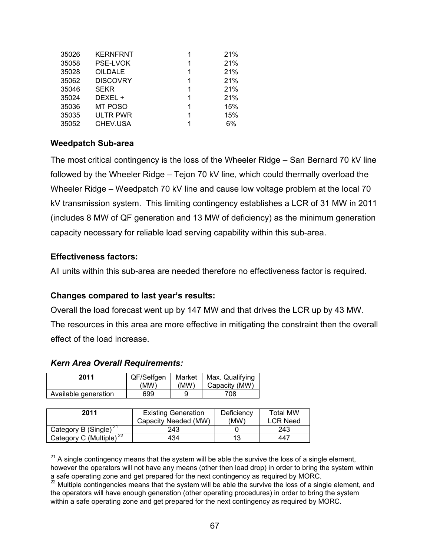| 35026 | <b>KERNFRNT</b> | 1 | 21% |
|-------|-----------------|---|-----|
| 35058 | <b>PSE-LVOK</b> | 1 | 21% |
| 35028 | <b>OILDALE</b>  | 1 | 21% |
| 35062 | <b>DISCOVRY</b> | 1 | 21% |
| 35046 | <b>SEKR</b>     | 1 | 21% |
| 35024 | DEXEL +         | 1 | 21% |
| 35036 | MT POSO         | 1 | 15% |
| 35035 | <b>ULTR PWR</b> | 1 | 15% |
| 35052 | CHEV.USA        | 1 | 6%  |

### **Weedpatch Sub-area**

The most critical contingency is the loss of the Wheeler Ridge – San Bernard 70 kV line followed by the Wheeler Ridge – Tejon 70 kV line, which could thermally overload the Wheeler Ridge – Weedpatch 70 kV line and cause low voltage problem at the local 70 kV transmission system. This limiting contingency establishes a LCR of 31 MW in 2011 (includes 8 MW of QF generation and 13 MW of deficiency) as the minimum generation capacity necessary for reliable load serving capability within this sub-area.

### **Effectiveness factors:**

 $\overline{a}$ 

All units within this sub-area are needed therefore no effectiveness factor is required.

## **Changes compared to last year's results:**

Overall the load forecast went up by 147 MW and that drives the LCR up by 43 MW. The resources in this area are more effective in mitigating the constraint then the overall effect of the load increase.

#### *Kern Area Overall Requirements:*

| 2011                 | QF/Selfgen<br>(MW) | (MW) | Market   Max. Qualifying<br>Capacity (MW) |
|----------------------|--------------------|------|-------------------------------------------|
| Available generation | 699                |      | 708                                       |

| 2011                                | <b>Existing Generation</b><br>Capacity Needed (MW) | Deficiency<br>(MW) | <b>Total MW</b><br><b>LCR Need</b> |
|-------------------------------------|----------------------------------------------------|--------------------|------------------------------------|
| Category B (Single) <sup>21</sup>   | 243                                                |                    | 243                                |
| Category C (Multiple) <sup>22</sup> | 434                                                | 13                 | 447                                |

 $21$  A single contingency means that the system will be able the survive the loss of a single element,

however the operators will not have any means (other then load drop) in order to bring the system within a safe operating zone and get prepared for the next contingency as required by MORC.

<sup>22</sup> Multiple contingencies means that the system will be able the survive the loss of a single element, and the operators will have enough generation (other operating procedures) in order to bring the system within a safe operating zone and get prepared for the next contingency as required by MORC.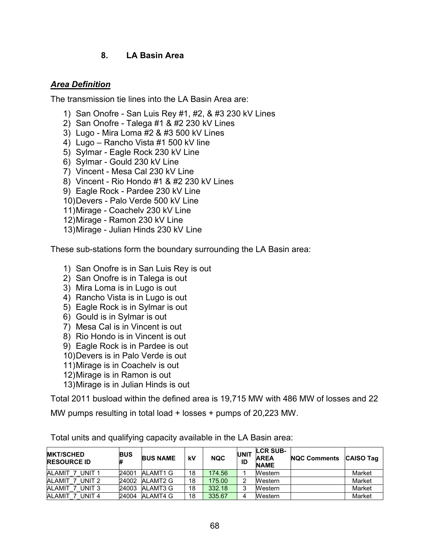## **8. LA Basin Area**

### *Area Definition*

The transmission tie lines into the LA Basin Area are:

- 1) San Onofre San Luis Rey #1, #2, & #3 230 kV Lines
- 2) San Onofre Talega #1 & #2 230 kV Lines
- 3) Lugo Mira Loma #2 & #3 500 kV Lines
- 4) Lugo Rancho Vista #1 500 kV line
- 5) Sylmar Eagle Rock 230 kV Line
- 6) Sylmar Gould 230 kV Line
- 7) Vincent Mesa Cal 230 kV Line
- 8) Vincent Rio Hondo #1 & #2 230 kV Lines
- 9) Eagle Rock Pardee 230 kV Line
- 10)Devers Palo Verde 500 kV Line
- 11)Mirage Coachelv 230 kV Line
- 12)Mirage Ramon 230 kV Line
- 13)Mirage Julian Hinds 230 kV Line

These sub-stations form the boundary surrounding the LA Basin area:

- 1) San Onofre is in San Luis Rey is out
- 2) San Onofre is in Talega is out
- 3) Mira Loma is in Lugo is out
- 4) Rancho Vista is in Lugo is out
- 5) Eagle Rock is in Sylmar is out
- 6) Gould is in Sylmar is out
- 7) Mesa Cal is in Vincent is out
- 8) Rio Hondo is in Vincent is out
- 9) Eagle Rock is in Pardee is out
- 10)Devers is in Palo Verde is out
- 11)Mirage is in Coachelv is out
- 12)Mirage is in Ramon is out
- 13)Mirage is in Julian Hinds is out

Total 2011 busload within the defined area is 19,715 MW with 486 MW of losses and 22

MW pumps resulting in total load + losses + pumps of 20,223 MW.

| <b>MKT/SCHED</b><br><b>RESOURCE ID</b> | <b>BUS</b><br># | <b>BUS NAME</b> | kV | <b>NQC</b> | <b>UNIT</b><br>ID | <b>LCR SUB-</b><br><b>AREA</b><br><b>NAME</b> | <b>NQC Comments</b> | <b>CAISO Tag</b> |
|----------------------------------------|-----------------|-----------------|----|------------|-------------------|-----------------------------------------------|---------------------|------------------|
| ALAMIT<br>UNIT 1                       | 24001           | ALAMT1 G        | 18 | 174.56     |                   | <b>Western</b>                                |                     | Market           |
| ALAMIT <sub>7</sub><br>UNIT 2          | 24002           | ALAMT2 G        | 18 | 175.00     | ◠                 | Western                                       |                     | Market           |
| ALAMIT<br>UNIT 3                       | 24003           | ALAMT3 G        | 18 | 332.18     | ີ                 | Western                                       |                     | Market           |
| ALAMIT <sub>7</sub><br>UNIT 4          | 24004           | ALAMT4 G        | 18 | 335.67     |                   | Western                                       |                     | Market           |

Total units and qualifying capacity available in the LA Basin area: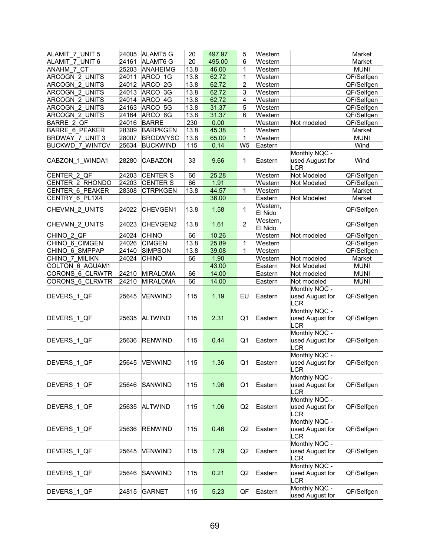| ALAMIT 7 UNIT 5        | 24005 | <b>ALAMT5 G</b> | 20   | 497.97 | 5              | Western             |                                                       | Market      |
|------------------------|-------|-----------------|------|--------|----------------|---------------------|-------------------------------------------------------|-------------|
| <b>ALAMIT 7 UNIT 6</b> | 24161 | ALAMT6 G        | 20   | 495.00 | 6              | Western             |                                                       | Market      |
| <b>ANAHM 7 CT</b>      | 25203 | <b>ANAHEIMG</b> | 13.8 | 46.00  | 1              | Western             |                                                       | <b>MUNI</b> |
| <b>ARCOGN 2 UNITS</b>  | 24011 | ARCO 1G         | 13.8 | 62.72  | $\mathbf{1}$   | Western             |                                                       | QF/Selfgen  |
| ARCOGN 2 UNITS         | 24012 | ARCO 2G         | 13.8 | 62.72  | 2              | Western             |                                                       | QF/Selfgen  |
| ARCOGN_2_UNITS         | 24013 | ARCO 3G         | 13.8 | 62.72  | 3              | Western             |                                                       | QF/Selfgen  |
| ARCOGN_2_UNITS         | 24014 | ARCO 4G         | 13.8 | 62.72  | 4              | Western             |                                                       | QF/Selfgen  |
| ARCOGN 2 UNITS         | 24163 | ARCO 5G         | 13.8 | 31.37  | 5              | Western             |                                                       | QF/Selfgen  |
| ARCOGN_2_UNITS         | 24164 | ARCO 6G         | 13.8 | 31.37  | 6              | Western             |                                                       | QF/Selfgen  |
| <b>BARRE 2 QF</b>      |       |                 | 230  |        |                |                     |                                                       |             |
|                        | 24016 | <b>BARRE</b>    |      | 0.00   |                | Western             | Not modeled                                           | QF/Selfgen  |
| <b>BARRE 6 PEAKER</b>  | 28309 | <b>BARPKGEN</b> | 13.8 | 45.38  | 1              | Western             |                                                       | Market      |
| BRDWAY 7 UNIT 3        | 28007 | <b>BRODWYSC</b> | 13.8 | 65.00  | $\mathbf{1}$   | Western             |                                                       | <b>MUNI</b> |
| <b>BUCKWD 7 WINTCV</b> | 25634 | <b>BUCKWIND</b> | 115  | 0.14   | W <sub>5</sub> | Eas <u>tern</u>     |                                                       | Wind        |
| CABZON_1_WINDA1        | 28280 | <b>CABAZON</b>  | 33   | 9.66   | 1              | Eastern             | Monthly NQC -<br>used August for<br>$_{\rm LR}$       | Wind        |
| CENTER 2 QF            | 24203 | <b>CENTER S</b> | 66   | 25.28  |                | Western             | Not Modeled                                           | QF/Selfgen  |
| CENTER 2 RHONDO        | 24203 | <b>CENTER S</b> | 66   | 1.91   |                | Western             | Not Modeled                                           | QF/Selfgen  |
| CENTER 6 PEAKER        | 28308 | <b>CTRPKGEN</b> | 13.8 | 44.57  | 1              | Western             |                                                       | Market      |
| CENTRY_6_PL1X4         |       |                 |      | 36.00  |                | Eastern             | Not Modeled                                           | Market      |
| CHEVMN 2 UNITS         | 24022 | <b>CHEVGEN1</b> | 13.8 | 1.58   | $\mathbf{1}$   | Western,<br>El Nido |                                                       | QF/Selfgen  |
| CHEVMN_2_UNITS         | 24023 | CHEVGEN2        | 13.8 | 1.61   | $\overline{2}$ | Western,<br>El Nido |                                                       | QF/Selfgen  |
| CHINO 2 QF             | 24024 | <b>CHINO</b>    | 66   | 10.26  |                | Western             | Not modeled                                           | QF/Selfgen  |
| CHINO 6 CIMGEN         | 24026 | <b>CIMGEN</b>   | 13.8 | 25.89  | 1              | Western             |                                                       | QF/Selfgen  |
| CHINO 6 SMPPAP         | 24140 | <b>SIMPSON</b>  | 13.8 | 39.08  | 1              | Western             |                                                       | QF/Selfgen  |
| CHINO 7 MILIKN         | 24024 | <b>CHINO</b>    | 66   | 1.90   |                | Western             | Not modeled                                           | Market      |
| COLTON 6 AGUAM1        |       |                 |      | 43.00  |                |                     | Not Modeled                                           | <b>MUNI</b> |
|                        | 24210 |                 |      |        |                | Eastern             |                                                       |             |
| CORONS 6 CLRWTR        |       | <b>MIRALOMA</b> | 66   | 14.00  |                | Eastern             | Not modeled                                           | <b>MUNI</b> |
| CORONS 6_CLRWTR        | 24210 | <b>MIRALOMA</b> | 66   | 14.00  |                | Eastern             | Not modeled                                           | <b>MUNI</b> |
| DEVERS_1_QF            | 25645 | <b>VENWIND</b>  | 115  | 1.19   | EU             | Eastern             | Monthly NQC -<br>used August for<br>.CR               | QF/Selfgen  |
| DEVERS_1_QF            | 25635 | <b>ALTWIND</b>  | 115  | 2.31   | Q <sub>1</sub> | Eastern             | Monthly NQC -<br>used August for<br>$_{\mathsf{LCR}}$ | QF/Selfgen  |
| DEVERS_1_QF            | 25636 | <b>RENWIND</b>  | 115  | 0.44   | Q <sub>1</sub> | Eastern             | Monthly NQC -<br>used August for<br>LCR               | QF/Selfgen  |
| DEVERS_1_QF            |       | 25645 VENWIND   | 115  | 1.36   | Q1             | Eastern             | Monthly NQC -<br>used August for<br>LCR               | QF/Selfgen  |
| DEVERS_1_QF            | 25646 | SANWIND         | 115  | 1.96   | Q <sub>1</sub> | Eastern             | Monthly NQC -<br>used August for<br>_CR               | QF/Selfgen  |
| DEVERS_1_QF            | 25635 | <b>ALTWIND</b>  | 115  | 1.06   | Q2             | Eastern             | Monthly NQC -<br>used August for<br>_CR               | QF/Selfgen  |
| DEVERS_1_QF            | 25636 | <b>RENWIND</b>  | 115  | 0.46   | Q2             | Eastern             | Monthly NQC -<br>used August for<br>$_C$ R            | QF/Selfgen  |
| DEVERS_1_QF            | 25645 | VENWIND         | 115  | 1.79   | Q <sub>2</sub> | Eastern             | Monthly NQC -<br>used August for<br>_CR               | QF/Selfgen  |
| DEVERS_1_QF            | 25646 | SANWIND         | 115  | 0.21   | Q2             | Eastern             | Monthly NQC -<br>used August for<br>_CR               | QF/Selfgen  |
| DEVERS_1_QF            | 24815 | GARNET          | 115  | 5.23   | QF             | Eastern             | Monthly NQC -<br>used August for                      | QF/Selfgen  |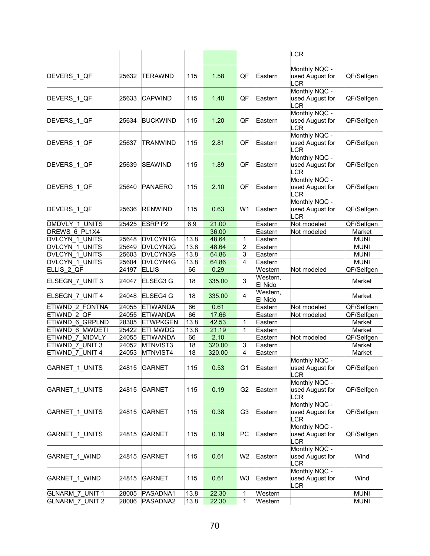|                               |       |                 |      |        |                |                     | LCR                                                   |             |
|-------------------------------|-------|-----------------|------|--------|----------------|---------------------|-------------------------------------------------------|-------------|
| DEVERS_1_QF                   | 25632 | <b>ITERAWND</b> | 115  | 1.58   | QF             | Eastern             | Monthly NQC -<br>used August for<br>CR                | QF/Selfgen  |
| DEVERS_1_QF                   | 25633 | <b>CAPWIND</b>  | 115  | 1.40   | QF             | Eastern             | Monthly NQC -<br>used August for<br>.CR               | QF/Selfgen  |
| DEVERS 1 QF                   | 25634 | <b>BUCKWIND</b> | 115  | 1.20   | QF             | Eastern             | Monthly NQC -<br>used August for<br>LCR               | QF/Selfgen  |
| DEVERS_1_QF                   | 25637 | TRANWIND        | 115  | 2.81   | QF             | Eastern             | Monthly NQC -<br>used August for<br>.CR               | QF/Selfgen  |
| DEVERS_1_QF                   | 25639 | SEAWIND         | 115  | 1.89   | QF             | Eastern             | Monthly NQC -<br>used August for<br>CR                | QF/Selfgen  |
| DEVERS_1_QF                   | 25640 | <b>PANAERO</b>  | 115  | 2.10   | QF             | Eastern             | Monthly NQC -<br>used August for<br>.CR               | QF/Selfgen  |
| DEVERS 1 QF                   | 25636 | <b>RENWIND</b>  | 115  | 0.63   | W <sub>1</sub> | Eastern             | Monthly NQC -<br>used August for<br>$_C$ R            | QF/Selfgen  |
| DMDVLY 1 UNITS                | 25425 | <b>ESRP P2</b>  | 6.9  | 21.00  |                | Eastern             | Not modeled                                           | QF/Selfgen  |
| DREWS 6 PL1X4                 |       |                 |      | 36.00  |                | Eastern             | Not modeled                                           | Market      |
| DVLCYN 1 UNITS                | 25648 | DVLCYN1G        | 13.8 | 48.64  | $\mathbf{1}$   | Eastern             |                                                       | <b>MUNI</b> |
| DVLCYN 1 UNITS                | 25649 | DVLCYN2G        | 13.8 | 48.64  | $\overline{2}$ | Eastern             |                                                       | <b>MUNI</b> |
| DVLCYN 1 UNITS                | 25603 | DVLCYN3G        | 13.8 | 64.86  | 3              | Eastern             |                                                       | <b>MUNI</b> |
| DVLCYN 1 UNITS                | 25604 | DVLCYN4G        | 13.8 | 64.86  | 4              | Eastern             |                                                       | <b>MUNI</b> |
| ELLIS_2_QF                    | 24197 | <b>ELLIS</b>    | 66   | 0.29   |                | Western             | Not modeled                                           | QF/Selfgen  |
| ELSEGN_7_UNIT 3               | 24047 | ELSEG3 G        | 18   | 335.00 | 3              | Western,<br>El Nido |                                                       | Market      |
| ELSEGN_7_UNIT 4               | 24048 | <b>ELSEG4 G</b> | 18   | 335.00 | 4              | Western,<br>El Nido |                                                       | Market      |
| ETIWND 2 FONTNA               | 24055 | <b>ETIWANDA</b> | 66   | 0.61   |                | Eastern             | Not modeled                                           | QF/Selfgen  |
| ETIWND 2 QF                   | 24055 | <b>ETIWANDA</b> | 66   | 17.66  |                | Eastern             | Not modeled                                           | QF/Selfgen  |
| ETIWND 6 GRPLND               | 28305 | <b>ETWPKGEN</b> | 13.8 | 42.53  | $\mathbf{1}$   | Eastern             |                                                       | Market      |
| ETIWND 6 MWDETI               | 25422 | <b>ETI MWDG</b> | 13.8 | 21.19  | 1              | Eastern             |                                                       | Market      |
| ETIWND 7 MIDVLY               | 24055 | <b>ETIWANDA</b> | 66   | 2.10   |                | Eastern             | Not modeled                                           | QF/Selfgen  |
| ETIWND 7 UNIT 3               | 24052 | MTNVIST3        | 18   | 320.00 | 3              | Eastern             |                                                       | Market      |
| ETIWND 7 UNIT 4               | 24053 | MTNVIST4        | 18   | 320.00 | 4              | Eastern             |                                                       | Market      |
| <b>GARNET 1 UNITS</b>         | 24815 | <b>GARNET</b>   | 115  | 0.53   | G1             | Eastern             | Monthly NQC -<br>used August for<br>LCR               | QF/Selfgen  |
| GARNET_1_UNITS                | 24815 | <b>GARNET</b>   | 115  | 0.19   | G <sub>2</sub> | Eastern             | Monthly NQC -<br>used August for<br>_CR               | QF/Selfgen  |
| <b>GARNET 1 UNITS</b>         | 24815 | <b>GARNET</b>   | 115  | 0.38   | G <sub>3</sub> | Eastern             | Monthly NQC -<br>used August for<br>_CR               | QF/Selfgen  |
| GARNET_1_UNITS                | 24815 | GARNET          | 115  | 0.19   | PC             | Eastern             | Monthly NQC -<br>used August for<br>LCR               | QF/Selfgen  |
| GARNET_1_WIND                 | 24815 | GARNET          | 115  | 0.61   | W <sub>2</sub> | Eastern             | Monthly NQC -<br>used August for<br>$_{\mathsf{LCR}}$ | Wind        |
| GARNET_1_WIND                 | 24815 | <b>GARNET</b>   | 115  | 0.61   | W3             | Eastern             | Monthly NQC -<br>used August for<br>LCR               | Wind        |
| GLNARM 7 UNIT 1               | 28005 | PASADNA1        | 13.8 | 22.30  | 1              | Western             |                                                       | <b>MUNI</b> |
| GLNARM 7<br>UNIT <sub>2</sub> | 28006 | PASADNA2        | 13.8 | 22.30  | 1              | Western             |                                                       | <b>MUNI</b> |
|                               |       |                 |      |        |                |                     |                                                       |             |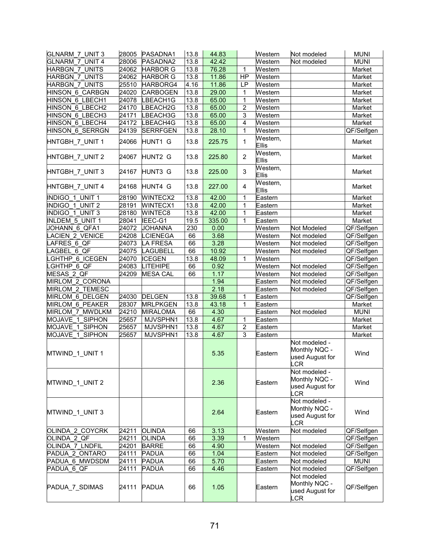| <b>GLNARM 7 UNIT 3</b> | 28005 | PASADNA1        | 13.8 | 44.83  |                | Western           | Not modeled                                              | <b>MUNI</b> |
|------------------------|-------|-----------------|------|--------|----------------|-------------------|----------------------------------------------------------|-------------|
| <b>GLNARM 7 UNIT 4</b> | 28006 | PASADNA2        | 13.8 | 42.42  |                | Western           | Not modeled                                              | <b>MUNI</b> |
| <b>HARBGN 7 UNITS</b>  | 24062 | <b>HARBOR G</b> | 13.8 | 76.28  | $\mathbf{1}$   | Western           |                                                          | Market      |
| <b>HARBGN 7 UNITS</b>  | 24062 | <b>HARBOR G</b> | 13.8 | 11.86  | HP             | Western           |                                                          | Market      |
| <b>HARBGN 7 UNITS</b>  | 25510 | HARBORG4        | 4.16 | 11.86  | LP             | Western           |                                                          | Market      |
| HINSON 6 CARBGN        | 24020 | <b>CARBOGEN</b> | 13.8 | 29.00  | 1              | Western           |                                                          | Market      |
| HINSON 6 LBECH1        | 24078 | LBEACH1G        | 13.8 | 65.00  | 1              | Western           |                                                          | Market      |
| HINSON 6 LBECH2        | 24170 | LBEACH2G        | 13.8 | 65.00  | $\overline{c}$ | Western           |                                                          | Market      |
| HINSON 6 LBECH3        | 24171 | LBEACH3G        | 13.8 | 65.00  | 3              | Western           |                                                          | Market      |
| HINSON 6 LBECH4        | 24172 | LBEACH4G        | 13.8 | 65.00  | 4              | Western           |                                                          | Market      |
| HINSON_6_SERRGN        | 24139 | <b>SERRFGEN</b> | 13.8 | 28.10  | $\mathbf{1}$   | Western           |                                                          | QF/Selfgen  |
| HNTGBH 7 UNIT 1        | 24066 | HUNT1 G         | 13.8 | 225.75 | $\mathbf{1}$   | Western,<br>Ellis |                                                          | Market      |
| HNTGBH_7_UNIT 2        | 24067 | HUNT2 G         | 13.8 | 225.80 | $\overline{2}$ | Western,<br>Ellis |                                                          | Market      |
| HNTGBH_7_UNIT 3        | 24167 | HUNT3 G         | 13.8 | 225.00 | 3              | Western,<br>Ellis |                                                          | Market      |
| HNTGBH_7_UNIT 4        | 24168 | HUNT4 G         | 13.8 | 227.00 | 4              | Western,<br>Ellis |                                                          | Market      |
| INDIGO 1 UNIT 1        | 28190 | <b>WINTECX2</b> | 13.8 | 42.00  | $\mathbf{1}$   | Eastern           |                                                          | Market      |
| INDIGO 1 UNIT 2        | 28191 | WINTECX1        | 13.8 | 42.00  | 1              | Eastern           |                                                          | Market      |
| <b>INDIGO 1 UNIT 3</b> | 28180 | <b>WINTEC8</b>  | 13.8 | 42.00  | $\mathbf 1$    | Eastern           |                                                          | Market      |
| <b>INLDEM 5 UNIT 1</b> | 28041 | IEEC-G1         | 19.5 | 335.00 | $\mathbf{1}$   | Eastern           |                                                          | Market      |
| JOHANN 6 QFA1          | 24072 | <b>JOHANNA</b>  | 230  | 0.00   |                | Western           | Not Modeled                                              | QF/Selfgen  |
| ACIEN_2_VENICE         | 24208 | <b>LCIENEGA</b> | 66   | 3.68   |                | Western           | Not modeled                                              | QF/Selfgen  |
| AFRES 6 QF             | 24073 | LA FRESA        | 66   | 3.28   |                | Western           | Not modeled                                              | QF/Selfgen  |
| LAGBEL 6 QF            | 24075 | <b>LAGUBELL</b> | 66   | 10.92  |                | Western           | Not modeled                                              | QF/Selfgen  |
| <b>GHTHP 6 ICEGEN</b>  | 24070 | <b>ICEGEN</b>   | 13.8 | 48.09  | $\mathbf{1}$   | Western           |                                                          | QF/Selfgen  |
| LGHTHP 6 QF            | 24083 | LITEHIPE        | 66   | 0.92   |                | Western           | Not modeled                                              | QF/Selfgen  |
| MESAS 2 QF             | 24209 | <b>MESA CAL</b> | 66   | 1.17   |                | Western           | Not modeled                                              | QF/Selfgen  |
| MIRLOM_2_CORONA        |       |                 |      | 1.94   |                | Eastern           | Not modeled                                              | QF/Selfgen  |
| <b>MIRLOM 2 TEMESC</b> |       |                 |      | 2.18   |                | Eastern           | Not modeled                                              | QF/Selfgen  |
| <b>MIRLOM 6 DELGEN</b> | 24030 | <b>DELGEN</b>   | 13.8 | 39.68  | $\mathbf{1}$   | Eastern           |                                                          | QF/Selfgen  |
| <b>MIRLOM 6 PEAKER</b> | 28307 | <b>MRLPKGEN</b> | 13.8 | 43.18  | 1              | Eastern           |                                                          | Market      |
| MIRLOM 7 MWDLKM        | 24210 | <b>MIRALOMA</b> | 66   | 4.30   |                | Eastern           | Not modeled                                              | <b>MUNI</b> |
| MOJAVE 1 SIPHON        | 25657 | MJVSPHN1        | 13.8 | 4.67   | 1              | Eastern           |                                                          | Market      |
| MOJAVE 1 SIPHON        | 25657 | MJVSPHN1        | 13.8 | 4.67   | $\overline{c}$ | Eastern           |                                                          | Market      |
| MOJAVE 1 SIPHON        | 25657 | MJVSPHN1        | 13.8 | 4.67   | 3              | Eastern           |                                                          | Market      |
| MTWIND_1_UNIT 1        |       |                 |      | 5.35   |                | Eastern           | Not modeled -<br>Monthly NQC -<br>used August for<br>LCR | Wind        |
| MTWIND_1_UNIT 2        |       |                 |      | 2.36   |                | Eastern           | Not modeled -<br>Monthly NQC -<br>used August for<br>CR  | Wind        |
| MTWIND_1_UNIT 3        |       |                 |      | 2.64   |                | Eastern           | Not modeled -<br>Monthly NQC -<br>used August for<br>.CR | Wind        |
| OLINDA 2 COYCRK        | 24211 | <b>OLINDA</b>   | 66   | 3.13   |                | Western           | Not modeled                                              | QF/Selfgen  |
| OLINDA_2_QF            | 24211 | <b>OLINDA</b>   | 66   | 3.39   | 1              | Western           |                                                          | QF/Selfgen  |
| OLINDA_7_LNDFIL        | 24201 | <b>BARRE</b>    | 66   | 4.90   |                | Western           | Not modeled                                              | QF/Selfgen  |
| PADUA 2 ONTARO         | 24111 | <b>PADUA</b>    | 66   | 1.04   |                | Eastern           | Not modeled                                              | QF/Selfgen  |
| PADUA 6 MWDSDM         | 24111 | <b>PADUA</b>    | 66   | 5.70   |                | Eastern           | Not modeled                                              | <b>MUNI</b> |
| PADUA 6 QF             | 24111 | <b>PADUA</b>    | 66   | 4.46   |                | Eastern           | Not modeled                                              | QF/Selfgen  |
| PADUA_7_SDIMAS         | 24111 | PADUA           | 66   | 1.05   |                | Eastern           | Not modeled<br>Monthly NQC -<br>used August for<br>LCR   | QF/Selfgen  |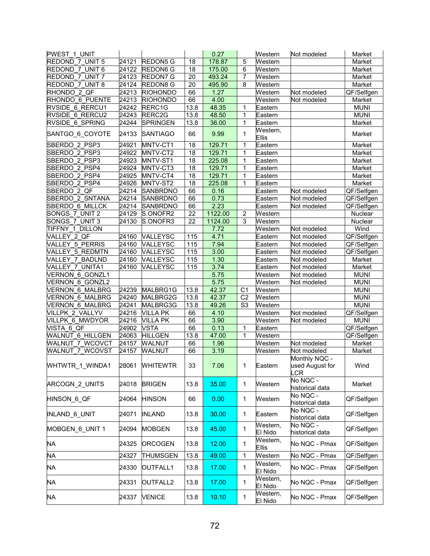| <b>PWEST 1 UNIT</b>    |                |                 |      | 0.27    |                 | Western             | Not modeled                             | Market      |
|------------------------|----------------|-----------------|------|---------|-----------------|---------------------|-----------------------------------------|-------------|
| REDOND 7 UNIT 5        | 24121          | <b>REDON5 G</b> | 18   | 178.87  | 5               | Western             |                                         | Market      |
| REDOND 7 UNIT 6        | $\sqrt{24122}$ | REDON6 G        | 18   | 175.00  | 6               | Western             |                                         | Market      |
| REDOND 7 UNIT 7        | 24123          | <b>REDON7 G</b> | 20   | 493.24  | $\overline{7}$  | Western             |                                         | Market      |
| REDOND 7 UNIT 8        | 24124          | <b>REDON8 G</b> | 20   | 495.90  | 8               | Western             |                                         | Market      |
| RHONDO_2_QF            | 24213          | <b>RIOHONDO</b> | 66   | 1.27    |                 | Western             | Not modeled                             | QF/Selfgen  |
| RHONDO 6 PUENTE        | 24213          | <b>RIOHONDO</b> | 66   | 4.00    |                 | Western             | Not modeled                             | Market      |
| RVSIDE 6 RERCU1        | 24242          | RERC1G          | 13.8 | 48.35   | 1               | Eastern             |                                         | <b>MUNI</b> |
| RVSIDE 6 RERCU2        | 24243          | RERC2G          | 13.8 | 48.50   | 1               | Eastern             |                                         | <b>MUNI</b> |
| RVSIDE 6 SPRING        | 24244          | <b>SPRINGEN</b> | 13.8 | 36.00   | 1               | Eastern             |                                         | Market      |
| SANTGO_6_COYOTE        | 24133          | <b>SANTIAGO</b> | 66   | 9.99    | 1               | Western,<br>Ellis   |                                         | Market      |
| SBERDO 2 PSP3          | 24921          | MNTV-CT1        | 18   | 129.71  | $\mathbf{1}$    | Eastern             |                                         | Market      |
| SBERDO 2 PSP3          | 24922          | MNTV-CT2        | 18   | 129.71  | $\mathbf{1}$    | Eastern             |                                         | Market      |
| SBERDO 2 PSP3          | 24923          | MNTV-ST1        | 18   | 225.08  | 1               | Eastern             |                                         | Market      |
| SBERDO 2 PSP4          | 24924          | MNTV-CT3        | 18   | 129.71  | 1               | Eastern             |                                         | Market      |
| SBERDO 2 PSP4          | 24925          | MNTV-CT4        | 18   | 129.71  | 1               | Eastern             |                                         | Market      |
| SBERDO 2 PSP4          | 24926          | MNTV-ST2        | 18   | 225.08  | 1               | Eastern             |                                         | Market      |
| SBERDO 2 QF            | 24214          | <b>SANBRDNO</b> | 66   | 0.16    |                 | Eastern             | Not modeled                             | QF/Selfgen  |
| SBERDO 2 SNTANA        | 24214          | <b>SANBRDNO</b> | 66   | 0.73    |                 | Eastern             | Not modeled                             | QF/Selfgen  |
| SBERDO 6 MILLCK        | 24214          | SANBRDNO        | 66   | 2.23    |                 | Eastern             | Not modeled                             | QF/Selfgen  |
| SONGS 7 UNIT 2         | 24129          | S.ONOFR2        | 22   | 1122.00 | $\overline{2}$  | Western             |                                         | Nuclear     |
| SONGS 7 UNIT 3         | 24130          | S.ONOFR3        | 22   | 1124.00 | 3               | Western             |                                         | Nuclear     |
| TIFFNY 1 DILLON        |                |                 |      | 7.72    |                 | Western             | Not modeled                             | Wind        |
| VALLEY 2 QF            | 24160          | VALLEYSC        | 115  | 4.71    |                 | Eastern             | Not modeled                             | QF/Selfgen  |
| VALLEY 5 PERRIS        | 24160          | VALLEYSC        | 115  | 7.94    |                 | Eastern             | Not modeled                             | QF/Selfgen  |
| VALLEY 5 REDMTN        | 24160          | VALLEYSC        | 115  | 3.00    |                 | Eastern             | Not modeled                             | QF/Selfgen  |
| VALLEY 7 BADLND        | 24160          | VALLEYSC        | 115  | 1.30    |                 | Eastern             | Not modeled                             | Market      |
| VALLEY 7 UNITA1        | 24160          | VALLEYSC        | 115  | 3.74    |                 | Eastern             | Not modeled                             | Market      |
| VERNON 6 GONZL1        |                |                 |      | 5.75    |                 | Western             | Not modeled                             | <b>MUNI</b> |
| VERNON 6 GONZL2        |                |                 |      | 5.75    |                 | Western             | Not modeled                             | <b>MUNI</b> |
| VERNON 6 MALBRG        | 24239          | MALBRG1G        | 13.8 | 42.37   | C <sub>1</sub>  | Western             |                                         | <b>MUNI</b> |
| VERNON 6 MALBRG        | 24240          | MALBRG2G        | 13.8 | 42.37   | $\overline{C2}$ | Western             |                                         | <b>MUNI</b> |
| VERNON 6 MALBRG        | 24241          | MALBRG3G        | 13.8 | 49.26   | S <sub>3</sub>  | Western             |                                         | <b>MUNI</b> |
| <b>VILLPK 2 VALLYV</b> | 24216          | <b>VILLA PK</b> | 66   | 4.10    |                 | Western             | Not modeled                             | QF/Selfgen  |
| VILLPK 6 MWDYOR        | 24216          | <b>VILLA PK</b> | 66   | 3.90    |                 | Western             | Not modeled                             | <b>MUNI</b> |
| VISTA 6 QF             | 24902          | <b>VSTA</b>     | 66   | 0.13    | 1               | Eastern             |                                         | QF/Selfgen  |
| WALNUT 6 HILLGEN       | 24063          | <b>HILLGEN</b>  | 13.8 | 47.00   | 1               | West <u>ern</u>     |                                         | QF/Selfgen  |
| WALNUT 7 WCOVCT        | 24157          | <b>WALNUT</b>   | 66   | 1.96    |                 | Western             | Not modeled                             | Market      |
| <b>WALNUT 7 WCOVST</b> | 24157          | WALNUT          | 66   | 3.19    |                 | Western             | Not modeled                             | Market      |
| WHTWTR_1_WINDA1        | 28061          | WHILEWIR        | 33   | 7.06    | 1               | l⊨astern            | Monthly NQC -<br>used August for<br>_CR | Wind        |
| ARCOGN 2 UNITS         | 24018          | <b>BRIGEN</b>   | 13.8 | 35.00   | $\mathbf{1}$    | Western             | No NQC -<br>historical data             | Market      |
| HINSON 6 QF            | 24064          | <b>HINSON</b>   | 66   | 0.00    | $\mathbf{1}$    | Western             | No NQC -<br>historical data             | QF/Selfgen  |
| INLAND_6_UNIT          | 24071          | <b>INLAND</b>   | 13.8 | 30.00   | 1               | Eastern             | No NQC -<br>historical data             | QF/Selfgen  |
| MOBGEN 6 UNIT 1        | 24094          | <b>MOBGEN</b>   | 13.8 | 45.00   | $\mathbf{1}$    | Western,<br>El Nido | No NQC -<br>historical data             | QF/Selfgen  |
| <b>NA</b>              | 24325          | <b>ORCOGEN</b>  | 13.8 | 12.00   | 1               | Western,<br>Ellis   | No NQC - Pmax                           | QF/Selfgen  |
| <b>NA</b>              | 24327          | THUMSGEN        | 13.8 | 49.00   | $\mathbf{1}$    | Western             | No NQC - Pmax                           | QF/Selfgen  |
| NA                     | 24330          | OUTFALL1        | 13.8 | 17.00   | 1               | Western,<br>El Nido | No NQC - Pmax                           | QF/Selfgen  |
| <b>NA</b>              | 24331          | OUTFALL2        | 13.8 | 17.00   | 1               | Western,<br>El Nido | No NQC - Pmax                           | QF/Selfgen  |
| NA                     | 24337          | <b>VENICE</b>   | 13.8 | 10.10   | 1               | Western,<br>El Nido | No NQC - Pmax                           | QF/Selfgen  |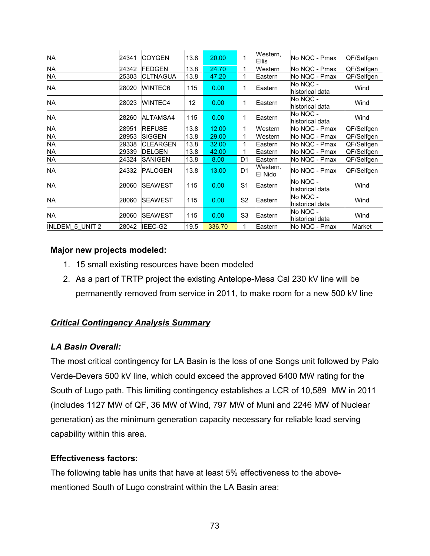| <b>NA</b>       | 24341 | <b>COYGEN</b>    | 13.8 | 20.00  | 1              | Western,<br>Ellis   | No NQC - Pmax               | QF/Selfgen |
|-----------------|-------|------------------|------|--------|----------------|---------------------|-----------------------------|------------|
| <b>NA</b>       | 24342 | <b>FEDGEN</b>    | 13.8 | 24.70  | 1              | Western             | No NQC - Pmax               | QF/Selfgen |
| <b>NA</b>       | 25303 | <b>CLTNAGUA</b>  | 13.8 | 47.20  | 1              | Eastern             | No NQC - Pmax               | QF/Selfgen |
| NA              | 28020 | <b>WINTEC6</b>   | 115  | 0.00   | 1              | Eastern             | No NQC -<br>historical data | Wind       |
| NA              | 28023 | <b>WINTEC4</b>   | 12   | 0.00   | 1              | Eastern             | No NQC -<br>historical data | Wind       |
| NA              | 28260 | ALTAMSA4         | 115  | 0.00   | 1              | Eastern             | No NQC -<br>historical data | Wind       |
| NA              | 28951 | <b>REFUSE</b>    | 13.8 | 12.00  | 1              | Western             | No NQC - Pmax               | QF/Selfgen |
| NA              | 28953 | <b>SIGGEN</b>    | 13.8 | 29.00  | 1              | Western             | No NQC - Pmax               | QF/Selfgen |
| <b>NA</b>       | 29338 | <b>ICLEARGEN</b> | 13.8 | 32.00  | 1              | Eastern             | No NQC - Pmax               | QF/Selfgen |
| <b>NA</b>       | 29339 | <b>DELGEN</b>    | 13.8 | 42.00  | 1              | Eastern             | No NQC - Pmax               | QF/Selfgen |
| NA              | 24324 | <b>SANIGEN</b>   | 13.8 | 8.00   | D <sub>1</sub> | Eastern             | No NQC - Pmax               | QF/Selfgen |
| NA.             | 24332 | <b>PALOGEN</b>   | 13.8 | 13.00  | D <sub>1</sub> | Western.<br>El Nido | No NQC - Pmax               | QF/Selfgen |
| NA.             | 28060 | <b>SEAWEST</b>   | 115  | 0.00   | S <sub>1</sub> | Eastern             | No NQC -<br>historical data | Wind       |
| NA              | 28060 | <b>SEAWEST</b>   | 115  | 0.00   | S <sub>2</sub> | Eastern             | No NQC -<br>historical data | Wind       |
| NA              | 28060 | <b>SEAWEST</b>   | 115  | 0.00   | S <sub>3</sub> | Eastern             | No NQC -<br>historical data | Wind       |
| INLDEM 5 UNIT 2 | 28042 | IEEC-G2          | 19.5 | 336.70 | 1              | Eastern             | No NQC - Pmax               | Market     |

### **Major new projects modeled:**

- 1. 15 small existing resources have been modeled
- 2. As a part of TRTP project the existing Antelope-Mesa Cal 230 kV line will be permanently removed from service in 2011, to make room for a new 500 kV line

### *Critical Contingency Analysis Summary*

### *LA Basin Overall:*

The most critical contingency for LA Basin is the loss of one Songs unit followed by Palo Verde-Devers 500 kV line, which could exceed the approved 6400 MW rating for the South of Lugo path. This limiting contingency establishes a LCR of 10,589 MW in 2011 (includes 1127 MW of QF, 36 MW of Wind, 797 MW of Muni and 2246 MW of Nuclear generation) as the minimum generation capacity necessary for reliable load serving capability within this area.

### **Effectiveness factors:**

The following table has units that have at least 5% effectiveness to the abovementioned South of Lugo constraint within the LA Basin area: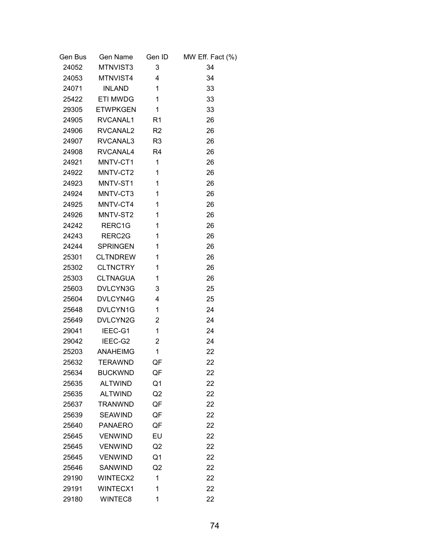| Gen Bus | Gen Name          | Gen ID                   | MW Eff. Fact (%) |
|---------|-------------------|--------------------------|------------------|
|         | 24052 MTNVIST3    | 3                        | 34               |
| 24053   | MTNVIST4          | $\overline{4}$           | 34               |
| 24071   | INLAND            | $\mathbf{1}$             | 33               |
| 25422   | ETI MWDG          | $\mathbf{1}$             | 33               |
|         | 29305 ETWPKGEN    | $\overline{\phantom{0}}$ | 33               |
|         | 24905 RVCANAL1    | <b>R1</b>                | 26               |
|         | 24906 RVCANAL2    | R2                       | 26               |
| 24907   | RVCANAL3          | R <sub>3</sub>           | 26               |
|         | 24908 RVCANAL4 R4 |                          | 26               |
| 24921   | MNTV-CT1          | $\overline{1}$           | 26               |
|         | 24922 MNTV-CT2    | 1                        | 26               |
| 24923   | MNTV-ST1          | $\mathbf{1}$             | 26               |
| 24924   | MNTV-CT3          | 1                        | 26               |
| 24925   | MNTV-CT4          | $\mathbf{1}$             | 26               |
| 24926   | MNTV-ST2          | 1                        | 26               |
| 24242   | RERC1G            | $\mathbf{1}$             | 26               |
| 24243   | RERC2G            | 1                        | 26               |
| 24244   | SPRINGEN          | $\mathbf{1}$             | 26               |
| 25301   | <b>CLTNDREW</b>   | $\mathbf{1}$             | 26               |
| 25302   | <b>CLTNCTRY</b>   | $\mathbf{1}$             | 26               |
|         | 25303 CLTNAGUA    | 1                        | 26               |
| 25603   | DVLCYN3G          | 3                        | 25               |
|         | 25604 DVLCYN4G    | 4                        | 25               |
| 25648   | DVLCYN1G          | $\mathbf{1}$             | 24               |
|         | 25649 DVLCYN2G    | 2                        | 24               |
| 29041   | IEEC-G1           | $\mathbf{1}$             | 24               |
| 29042   | IEEC-G2           | $\overline{2}$           | 24               |
|         | 25203 ANAHEIMG    | $\mathbf{1}$             | 22               |
| 25632   | TERAWND           | QF                       | 22               |
| 25634   | <b>BUCKWND</b>    | QF                       | 22               |
| 25635   | <b>ALTWIND</b>    | Q1                       | 22               |
| 25635   | <b>ALTWIND</b>    | Q2                       | 22               |
| 25637   | <b>TRANWND</b>    | QF                       | 22               |
| 25639   | <b>SEAWIND</b>    | QF                       | 22               |
| 25640   | <b>PANAERO</b>    | QF                       | 22               |
| 25645   | <b>VENWIND</b>    | EU                       | 22               |
| 25645   | <b>VENWIND</b>    | Q <sub>2</sub>           | 22               |
| 25645   | <b>VENWIND</b>    | Q1                       | 22               |
| 25646   | <b>SANWIND</b>    | Q <sub>2</sub>           | 22               |
| 29190   | WINTECX2          | 1                        | 22               |
| 29191   | <b>WINTECX1</b>   | 1                        | 22               |
| 29180   | WINTEC8           | 1                        | 22               |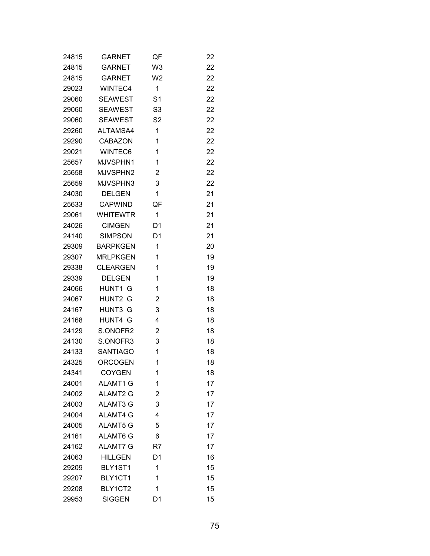| 24815 | GARNET          | QF             | 22 |
|-------|-----------------|----------------|----|
| 24815 | <b>GARNET</b>   | W <sub>3</sub> | 22 |
| 24815 | <b>GARNET</b>   | W <sub>2</sub> | 22 |
| 29023 | WINTEC4         | 1              | 22 |
| 29060 | <b>SEAWEST</b>  | S <sub>1</sub> | 22 |
| 29060 | <b>SEAWEST</b>  | S <sub>3</sub> | 22 |
| 29060 | <b>SEAWEST</b>  | S <sub>2</sub> | 22 |
| 29260 | ALTAMSA4        | 1              | 22 |
| 29290 | <b>CABAZON</b>  | 1              | 22 |
| 29021 | WINTEC6         | 1              | 22 |
| 25657 | MJVSPHN1        | 1              | 22 |
| 25658 | MJVSPHN2        | 2              | 22 |
| 25659 | MJVSPHN3        | 3              | 22 |
| 24030 | <b>DELGEN</b>   | 1              | 21 |
| 25633 | <b>CAPWIND</b>  | QF             | 21 |
| 29061 | <b>WHITEWTR</b> | 1              | 21 |
| 24026 | <b>CIMGEN</b>   | D1             | 21 |
| 24140 | <b>SIMPSON</b>  | D1             | 21 |
| 29309 | <b>BARPKGEN</b> | 1              | 20 |
| 29307 | <b>MRLPKGEN</b> | 1              | 19 |
| 29338 | <b>CLEARGEN</b> | 1              | 19 |
| 29339 | <b>DELGEN</b>   | 1              | 19 |
| 24066 | HUNT1 G         | 1              | 18 |
| 24067 | HUNT2<br>G      | 2              | 18 |
| 24167 | HUNT3 G         | 3              | 18 |
| 24168 | HUNT4 G         | 4              | 18 |
| 24129 | S.ONOFR2        | 2              | 18 |
| 24130 | S.ONOFR3        | 3              | 18 |
| 24133 | <b>SANTIAGO</b> | 1              | 18 |
| 24325 | <b>ORCOGEN</b>  | 1              | 18 |
| 24341 | <b>COYGEN</b>   | 1              | 18 |
| 24001 | ALAMT1 G        | 1              | 17 |
| 24002 | <b>ALAMT2 G</b> | 2              | 17 |
| 24003 | <b>ALAMT3 G</b> | 3              | 17 |
| 24004 | <b>ALAMT4 G</b> | 4              | 17 |
| 24005 | <b>ALAMT5 G</b> | 5              | 17 |
| 24161 | ALAMT6 G        | 6              | 17 |
| 24162 | <b>ALAMT7 G</b> | R7             | 17 |
| 24063 | <b>HILLGEN</b>  | D1             | 16 |
| 29209 | BLY1ST1         | 1              | 15 |
| 29207 | BLY1CT1         | 1              | 15 |
| 29208 | BLY1CT2         | 1              | 15 |
| 29953 | <b>SIGGEN</b>   | D <sub>1</sub> | 15 |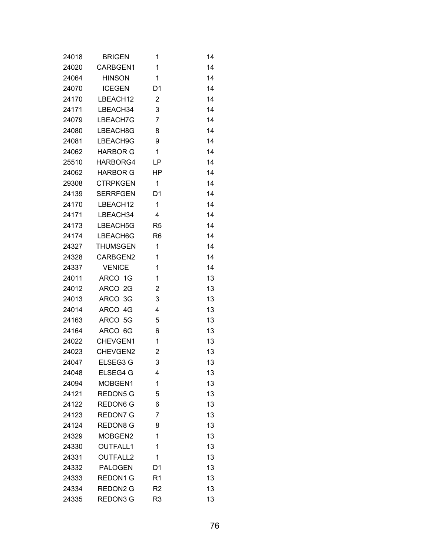| 24018 | <b>BRIGEN</b>   | 1              | 14 |
|-------|-----------------|----------------|----|
| 24020 | CARBGEN1        | 1              | 14 |
| 24064 | <b>HINSON</b>   | 1              | 14 |
| 24070 | <b>ICEGEN</b>   | D <sub>1</sub> | 14 |
| 24170 | LBEACH12        | 2              | 14 |
| 24171 | LBEACH34        | 3              | 14 |
| 24079 | LBEACH7G        | $\overline{7}$ | 14 |
| 24080 | LBEACH8G        | 8              | 14 |
| 24081 | LBEACH9G        | 9              | 14 |
| 24062 | <b>HARBOR G</b> | 1              | 14 |
| 25510 | HARBORG4        | LP             | 14 |
| 24062 | <b>HARBOR G</b> | HP             | 14 |
| 29308 | <b>CTRPKGEN</b> | 1              | 14 |
| 24139 | <b>SERRFGEN</b> | D1             | 14 |
| 24170 | LBEACH12        | 1              | 14 |
| 24171 | LBEACH34        | 4              | 14 |
| 24173 | LBEACH5G        | R <sub>5</sub> | 14 |
| 24174 | LBEACH6G        | R <sub>6</sub> | 14 |
| 24327 | <b>THUMSGEN</b> | 1              | 14 |
| 24328 | CARBGEN2        | 1              | 14 |
| 24337 | <b>VENICE</b>   | 1              | 14 |
| 24011 | ARCO 1G         | 1              | 13 |
| 24012 | ARCO 2G         | 2              | 13 |
| 24013 | ARCO 3G         | 3              | 13 |
| 24014 | ARCO 4G         | 4              | 13 |
| 24163 | ARCO 5G         | 5              | 13 |
| 24164 | ARCO 6G         | 6              | 13 |
| 24022 | CHEVGEN1        | 1              | 13 |
| 24023 | CHEVGEN2        | 2              | 13 |
| 24047 | ELSEG3 G        | 3              | 13 |
| 24048 | ELSEG4 G        | 4              | 13 |
| 24094 | MOBGEN1         | 1              | 13 |
| 24121 | <b>REDON5 G</b> | 5              | 13 |
| 24122 | <b>REDON6 G</b> | 6              | 13 |
| 24123 | <b>REDON7 G</b> | 7              | 13 |
| 24124 | <b>REDON8 G</b> | 8              | 13 |
| 24329 | MOBGEN2         | 1              | 13 |
| 24330 | <b>OUTFALL1</b> | 1              | 13 |
| 24331 | <b>OUTFALL2</b> | 1              | 13 |
| 24332 | <b>PALOGEN</b>  | D <sub>1</sub> | 13 |
| 24333 | <b>REDON1 G</b> | R1             | 13 |
| 24334 | REDON2 G        | R <sub>2</sub> | 13 |
| 24335 | REDON3 G        | R <sub>3</sub> | 13 |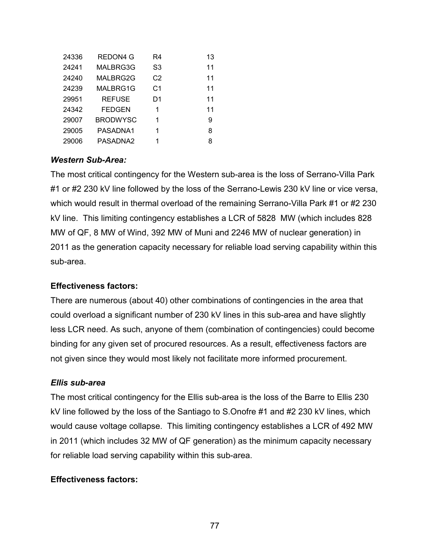| 24336 | REDON4 G        | R4             | 13 |
|-------|-----------------|----------------|----|
| 24241 | MALBRG3G        | S3             | 11 |
| 24240 | MALBRG2G        | C <sub>2</sub> | 11 |
| 24239 | MALBRG1G        | C <sub>1</sub> | 11 |
| 29951 | <b>REFUSE</b>   | D1             | 11 |
| 24342 | <b>FEDGEN</b>   | 1              | 11 |
| 29007 | <b>BRODWYSC</b> | 1              | 9  |
| 29005 | PASADNA1        | 1              | 8  |
| 29006 | PASADNA2        | 1              | 8  |

#### *Western Sub-Area:*

The most critical contingency for the Western sub-area is the loss of Serrano-Villa Park #1 or #2 230 kV line followed by the loss of the Serrano-Lewis 230 kV line or vice versa, which would result in thermal overload of the remaining Serrano-Villa Park #1 or #2 230 kV line. This limiting contingency establishes a LCR of 5828 MW (which includes 828 MW of QF, 8 MW of Wind, 392 MW of Muni and 2246 MW of nuclear generation) in 2011 as the generation capacity necessary for reliable load serving capability within this sub-area.

#### **Effectiveness factors:**

There are numerous (about 40) other combinations of contingencies in the area that could overload a significant number of 230 kV lines in this sub-area and have slightly less LCR need. As such, anyone of them (combination of contingencies) could become binding for any given set of procured resources. As a result, effectiveness factors are not given since they would most likely not facilitate more informed procurement.

#### *Ellis sub-area*

The most critical contingency for the Ellis sub-area is the loss of the Barre to Ellis 230 kV line followed by the loss of the Santiago to S.Onofre #1 and #2 230 kV lines, which would cause voltage collapse. This limiting contingency establishes a LCR of 492 MW in 2011 (which includes 32 MW of QF generation) as the minimum capacity necessary for reliable load serving capability within this sub-area.

#### **Effectiveness factors:**

77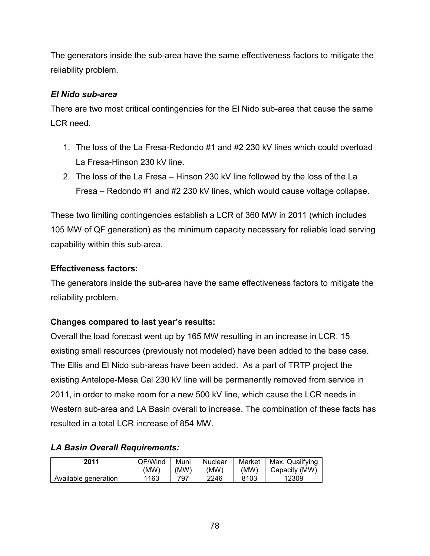The generators inside the sub-area have the same effectiveness factors to mitigate the reliability problem.

# *El Nido sub-area*

There are two most critical contingencies for the El Nido sub-area that cause the same LCR need.

- 1. The loss of the La Fresa-Redondo #1 and #2 230 kV lines which could overload La Fresa-Hinson 230 kV line.
- 2. The loss of the La Fresa Hinson 230 kV line followed by the loss of the La Fresa – Redondo #1 and #2 230 kV lines, which would cause voltage collapse.

These two limiting contingencies establish a LCR of 360 MW in 2011 (which includes 105 MW of QF generation) as the minimum capacity necessary for reliable load serving capability within this sub-area.

# **Effectiveness factors:**

The generators inside the sub-area have the same effectiveness factors to mitigate the reliability problem.

# **Changes compared to last year's results:**

Overall the load forecast went up by 165 MW resulting in an increase in LCR. 15 existing small resources (previously not modeled) have been added to the base case. The Ellis and El Nido sub-areas have been added. As a part of TRTP project the existing Antelope-Mesa Cal 230 kV line will be permanently removed from service in 2011, in order to make room for a new 500 kV line, which cause the LCR needs in Western sub-area and LA Basin overall to increase. The combination of these facts has resulted in a total LCR increase of 854 MW.

# *LA Basin Overall Requirements:*

| 2011                 | QF/Wind | Muni | Nuclear | Market | Max. Qualifying |
|----------------------|---------|------|---------|--------|-----------------|
|                      | (MW)    | (MW) | (MW)    | (MW)   | Capacity (MW)   |
| Available generation | '163    | 797  | 2246    | 8103   | 12309           |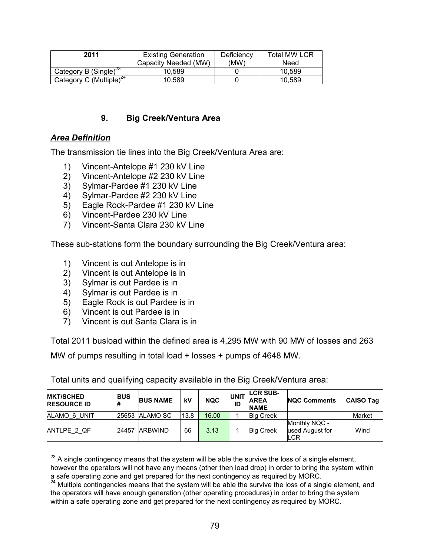| 2011                                | <b>Existing Generation</b> | Deficiency | <b>Total MW LCR</b> |
|-------------------------------------|----------------------------|------------|---------------------|
|                                     | Capacity Needed (MW)       | (MW)       | Need                |
| Category B (Single) <sup>23</sup>   | 10.589                     |            | 10.589              |
| Category C (Multiple) <sup>24</sup> | 10.589                     |            | 10.589              |

#### **9. Big Creek/Ventura Area**

#### *Area Definition*

 $\overline{a}$ 

The transmission tie lines into the Big Creek/Ventura Area are:

- 1) Vincent-Antelope #1 230 kV Line
- 2) Vincent-Antelope #2 230 kV Line
- 3) Sylmar-Pardee #1 230 kV Line
- 4) Sylmar-Pardee #2 230 kV Line
- 5) Eagle Rock-Pardee #1 230 kV Line
- 6) Vincent-Pardee 230 kV Line
- 7) Vincent-Santa Clara 230 kV Line

These sub-stations form the boundary surrounding the Big Creek/Ventura area:

- 1) Vincent is out Antelope is in
- 2) Vincent is out Antelope is in
- 3) Sylmar is out Pardee is in
- 4) Sylmar is out Pardee is in
- 5) Eagle Rock is out Pardee is in
- 6) Vincent is out Pardee is in
- 7) Vincent is out Santa Clara is in

Total 2011 busload within the defined area is 4,295 MW with 90 MW of losses and 263

MW of pumps resulting in total load + losses + pumps of 4648 MW.

| <b>MKT/SCHED</b><br><b>RESOURCE ID</b> | <b>BUS</b><br># | <b>BUS NAME</b> | kV   | <b>NQC</b> | <b>UNIT</b><br>ID | <b>LCR SUB-</b><br><b>AREA</b><br><b>NAME</b> | <b>NQC Comments</b>                            | <b>CAISO Tag</b> |
|----------------------------------------|-----------------|-----------------|------|------------|-------------------|-----------------------------------------------|------------------------------------------------|------------------|
| ALAMO 6 UNIT                           | 25653           | ALAMO SC        | 13.8 | 16.00      |                   | <b>Big Creek</b>                              |                                                | Market           |
| ANTLPE 2 QF                            | 24457           | <b>ARBWIND</b>  | 66   | 3.13       |                   | <b>Big Creek</b>                              | Monthly NQC -<br>used August for<br><b>LCR</b> | Wind             |

Total units and qualifying capacity available in the Big Creek/Ventura area:

 $^{23}$  A single contingency means that the system will be able the survive the loss of a single element,

however the operators will not have any means (other then load drop) in order to bring the system within a safe operating zone and get prepared for the next contingency as required by MORC.

<sup>24</sup> Multiple contingencies means that the system will be able the survive the loss of a single element, and the operators will have enough generation (other operating procedures) in order to bring the system within a safe operating zone and get prepared for the next contingency as required by MORC.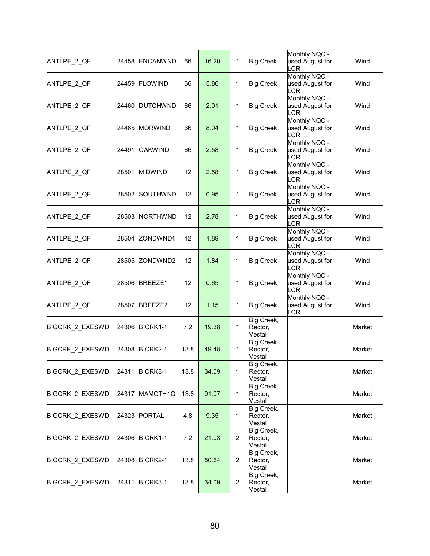| ANTLPE_2_QF            | 24458 | <b>ENCANWND</b> | 66   | 16.20 | 1              | <b>Big Creek</b>                | Monthly NQC -<br>used August for<br>LCR        | Wind   |
|------------------------|-------|-----------------|------|-------|----------------|---------------------------------|------------------------------------------------|--------|
| ANTLPE_2_QF            | 24459 | <b>FLOWIND</b>  | 66   | 5.86  | 1              | <b>Big Creek</b>                | Monthly NQC -<br>used August for<br><b>LCR</b> | Wind   |
| ANTLPE_2_QF            | 24460 | <b>DUTCHWND</b> | 66   | 2.01  | 1              | <b>Big Creek</b>                | Monthly NQC -<br>used August for<br><b>LCR</b> | Wind   |
| ANTLPE_2_QF            | 24465 | <b>MORWIND</b>  | 66   | 8.04  | 1              | <b>Big Creek</b>                | Monthly NQC -<br>used August for<br><b>LCR</b> | Wind   |
| ANTLPE 2 QF            | 24491 | <b>OAKWIND</b>  | 66   | 2.58  | 1              | <b>Big Creek</b>                | Monthly NQC -<br>used August for<br>LCR        | Wind   |
| ANTLPE_2_QF            | 28501 | <b>MIDWIND</b>  | 12   | 2.58  | 1              | <b>Big Creek</b>                | Monthly NQC -<br>used August for<br><b>LCR</b> | Wind   |
| ANTLPE_2_QF            | 28502 | SOUTHWND        | 12   | 0.95  | 1              | <b>Big Creek</b>                | Monthly NQC -<br>used August for<br>LCR        | Wind   |
| ANTLPE_2_QF            | 28503 | <b>NORTHWND</b> | 12   | 2.78  | 1              | <b>Big Creek</b>                | Monthly NQC -<br>used August for<br>LCR        | Wind   |
| ANTLPE 2 QF            | 28504 | ZONDWND1        | 12   | 1.89  | 1              | <b>Big Creek</b>                | Monthly NQC -<br>used August for<br>LCR        | Wind   |
| ANTLPE_2_QF            | 28505 | ZONDWND2        | 12   | 1.84  | 1              | <b>Big Creek</b>                | Monthly NQC -<br>used August for<br>LCR        | Wind   |
| ANTLPE_2_QF            | 28506 | <b>BREEZE1</b>  | 12   | 0.65  | 1              | <b>Big Creek</b>                | Monthly NQC -<br>used August for<br><b>LCR</b> | Wind   |
| ANTLPE_2_QF            | 28507 | BREEZE2         | 12   | 1.15  | 1              | <b>Big Creek</b>                | Monthly NQC -<br>used August for<br>LCR        | Wind   |
| <b>BIGCRK 2 EXESWD</b> | 24306 | B CRK1-1        | 7.2  | 19.38 | 1              | Big Creek,<br>Rector,<br>Vestal |                                                | Market |
| BIGCRK_2_EXESWD        | 24308 | B CRK2-1        | 13.8 | 49.48 | 1              | Big Creek,<br>Rector,<br>Vestal |                                                | Market |
| <b>BIGCRK 2 EXESWD</b> | 24311 | B CRK3-1        | 13.8 | 34.09 | 1              | Big Creek,<br>Rector,<br>Vestal |                                                | Market |
| BIGCRK_2_EXESWD        | 24317 | MAMOTH1G        | 13.8 | 91.07 | 1              | Big Creek,<br>Rector,<br>Vestal |                                                | Market |
| <b>BIGCRK 2 EXESWD</b> | 24323 | <b>PORTAL</b>   | 4.8  | 9.35  | 1              | Big Creek,<br>Rector,<br>Vestal |                                                | Market |
| <b>BIGCRK 2 EXESWD</b> | 24306 | <b>B CRK1-1</b> | 7.2  | 21.03 | $\overline{2}$ | Big Creek,<br>Rector,<br>Vestal |                                                | Market |
| BIGCRK_2_EXESWD        | 24308 | <b>B CRK2-1</b> | 13.8 | 50.64 | $\overline{2}$ | Big Creek,<br>Rector,<br>Vestal |                                                | Market |
| BIGCRK_2_EXESWD        | 24311 | B CRK3-1        | 13.8 | 34.09 | $\overline{2}$ | Big Creek,<br>Rector,<br>Vestal |                                                | Market |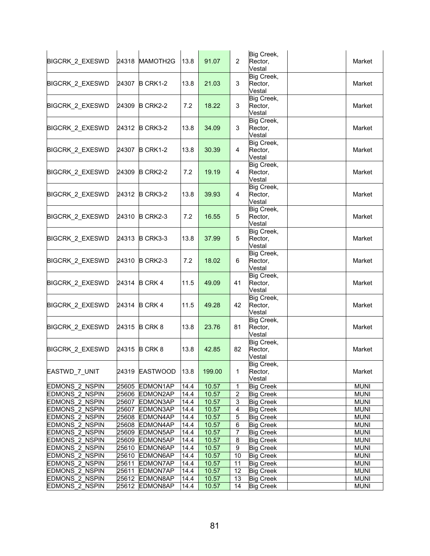| <b>BIGCRK 2 EXESWD</b>                         | 24318          | MAMOTH2G                   | 13.8         | 91.07          | $\overline{2}$   | Big Creek,<br>Rector,<br>Vestal      | Market                     |
|------------------------------------------------|----------------|----------------------------|--------------|----------------|------------------|--------------------------------------|----------------------------|
| BIGCRK_2_EXESWD                                | 24307          | B CRK1-2                   | 13.8         | 21.03          | 3                | Big Creek,<br>Rector,<br>Vestal      | Market                     |
| BIGCRK_2_EXESWD                                | 24309          | B CRK2-2                   | 7.2          | 18.22          | 3                | Big Creek,<br>Rector,<br>Vestal      | Market                     |
| <b>BIGCRK 2 EXESWD</b>                         | 24312          | B CRK3-2                   | 13.8         | 34.09          | 3                | Big Creek,<br>Rector,<br>Vestal      | Market                     |
| BIGCRK_2_EXESWD                                | 24307          | B CRK1-2                   | 13.8         | 30.39          | 4                | Big Creek,<br>Rector,<br>Vestal      | Market                     |
| BIGCRK_2_EXESWD                                | 24309          | <b>B CRK2-2</b>            | 7.2          | 19.19          | 4                | Big Creek,<br>Rector,<br>Vestal      | Market                     |
| BIGCRK_2_EXESWD                                | 24312          | B CRK3-2                   | 13.8         | 39.93          | 4                | Big Creek,<br>Rector,<br>Vestal      | Market                     |
| BIGCRK_2_EXESWD                                | 24310          | B CRK2-3                   | 7.2          | 16.55          | 5                | Big Creek,<br>Rector,<br>Vestal      | Market                     |
| BIGCRK_2_EXESWD                                | 24313          | B CRK3-3                   | 13.8         | 37.99          | 5                | Big Creek,<br>Rector,<br>Vestal      | Market                     |
| BIGCRK_2_EXESWD                                | 24310          | B CRK2-3                   | 7.2          | 18.02          | 6                | Big Creek,<br>Rector,<br>Vestal      | Market                     |
| BIGCRK_2_EXESWD                                | 24314          | B CRK 4                    | 11.5         | 49.09          | 41               | Big Creek,<br>Rector,<br>Vestal      | Market                     |
| BIGCRK_2_EXESWD                                | 24314          | <b>B CRK 4</b>             | 11.5         | 49.28          | 42               | Big Creek,<br>Rector,<br>Vestal      | Market                     |
| BIGCRK_2_EXESWD                                | 24315          | B CRK 8                    | 13.8         | 23.76          | 81               | Big Creek,<br>Rector,<br>Vestal      | Market                     |
| <b>BIGCRK 2 EXESWD</b>                         | 24315          | <b>B CRK 8</b>             | 13.8         | 42.85          | 82               | Big Creek,<br>Rector,<br>Vestal      | Market                     |
| EASTWD_7_UNIT                                  | 24319          | EASTWOOD 13.8              |              | 199.00         | 1                | Big Creek,<br>Rector,<br>Vestal      | Market                     |
| <b>EDMONS 2 NSPIN</b>                          | 25605          | EDMON1AP                   | 14.4         | 10.57          | $\mathbf{1}$     | <b>Big Creek</b>                     | <b>MUNI</b>                |
| <b>EDMONS 2 NSPIN</b>                          |                | 25606 EDMON2AP             | 14.4         | 10.57          | $\boldsymbol{2}$ | <b>Big Creek</b>                     | <b>MUNI</b>                |
| <b>EDMONS 2 NSPIN</b>                          | 25607          | EDMON3AP                   | 14.4         | 10.57          | 3                | <b>Big Creek</b>                     | <b>MUNI</b>                |
| EDMONS_2_NSPIN                                 | 25607          | EDMON3AP                   | 14.4         | 10.57          | 4                | <b>Big Creek</b>                     | <b>MUNI</b>                |
| EDMONS_2_NSPIN                                 | 25608          | EDMON4AP                   | 14.4         | 10.57          | $\mathbf 5$      | <b>Big Creek</b>                     | <b>MUNI</b>                |
| EDMONS_2_NSPIN                                 | 25608          | EDMON4AP                   | 14.4         | 10.57          | 6                | <b>Big Creek</b>                     | <b>MUNI</b>                |
| EDMONS_2_NSPIN                                 | 25609<br>25609 | EDMON5AP                   | 14.4         | 10.57          | $\overline{7}$   | <b>Big Creek</b>                     | <b>MUNI</b>                |
| <b>EDMONS 2 NSPIN</b><br><b>EDMONS 2 NSPIN</b> |                | EDMON5AP<br>25610 EDMON6AP | 14.4         | 10.57<br>10.57 | 8<br>9           | <b>Big Creek</b>                     | <b>MUNI</b><br><b>MUNI</b> |
| <b>EDMONS 2 NSPIN</b>                          | 25610          | EDMON6AP                   | 14.4<br>14.4 | 10.57          | 10               | <b>Big Creek</b><br><b>Big Creek</b> | <b>MUNI</b>                |
| EDMONS_2_NSPIN                                 | 25611          | EDMON7AP                   | 14.4         | 10.57          | 11               | <b>Big Creek</b>                     | <b>MUNI</b>                |
| EDMONS_2_NSPIN                                 | 25611          | EDMON7AP                   | 14.4         | 10.57          | 12               | <b>Big Creek</b>                     | <b>MUNI</b>                |
| EDMONS_2_NSPIN                                 | 25612          | EDMON8AP                   | 14.4         | 10.57          | 13               | <b>Big Creek</b>                     | <b>MUNI</b>                |
| <b>EDMONS 2 NSPIN</b>                          | 25612          | EDMON8AP                   | 14.4         | 10.57          | 14               | <b>Big Creek</b>                     | <b>MUNI</b>                |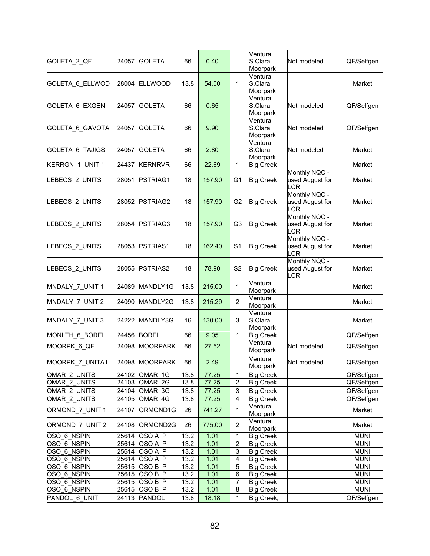| GOLETA_2_QF                | 24057          | <b>GOLETA</b>      | 66                        | 0.40         |                   | Ventura,<br>S.Clara,<br>Moorpark            | Not modeled                             | QF/Selfgen                 |
|----------------------------|----------------|--------------------|---------------------------|--------------|-------------------|---------------------------------------------|-----------------------------------------|----------------------------|
| GOLETA_6_ELLWOD            | 28004          | <b>ELLWOOD</b>     | 13.8                      | 54.00        | $\mathbf 1$       | Ventura,<br>S.Clara,<br>Moorpark            |                                         | Market                     |
| GOLETA 6_EXGEN             | 24057          | <b>GOLETA</b>      | 66                        | 0.65         |                   | Ventura,<br>S.Clara,<br>Moorpark            | Not modeled                             | QF/Selfgen                 |
| GOLETA 6 GAVOTA            | 24057          | <b>GOLETA</b>      | 66                        | 9.90         |                   | Ventura,<br>S.Clara,<br>Moorpark            | Not modeled                             | QF/Selfgen                 |
| GOLETA_6_TAJIGS            | 24057          | <b>GOLETA</b>      | 66                        | 2.80         |                   | Ventura,<br>S.Clara,<br>Moorpark            | Not modeled                             | Market                     |
| <b>KERRGN 1 UNIT 1</b>     | 24437          | <b>KERNRVR</b>     | 66                        | 22.69        | $\mathbf{1}$      | <b>Big Creek</b>                            |                                         | Market                     |
| LEBECS_2_UNITS             | 28051          | PSTRIAG1           | 18                        | 157.90       | G <sub>1</sub>    | <b>Big Creek</b>                            | Monthly NQC -<br>used August for<br>LCR | Market                     |
| LEBECS_2_UNITS             | 28052          | <b>PSTRIAG2</b>    | 18                        | 157.90       | G <sub>2</sub>    | <b>Big Creek</b>                            | Monthly NQC -<br>used August for<br>LCR | Market                     |
| LEBECS 2 UNITS             | 28054          | PSTRIAG3           | 18                        | 157.90       | G <sub>3</sub>    | <b>Big Creek</b>                            | Monthly NQC -<br>used August for<br>LCR | Market                     |
| LEBECS_2_UNITS             | 28053          | PSTRIAS1           | 18                        | 162.40       | S <sub>1</sub>    | <b>Big Creek</b>                            | Monthly NQC -<br>used August for<br>LCR | Market                     |
| LEBECS_2_UNITS             | 28055          | <b>PSTRIAS2</b>    | 18                        | 78.90        | S <sub>2</sub>    | <b>Big Creek</b>                            | Monthly NQC -<br>used August for<br>LCR | Market                     |
| MNDALY_7_UNIT 1            | 24089          | MANDLY1G           | 13.8                      | 215.00       | $\mathbf 1$       | $\overline{\mathsf{V}}$ entura,<br>Moorpark |                                         | Market                     |
| MNDALY_7_UNIT 2            | 24090          | MANDLY2G           | 13.8                      | 215.29       | $\overline{2}$    | Ventura,<br>Moorpark                        |                                         | Market                     |
| MNDALY_7_UNIT 3            | 24222          | MANDLY3G           | 16                        | 130.00       | 3                 | Ventura,<br>S.Clara,<br>Moorpark            |                                         | Market                     |
| MONLTH 6 BOREL             | 24456          | <b>BOREL</b>       | 66                        | 9.05         | $\mathbf{1}$      | <b>Big Creek</b>                            |                                         | QF/Selfgen                 |
| MOORPK_6_QF                | 24098          | <b>MOORPARK</b>    | 66                        | 27.52        |                   | Ventura,<br>Moorpark                        | Not modeled                             | QF/Selfgen                 |
| MOORPK 7 UNITA1            | 24098          | <b>MOORPARK</b>    | 66                        | 2.49         |                   | Ventura,<br>Moorpark                        | Not modeled                             | QF/Selfgen                 |
| OMAR 2 UNITS               | 24102          | OMAR 1G            | 13.8                      | 77.25        | 1                 | <b>Big Creek</b>                            |                                         | QF/Selfgen                 |
| OMAR_2_UNITS               | 24103          | OMAR 2G            | 13.8                      | 77.25        | 2                 | <b>Big Creek</b>                            |                                         | QF/Selfgen                 |
| OMAR 2 UNITS               | 24104          | OMAR 3G            | 13.8                      | 77.25        | 3                 | <b>Big Creek</b>                            |                                         | QF/Selfgen                 |
| OMAR_2_UNITS               | 24105          | OMAR 4G            | 13.8                      | 77.25        | 4                 | <b>Big Creek</b><br>Ventura,                |                                         | QF/Selfgen                 |
| ORMOND 7 UNIT 1            | 24107          | ORMOND1G           | 26                        | 741.27       | 1                 | Moorpark<br>Ventura,                        |                                         | Market                     |
| ORMOND_7_UNIT 2            | 24108          | ORMOND2G           | 26                        | 775.00       | $\overline{2}$    | Moorpark                                    |                                         | Market                     |
| OSO 6 NSPIN<br>OSO 6 NSPIN | 25614<br>25614 | OSO A P<br>OSO A P | 13.2<br>$\overline{13.2}$ | 1.01<br>1.01 | $\mathbf{1}$<br>2 | <b>Big Creek</b><br><b>Big Creek</b>        |                                         | <b>MUNI</b><br><b>MUNI</b> |
| OSO_6_NSPIN                |                | 25614 OSO A P      | 13.2                      | 1.01         | 3                 | <b>Big Creek</b>                            |                                         | <b>MUNI</b>                |
| OSO_6_NSPIN                | 25614          | OSO A P            | $\overline{13.2}$         | 1.01         | 4                 | <b>Big Creek</b>                            |                                         | <b>MUNI</b>                |
| OSO_6_NSPIN                | 25615          | OSO B P            | 13.2                      | 1.01         | 5                 | <b>Big Creek</b>                            |                                         | <b>MUNI</b>                |
| OSO_6_NSPIN                | 25615          | OSO B P            | 13.2                      | 1.01         | 6                 | <b>Big Creek</b>                            |                                         | <b>MUNI</b>                |
| OSO_6_NSPIN                | 25615          | OSO B P            | 13.2                      | 1.01         | 7                 | <b>Big Creek</b>                            |                                         | <b>MUNI</b>                |
| OSO 6 NSPIN                | 25615          | OSO B P            | 13.2                      | 1.01         | 8                 | <b>Big Creek</b>                            |                                         | <b>MUNI</b>                |
| PANDOL 6_UNIT              | 24113          | PANDOL             | 13.8                      | 18.18        | 1                 | Big Creek,                                  |                                         | QF/Selfgen                 |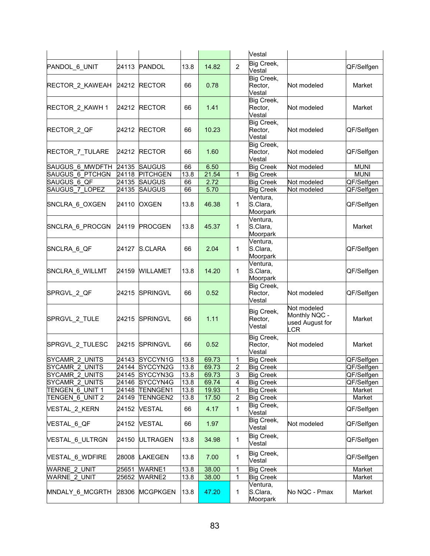|                                         |                |                                  |            |               |                         | Vestal                                   |                                                               |                      |
|-----------------------------------------|----------------|----------------------------------|------------|---------------|-------------------------|------------------------------------------|---------------------------------------------------------------|----------------------|
| PANDOL 6_UNIT                           | 24113          | <b>PANDOL</b>                    | 13.8       | 14.82         | $\overline{2}$          | Big Creek,<br>Vestal                     |                                                               | QF/Selfgen           |
| RECTOR_2_KAWEAH                         | 24212          | <b>RECTOR</b>                    | 66         | 0.78          |                         | Big Creek,<br>Rector,<br>Vestal          | Not modeled                                                   | Market               |
| RECTOR_2_KAWH 1                         | 24212          | <b>RECTOR</b>                    | 66         | 1.41          |                         | Big Creek,<br>Rector,<br>Vestal          | Not modeled                                                   | Market               |
| RECTOR 2 QF                             | 24212          | <b>RECTOR</b>                    | 66         | 10.23         |                         | Big Creek,<br>Rector,<br>Vestal          | Not modeled                                                   | QF/Selfgen           |
| RECTOR_7_TULARE                         | 24212          | <b>RECTOR</b>                    | 66         | 1.60          |                         | Big Creek,<br>Rector,<br>Vestal          | Not modeled                                                   | QF/Selfgen           |
| SAUGUS 6 MWDFTH                         | 24135          | <b>SAUGUS</b>                    | 66         | 6.50          |                         | <b>Big Creek</b>                         | Not modeled                                                   | <b>MUNI</b>          |
| <b>SAUGUS 6 PTCHGN</b>                  | 24118          | <b>PITCHGEN</b>                  | 13.8       | 21.54         | 1                       | <b>Big Creek</b>                         |                                                               | <b>MUNI</b>          |
| SAUGUS 6 QF                             | 24135          | <b>SAUGUS</b>                    | 66         | 2.72          |                         | <b>Big Creek</b>                         | Not modeled                                                   | QF/Selfgen           |
| SAUGUS 7 LOPEZ                          | 24135          | <b>SAUGUS</b>                    | 66         | 5.70          |                         | <b>Big Creek</b>                         | Not modeled                                                   | QF/Selfgen           |
| SNCLRA_6_OXGEN                          | 24110          | <b>OXGEN</b>                     | 13.8       | 46.38         | 1                       | Ventura,<br>S.Clara,<br>Moorpark         |                                                               | QF/Selfgen           |
| SNCLRA 6 PROCGN                         | 24119          | <b>PROCGEN</b>                   | 13.8       | 45.37         | 1                       | Ventura,<br>S.Clara,<br>Moorpark         |                                                               | Market               |
| SNCLRA_6_QF                             | 24127          | S.CLARA                          | 66         | 2.04          | 1                       | Ventura,<br>S.Clara,<br>Moorpark         |                                                               | QF/Selfgen           |
| SNCLRA_6_WILLMT                         | 24159          | <b>WILLAMET</b>                  | 13.8       | 14.20         | 1                       | Ventura,<br>S.Clara,<br>Moorpark         |                                                               | QF/Selfgen           |
| SPRGVL_2_QF                             | 24215          | <b>SPRINGVL</b>                  | 66         | 0.52          |                         | Big Creek,<br>Rector,<br>Vestal          | Not modeled                                                   | QF/Selfgen           |
| SPRGVL_2_TULE                           | 24215          | <b>SPRINGVL</b>                  | 66         | 1.11          |                         | Big Creek,<br>Rector,<br>Vestal          | Not modeled<br>Monthly NQC -<br>used August for<br><b>LCR</b> | Market               |
| SPRGVL_2_TULESC                         | 24215          | <b>SPRINGVL</b>                  | 66         | 0.52          |                         | Big Creek,<br>Rector,<br>Vestal          | Not modeled                                                   | Market               |
| SYCAMR 2 UNITS                          | 24143          | SYCCYN1G                         | 13.8       | 69.73         | 1                       | <b>Big Creek</b>                         |                                                               | QF/Selfgen           |
| SYCAMR_2_UNITS                          |                | 24144 SYCCYN2G                   | 13.8       | 69.73         | 2                       | <b>Big Creek</b>                         |                                                               | QF/Selfgen           |
| SYCAMR_2_UNITS                          | 24145          | SYCCYN3G                         | 13.8       | 69.73         | 3                       | <b>Big Creek</b>                         |                                                               | QF/Selfgen           |
| SYCAMR 2 UNITS                          | 24146          | SYCCYN4G                         | 13.8       | 69.74         | $\overline{\mathbf{4}}$ | <b>Big Creek</b>                         |                                                               | QF/Selfgen           |
| TENGEN 6 UNIT 1                         | 24148          | <b>TENNGEN1</b>                  | 13.8       | 19.93         | 1                       | <b>Big Creek</b>                         |                                                               | Market               |
| TENGEN 6 UNIT 2<br><b>VESTAL 2 KERN</b> | 24149<br>24152 | <b>TENNGEN2</b><br><b>VESTAL</b> | 13.8<br>66 | 17.50<br>4.17 | $\overline{2}$<br>1     | <b>Big Creek</b><br>Big Creek,<br>Vestal |                                                               | Market<br>QF/Selfgen |
| <b>VESTAL 6 QF</b>                      | 24152          | <b>VESTAL</b>                    | 66         | 1.97          |                         | Big Creek,<br>Vestal                     | Not modeled                                                   | QF/Selfgen           |
| <b>VESTAL 6 ULTRGN</b>                  | 24150          | <b>ULTRAGEN</b>                  | 13.8       | 34.98         | 1                       | Big Creek,<br>Vestal                     |                                                               | QF/Selfgen           |
| <b>VESTAL 6 WDFIRE</b>                  | 28008          | <b>LAKEGEN</b>                   | 13.8       | 7.00          | 1                       | Big Creek,<br>Vestal                     |                                                               | QF/Selfgen           |
| <b>WARNE 2 UNIT</b>                     | 25651          | WARNE1                           | 13.8       | 38.00         | 1                       | <b>Big Creek</b>                         |                                                               | Market               |
| <b>WARNE 2 UNIT</b>                     | 25652          | WARNE2                           | 13.8       | 38.00         | $\mathbf{1}$            | <b>Big Creek</b>                         |                                                               | Market               |
| MNDALY 6 MCGRTH                         | 28306          | <b>MCGPKGEN</b>                  | 13.8       | 47.20         | 1                       | Ventura,<br>S.Clara,<br>Moorpark         | No NQC - Pmax                                                 | Market               |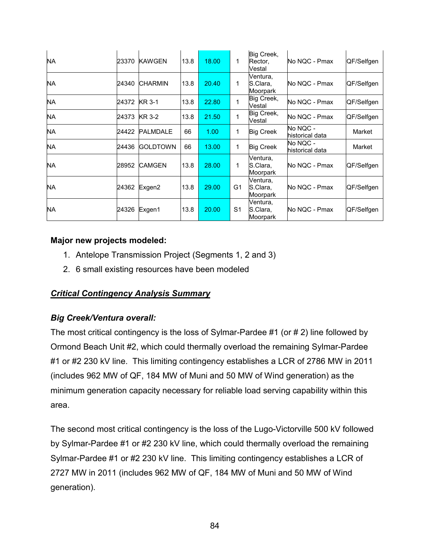| <b>NA</b> | 23370 | <b>KAWGEN</b>   | 13.8 | 18.00 | 1              | Big Creek,<br>Rector,<br>Vestal  | No NQC - Pmax               | QF/Selfgen |
|-----------|-------|-----------------|------|-------|----------------|----------------------------------|-----------------------------|------------|
| NA        | 24340 | <b>CHARMIN</b>  | 13.8 | 20.40 | 1              | Ventura,<br>S.Clara,<br>Moorpark | No NQC - Pmax               | QF/Selfgen |
| NA.       | 24372 | <b>KR 3-1</b>   | 13.8 | 22.80 | 1              | Big Creek,<br>Vestal             | No NQC - Pmax               | QF/Selfgen |
| NA.       | 24373 | <b>KR 3-2</b>   | 13.8 | 21.50 | 1              | Big Creek,<br>Vestal             | No NQC - Pmax               | QF/Selfgen |
| NA.       | 24422 | <b>PALMDALE</b> | 66   | 1.00  | 1              | <b>Big Creek</b>                 | No NQC -<br>historical data | Market     |
| NA.       | 24436 | <b>GOLDTOWN</b> | 66   | 13.00 | 1              | <b>Big Creek</b>                 | No NQC -<br>historical data | Market     |
| NA.       | 28952 | <b>CAMGEN</b>   | 13.8 | 28.00 | 1              | Ventura,<br>S.Clara,<br>Moorpark | No NQC - Pmax               | QF/Selfgen |
| NA        | 24362 | Exgen2          | 13.8 | 29.00 | G <sub>1</sub> | Ventura,<br>S.Clara,<br>Moorpark | No NQC - Pmax               | QF/Selfgen |
| NA        | 24326 | Exgen1          | 13.8 | 20.00 | S1             | Ventura,<br>S.Clara,<br>Moorpark | No NQC - Pmax               | QF/Selfgen |

# **Major new projects modeled:**

- 1. Antelope Transmission Project (Segments 1, 2 and 3)
- 2. 6 small existing resources have been modeled

# *Critical Contingency Analysis Summary*

### *Big Creek/Ventura overall:*

The most critical contingency is the loss of Sylmar-Pardee #1 (or # 2) line followed by Ormond Beach Unit #2, which could thermally overload the remaining Sylmar-Pardee #1 or #2 230 kV line. This limiting contingency establishes a LCR of 2786 MW in 2011 (includes 962 MW of QF, 184 MW of Muni and 50 MW of Wind generation) as the minimum generation capacity necessary for reliable load serving capability within this area.

The second most critical contingency is the loss of the Lugo-Victorville 500 kV followed by Sylmar-Pardee #1 or #2 230 kV line, which could thermally overload the remaining Sylmar-Pardee #1 or #2 230 kV line. This limiting contingency establishes a LCR of 2727 MW in 2011 (includes 962 MW of QF, 184 MW of Muni and 50 MW of Wind generation).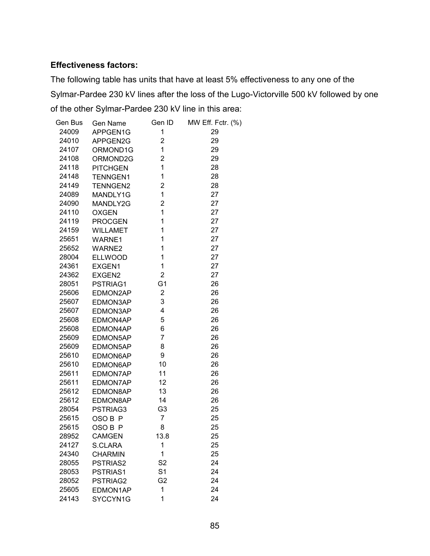#### **Effectiveness factors:**

The following table has units that have at least 5% effectiveness to any one of the Sylmar-Pardee 230 kV lines after the loss of the Lugo-Victorville 500 kV followed by one of the other Sylmar-Pardee 230 kV line in this area:

| Gen Bus | Gen Name        | Gen ID         | MW Eff. Fctr. (%) |
|---------|-----------------|----------------|-------------------|
| 24009   | APPGEN1G        | 1              | 29                |
| 24010   | APPGEN2G        | $\overline{c}$ | 29                |
| 24107   | ORMOND1G        | 1              | 29                |
| 24108   | ORMOND2G        | $\overline{2}$ | 29                |
| 24118   | <b>PITCHGEN</b> | $\mathbf{1}$   | 28                |
| 24148   | <b>TENNGEN1</b> | 1              | 28                |
| 24149   | <b>TENNGEN2</b> | $\overline{2}$ | 28                |
| 24089   | MANDLY1G        | 1              | 27                |
| 24090   | MANDLY2G        | $\overline{c}$ | 27                |
| 24110   | <b>OXGEN</b>    | $\mathbf{1}$   | 27                |
| 24119   | <b>PROCGEN</b>  | $\mathbf 1$    | 27                |
| 24159   | <b>WILLAMET</b> | $\mathbf 1$    | 27                |
| 25651   | WARNE1          | $\mathbf 1$    | 27                |
| 25652   | WARNE2          | $\mathbf{1}$   | 27                |
| 28004   | ELLWOOD         | $\mathbf{1}$   | 27                |
| 24361   | EXGEN1          | $\mathbf{1}$   | 27                |
| 24362   | EXGEN2          | $\overline{2}$ | 27                |
| 28051   | PSTRIAG1        | G <sub>1</sub> | 26                |
| 25606   | EDMON2AP        | $\overline{2}$ | 26                |
| 25607   | EDMON3AP        | 3              | 26                |
| 25607   | EDMON3AP        | 4              | 26                |
| 25608   | EDMON4AP        | 5              | 26                |
| 25608   | EDMON4AP        | 6              | 26                |
| 25609   | EDMON5AP        | $\overline{7}$ | 26                |
| 25609   | EDMON5AP        | 8              | 26                |
| 25610   | EDMON6AP        | 9              | 26                |
| 25610   | EDMON6AP        | 10             | 26                |
| 25611   | EDMON7AP        | 11             | 26                |
| 25611   | EDMON7AP        | 12             | 26                |
| 25612   | EDMON8AP        | 13             | 26                |
| 25612   | EDMON8AP        | 14             | 26                |
| 28054   | PSTRIAG3        | G <sub>3</sub> | 25                |
| 25615   | OSO B P         | $\overline{7}$ | 25                |
| 25615   | OSO B P         | 8              | 25                |
| 28952   | <b>CAMGEN</b>   | 13.8           | 25                |
| 24127   | S.CLARA         | 1              | 25                |
| 24340   | <b>CHARMIN</b>  | 1              | 25                |
| 28055   | PSTRIAS2        | S <sub>2</sub> | 24                |
| 28053   | PSTRIAS1        | S <sub>1</sub> | 24                |
| 28052   | PSTRIAG2        | G <sub>2</sub> | 24                |
| 25605   | EDMON1AP        | 1              | 24                |
| 24143   | SYCCYN1G        | 1              | 24                |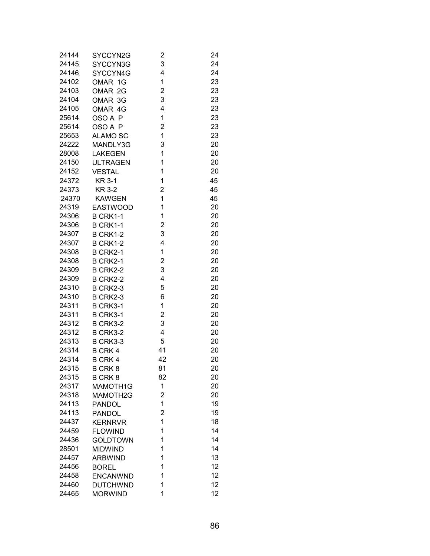| 24144 | SYCCYN2G        | $\overline{c}$ | 24 |
|-------|-----------------|----------------|----|
| 24145 | SYCCYN3G        | 3              | 24 |
| 24146 | SYCCYN4G        | 4              | 24 |
| 24102 | OMAR 1G         | 1              | 23 |
| 24103 | OMAR 2G         | 2              | 23 |
| 24104 | OMAR 3G         | 3              | 23 |
| 24105 | OMAR 4G         | 4              | 23 |
| 25614 | OSO A P         | 1              | 23 |
| 25614 | OSO A P         | 2              | 23 |
| 25653 | <b>ALAMO SC</b> | 1              | 23 |
| 24222 | MANDLY3G        | 3              | 20 |
| 28008 | <b>LAKEGEN</b>  | 1              | 20 |
| 24150 | <b>ULTRAGEN</b> | 1              | 20 |
| 24152 | <b>VESTAL</b>   | 1              | 20 |
| 24372 | <b>KR 3-1</b>   | 1              | 45 |
| 24373 | <b>KR 3-2</b>   | 2              | 45 |
| 24370 | <b>KAWGEN</b>   | 1              | 45 |
| 24319 | <b>EASTWOOD</b> | 1              | 20 |
| 24306 | B CRK1-1        | 1              | 20 |
| 24306 | <b>B CRK1-1</b> | 2              | 20 |
| 24307 | <b>B CRK1-2</b> | 3              | 20 |
| 24307 | <b>B CRK1-2</b> | 4              | 20 |
| 24308 | <b>B CRK2-1</b> | 1              | 20 |
| 24308 | <b>B CRK2-1</b> | 2              | 20 |
| 24309 | <b>B CRK2-2</b> | 3              | 20 |
| 24309 | <b>B CRK2-2</b> | 4              | 20 |
| 24310 | B CRK2-3        | 5              | 20 |
| 24310 | B CRK2-3        | 6              | 20 |
| 24311 | <b>B CRK3-1</b> | 1              | 20 |
| 24311 | B CRK3-1        | 2              | 20 |
| 24312 | B CRK3-2        | 3              | 20 |
| 24312 | B CRK3-2        | 4              | 20 |
| 24313 | B CRK3-3        | 5              | 20 |
| 24314 | <b>B CRK 4</b>  | 41             | 20 |
| 24314 | <b>B CRK 4</b>  | 42             | 20 |
| 24315 | B CRK 8         | 81             | 20 |
| 24315 | <b>B CRK 8</b>  | 82             | 20 |
| 24317 | MAMOTH1G        | 1              | 20 |
| 24318 | MAMOTH2G        | 2              | 20 |
| 24113 | <b>PANDOL</b>   | 1              | 19 |
| 24113 | <b>PANDOL</b>   | 2              | 19 |
| 24437 | <b>KERNRVR</b>  | 1              | 18 |
| 24459 | <b>FLOWIND</b>  | 1              | 14 |
| 24436 | <b>GOLDTOWN</b> | 1              | 14 |
| 28501 | <b>MIDWIND</b>  | 1              | 14 |
| 24457 | <b>ARBWIND</b>  | 1              | 13 |
| 24456 | <b>BOREL</b>    | 1              | 12 |
| 24458 | <b>ENCANWND</b> | 1              | 12 |
| 24460 | <b>DUTCHWND</b> | 1              | 12 |
| 24465 | <b>MORWIND</b>  | 1              | 12 |
|       |                 |                |    |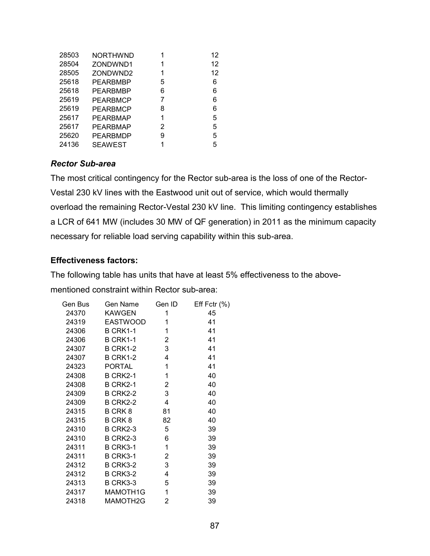| 28503 | <b>NORTHWND</b> | 1 | 12 |
|-------|-----------------|---|----|
| 28504 | ZONDWND1        | 1 | 12 |
| 28505 | ZONDWND2        | 1 | 12 |
| 25618 | PEARBMBP        | 5 | 6  |
| 25618 | PEARBMBP        | 6 | 6  |
| 25619 | PEARBMCP        | 7 | 6  |
| 25619 | PEARBMCP        | 8 | 6  |
| 25617 | PEARBMAP        | 1 | 5  |
| 25617 | PEARBMAP        | 2 | 5  |
| 25620 | PEARBMDP        | 9 | 5  |
| 24136 | <b>SEAWEST</b>  | 1 | 5  |
|       |                 |   |    |

#### *Rector Sub-area*

The most critical contingency for the Rector sub-area is the loss of one of the Rector-Vestal 230 kV lines with the Eastwood unit out of service, which would thermally overload the remaining Rector-Vestal 230 kV line. This limiting contingency establishes a LCR of 641 MW (includes 30 MW of QF generation) in 2011 as the minimum capacity necessary for reliable load serving capability within this sub-area.

### **Effectiveness factors:**

The following table has units that have at least 5% effectiveness to the above-

mentioned constraint within Rector sub-area:

| Gen Bus | Gen Name        | Gen ID         | Eff Fctr $(\%)$ |
|---------|-----------------|----------------|-----------------|
| 24370   | <b>KAWGEN</b>   | 1              | 45              |
| 24319   | <b>EASTWOOD</b> | 1              | 41              |
| 24306   | <b>B CRK1-1</b> | $\mathbf{1}$   | 41              |
| 24306   | B CRK1-1        | $\overline{2}$ | 41              |
| 24307   | B CRK1-2        | $\mathbf{3}$   | 41              |
| 24307   | B CRK1-2        | 4              | 41              |
| 24323   | <b>PORTAL</b>   | 1              | 41              |
| 24308   | <b>B CRK2-1</b> | 1              | 40              |
| 24308   | <b>B CRK2-1</b> | $\overline{2}$ | 40              |
| 24309   | B CRK2-2        | $\mathbf{3}$   | 40              |
| 24309   | B CRK2-2        | 4              | 40              |
| 24315   | B CRK 8         | 81             | 40              |
| 24315   | B CRK 8         | 82             | 40              |
| 24310   | B CRK2-3        | 5              | 39              |
| 24310   | B CRK2-3        | 6              | 39              |
| 24311   | B CRK3-1        | 1              | 39              |
| 24311   | <b>B CRK3-1</b> | $\overline{2}$ | 39              |
| 24312   | B CRK3-2        | 3              | 39              |
| 24312   | B CRK3-2        | 4              | 39              |
| 24313   | B CRK3-3        | 5              | 39              |
| 24317   | MAMOTH1G        | 1              | 39              |
| 24318   | MAMOTH2G        | 2              | 39              |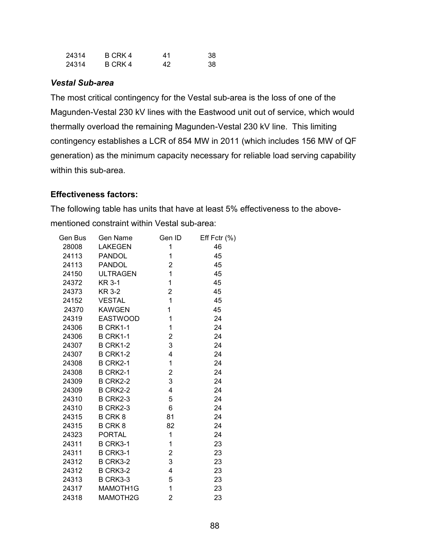| 24314 | B CRK 4 | 41 | 38 |
|-------|---------|----|----|
| 24314 | B CRK 4 | 42 | 38 |

#### *Vestal Sub-area*

The most critical contingency for the Vestal sub-area is the loss of one of the Magunden-Vestal 230 kV lines with the Eastwood unit out of service, which would thermally overload the remaining Magunden-Vestal 230 kV line. This limiting contingency establishes a LCR of 854 MW in 2011 (which includes 156 MW of QF generation) as the minimum capacity necessary for reliable load serving capability within this sub-area.

#### **Effectiveness factors:**

The following table has units that have at least 5% effectiveness to the abovementioned constraint within Vestal sub-area:

| Gen Bus | Gen Name        | Gen ID                  | Eff Fctr (%) |
|---------|-----------------|-------------------------|--------------|
| 28008   | <b>LAKEGEN</b>  | 1                       | 46           |
| 24113   | <b>PANDOL</b>   | 1                       | 45           |
| 24113   | <b>PANDOL</b>   | $\overline{2}$          | 45           |
| 24150   | <b>ULTRAGEN</b> | 1                       | 45           |
| 24372   | <b>KR 3-1</b>   | 1                       | 45           |
| 24373   | KR 3-2          | $\overline{2}$          | 45           |
| 24152   | <b>VESTAL</b>   | $\mathbf{1}$            | 45           |
| 24370   | <b>KAWGEN</b>   | 1                       | 45           |
| 24319   | <b>EASTWOOD</b> | 1                       | 24           |
| 24306   | <b>B CRK1-1</b> | 1                       | 24           |
| 24306   | <b>B CRK1-1</b> | 2                       | 24           |
| 24307   | B CRK1-2        | 3                       | 24           |
| 24307   | <b>B CRK1-2</b> | $\overline{\mathbf{4}}$ | 24           |
| 24308   | <b>B CRK2-1</b> | 1                       | 24           |
| 24308   | <b>B CRK2-1</b> | $\overline{\mathbf{c}}$ | 24           |
| 24309   | <b>B CRK2-2</b> | 3                       | 24           |
| 24309   | <b>B CRK2-2</b> | $\overline{\mathbf{4}}$ | 24           |
| 24310   | <b>B CRK2-3</b> | 5                       | 24           |
| 24310   | B CRK2-3        | 6                       | 24           |
| 24315   | B CRK 8         | 81                      | 24           |
| 24315   | B CRK 8         | 82                      | 24           |
| 24323   | <b>PORTAL</b>   | 1                       | 24           |
| 24311   | B CRK3-1        | 1                       | 23           |
| 24311   | B CRK3-1        | $\overline{\mathbf{c}}$ | 23           |
| 24312   | B CRK3-2        | 3                       | 23           |
| 24312   | B CRK3-2        | 4                       | 23           |
| 24313   | <b>B CRK3-3</b> | 5                       | 23           |
| 24317   | MAMOTH1G        | 1                       | 23           |
| 24318   | MAMOTH2G        | $\overline{2}$          | 23           |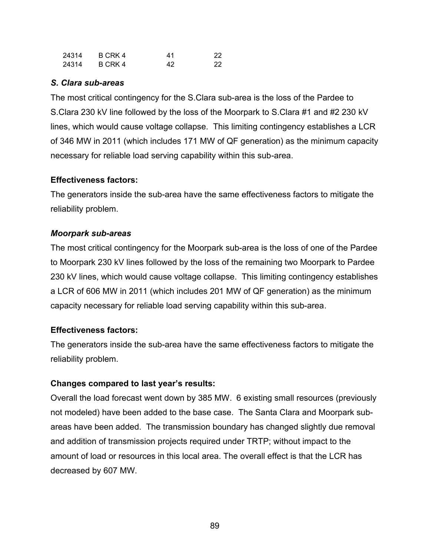| 24314 | B CRK 4 | 41 | 22 |
|-------|---------|----|----|
| 24314 | B CRK 4 | 42 | 22 |

#### *S. Clara sub-areas*

The most critical contingency for the S.Clara sub-area is the loss of the Pardee to S.Clara 230 kV line followed by the loss of the Moorpark to S.Clara #1 and #2 230 kV lines, which would cause voltage collapse. This limiting contingency establishes a LCR of 346 MW in 2011 (which includes 171 MW of QF generation) as the minimum capacity necessary for reliable load serving capability within this sub-area.

### **Effectiveness factors:**

The generators inside the sub-area have the same effectiveness factors to mitigate the reliability problem.

### *Moorpark sub-areas*

The most critical contingency for the Moorpark sub-area is the loss of one of the Pardee to Moorpark 230 kV lines followed by the loss of the remaining two Moorpark to Pardee 230 kV lines, which would cause voltage collapse. This limiting contingency establishes a LCR of 606 MW in 2011 (which includes 201 MW of QF generation) as the minimum capacity necessary for reliable load serving capability within this sub-area.

### **Effectiveness factors:**

The generators inside the sub-area have the same effectiveness factors to mitigate the reliability problem.

### **Changes compared to last year's results:**

Overall the load forecast went down by 385 MW. 6 existing small resources (previously not modeled) have been added to the base case. The Santa Clara and Moorpark subareas have been added. The transmission boundary has changed slightly due removal and addition of transmission projects required under TRTP; without impact to the amount of load or resources in this local area. The overall effect is that the LCR has decreased by 607 MW.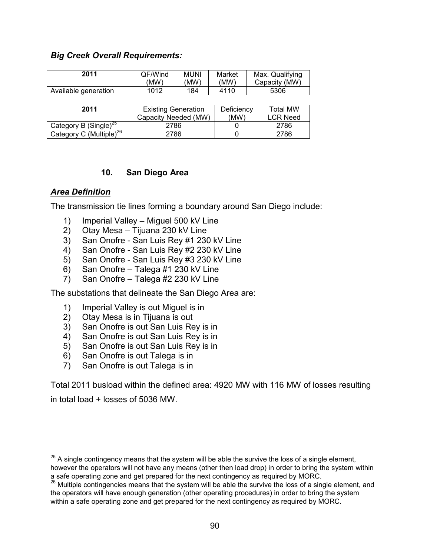#### *Big Creek Overall Requirements:*

| 2011                 | QF/Wind | <b>MUNI</b> | Market | Max. Qualifying |
|----------------------|---------|-------------|--------|-----------------|
|                      | 'MW)    | 'MW.        | (MW)   | Capacity (MW)   |
| Available generation | 1012    | 184         | 4110   | 5306            |

| 2011                                | <b>Existing Generation</b><br>Capacity Needed (MW) | Deficiency<br>(MW) | Total MW<br>LCR Need |
|-------------------------------------|----------------------------------------------------|--------------------|----------------------|
| Category B (Single) <sup>25</sup>   | 2786                                               |                    | 2786                 |
| Category C (Multiple) <sup>26</sup> | 2786                                               |                    | 2786                 |

### **10. San Diego Area**

### *Area Definition*

 $\overline{a}$ 

The transmission tie lines forming a boundary around San Diego include:

- 1) Imperial Valley Miguel 500 kV Line
- 2) Otay Mesa Tijuana 230 kV Line
- 3) San Onofre San Luis Rey #1 230 kV Line
- 4) San Onofre San Luis Rey #2 230 kV Line
- 5) San Onofre San Luis Rey #3 230 kV Line
- 6) San Onofre Talega #1 230 kV Line
- 7) San Onofre Talega #2 230 kV Line

The substations that delineate the San Diego Area are:

- 1) Imperial Valley is out Miguel is in
- 2) Otay Mesa is in Tijuana is out
- 3) San Onofre is out San Luis Rey is in
- 4) San Onofre is out San Luis Rey is in
- 5) San Onofre is out San Luis Rey is in
- 6) San Onofre is out Talega is in
- 7) San Onofre is out Talega is in

Total 2011 busload within the defined area: 4920 MW with 116 MW of losses resulting in total load + losses of 5036 MW.

 $25$  A single contingency means that the system will be able the survive the loss of a single element, however the operators will not have any means (other then load drop) in order to bring the system within

a safe operating zone and get prepared for the next contingency as required by MORC.

<sup>26</sup> Multiple contingencies means that the system will be able the survive the loss of a single element, and the operators will have enough generation (other operating procedures) in order to bring the system within a safe operating zone and get prepared for the next contingency as required by MORC.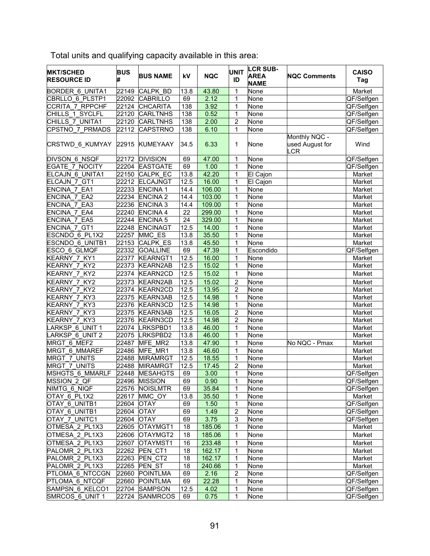| <b>MKT/SCHED</b><br><b>RESOURCE ID</b> | <b>BUS</b> | <b>BUS NAME</b> | kV              | <b>NQC</b> | <b>UNIT</b><br>ID | <b>LCR SUB-</b><br><b>AREA</b><br><b>NAME</b> | <b>NQC Comments</b>                        | <b>CAISO</b><br>Tag |
|----------------------------------------|------------|-----------------|-----------------|------------|-------------------|-----------------------------------------------|--------------------------------------------|---------------------|
| <b>BORDER 6 UNITA1</b>                 | 22149      | <b>CALPK BD</b> | 13.8            | 43.80      | 1                 | None                                          |                                            | Market              |
| CBRLLO 6 PLSTP1                        | 22092      | <b>CABRILLO</b> | 69              | 2.12       | 1                 | None                                          |                                            | QF/Selfgen          |
| CCRITA 7 RPPCHF                        | 22124      | CHCARITA        | 138             | 3.92       | $\mathbf{1}$      | None                                          |                                            | QF/Selfgen          |
| CHILLS 1_SYCLFL                        | 22120      | <b>CARLTNHS</b> | 138             | 0.52       | 1                 | None                                          |                                            | QF/Selfgen          |
| CHILLS 7 UNITA1                        | 22120      | <b>CARLTNHS</b> | 138             | 2.00       | $\overline{2}$    | None                                          |                                            | QF/Selfgen          |
| CPSTNO 7 PRMADS                        | 22112      | <b>CAPSTRNO</b> | 138             | 6.10       | $\mathbf{1}$      | None                                          |                                            | QF/Selfgen          |
| CRSTWD_6_KUMYAY 22915                  |            | <b>KUMEYAAY</b> | 34.5            | 6.33       | 1                 | None                                          | Monthly NQC -<br>used August for<br>$_C$ R | Wind                |
| <b>DIVSON 6 NSQF</b>                   | 22172      | <b>DIVISION</b> | 69              | 47.00      | $\mathbf{1}$      | None                                          |                                            | QF/Selfgen          |
| <b>EGATE 7 NOCITY</b>                  | 22204      | <b>EASTGATE</b> | 69              | 1.00       | 1                 | None                                          |                                            | QF/Selfgen          |
| ELCAJN 6 UNITA1                        | 22150      | <b>CALPK EC</b> | 13.8            | 42.20      | 1                 | El Cajon                                      |                                            | Market              |
| ELCAJN 7 GT1                           | 22212      | <b>ELCAJNGT</b> | 12.5            | 16.00      | 1                 | El Cajon                                      |                                            | Market              |
| ENCINA 7 EA1                           | 22233      | <b>ENCINA1</b>  | 14.4            | 106.00     | 1                 | None                                          |                                            | Market              |
| ENCINA 7 EA2                           | 22234      | <b>ENCINA 2</b> | 14.4            | 103.00     | $\mathbf{1}$      | None                                          |                                            | Market              |
| ENCINA 7 EA3                           | 22236      | <b>ENCINA3</b>  | 14.4            | 109.00     | 1                 | None                                          |                                            | Market              |
| ENCINA 7 EA4                           | 22240      | <b>ENCINA 4</b> | 22              | 299.00     | 1                 | None                                          |                                            | Market              |
| ENCINA 7 EA5                           | 22244      | <b>ENCINA 5</b> | $\overline{24}$ | 329.00     | 1                 | None                                          |                                            | Market              |
| ENCINA 7 GT1                           | 22248      | <b>ENCINAGT</b> | 12.5            | 14.00      | $\mathbf{1}$      | None                                          |                                            | Market              |
| ESCNDO 6 PL1X2                         | 22257      | MMC ES          | 13.8            | 35.50      | 1                 | None                                          |                                            | Market              |
| ESCNDO 6 UNITB1                        | 22153      | CALPK_ES        | 13.8            | 45.50      | 1                 | None                                          |                                            | Market              |
| ESCO 6 GLMQF                           | 22332      | <b>GOALLINE</b> | 69              | 47.39      | $\mathbf{1}$      | Escondido                                     |                                            | QF/Selfgen          |
| KEARNY 7 KY1                           | 22377      | <b>KEARNGT1</b> | 12.5            | 16.00      | $\mathbf{1}$      | None                                          |                                            | Market              |
| KEARNY 7 KY2                           | 22373      | <b>KEARN2AB</b> | 12.5            | 15.02      | 1                 | None                                          |                                            | Market              |
| KEARNY 7 KY2                           | 22374      | <b>KEARN2CD</b> | 12.5            | 15.02      | 1                 | None                                          |                                            | Market              |
| KEARNY 7 KY2                           | 22373      | <b>KEARN2AB</b> | 12.5            | 15.02      | $\overline{2}$    | None                                          |                                            | Market              |
| KEARNY 7 KY2                           | 22374      | <b>KEARN2CD</b> | 12.5            | 13.95      | $\overline{2}$    | None                                          |                                            | Market              |
| KEARNY 7 KY3                           | 22375      | <b>KEARN3AB</b> | 12.5            | 14.98      | 1                 | None                                          |                                            | Market              |
| KEARNY 7 KY3                           | 22376      | <b>KEARN3CD</b> | 12.5            | 14.98      | 1                 | None                                          |                                            | Market              |
| KEARNY 7 KY3                           | 22375      | <b>KEARN3AB</b> | 12.5            | 16.05      | $\overline{2}$    | None                                          |                                            | Market              |
| KEARNY 7 KY3                           | 22376      | <b>KEARN3CD</b> | 12.5            | 14.98      | $\overline{2}$    | None                                          |                                            | Market              |
| ARKSP 6 UNIT 1                         | 22074      | LRKSPBD1        | 13.8            | 46.00      | 1                 | None                                          |                                            | Market              |
| ARKSP 6 UNIT 2                         | 22075      | LRKSPBD2        | 13.8            | 46.00      | 1                 | None                                          |                                            | Market              |
| MRGT <sub>6</sub> MEF2                 | 22487      | MFE MR2         | 13.8            | 47.90      | 1                 | None                                          | No NQC - Pmax                              | Market              |
| MRGT 6 MMAREF                          | 22486      | MFE MR1         | 13.8            | 46.60      | $\mathbf{1}$      | None                                          |                                            | Market              |
| <b>MRGT 7 UNITS</b>                    | 22488      | <b>MIRAMRGT</b> | 12.5            | 18.55      | $\mathbf{1}$      | None                                          |                                            | Market              |
| MRGT 7_UNITS                           | 22488      | <b>MIRAMRGT</b> | 12.5            | 17.45      | $\overline{c}$    | None                                          |                                            | Market              |
| <b>MSHGTS 6 MMARLF</b>                 | 22448      | <b>MESAHGTS</b> | 69              | 3.00       | 1                 | None                                          |                                            | QF/Selfgen          |
| MSSION 2 QF                            |            | 22496  MISSION  | 69              | 0.90       | 1                 | None                                          |                                            | QF/Selfgen          |
| NIMTG_6_NIQF                           | 22576      | <b>NOISLMTR</b> | 69              | 35.84      | 1                 | None                                          |                                            | QF/Selfgen          |
| OTAY 6 PL1X2                           | 22617      | MMC OY          | 13.8            | 35.50      | 1                 | None                                          |                                            | Market              |
| OTAY 6_UNITB1                          | 22604      | <b>OTAY</b>     | 69              | 1.50       | 1                 | None                                          |                                            | QF/Selfgen          |
| OTAY 6_UNITB1                          | 22604      | <b>OTAY</b>     | 69              | 1.49       | $\overline{2}$    | None                                          |                                            | QF/Selfgen          |
| OTAY 7 UNITC1                          | 22604      | <b>OTAY</b>     | 69              | 3.75       | 3                 | None                                          |                                            | QF/Selfgen          |
| OTMESA_2_PL1X3                         | 22605      | OTAYMGT1        | 18              | 185.06     | 1                 | None                                          |                                            | Market              |
| OTMESA_2_PL1X3                         | 22606      | OTAYMGT2        | 18              | 185.06     | 1                 | None                                          |                                            | Market              |
| OTMESA 2 PL1X3                         | 22607      | OTAYMST1        | 16              | 233.48     | $\mathbf{1}$      | None                                          |                                            | Market              |
| PALOMR 2 PL1X3                         | 22262      | PEN CT1         | 18              | 162.17     | 1                 | None                                          |                                            | Market              |
| PALOMR 2 PL1X3                         | 22263      | PEN CT2         | 18              | 162.17     | $\mathbf 1$       | None                                          |                                            | Market              |
| PALOMR 2 PL1X3                         | 22265      | <b>PEN ST</b>   | 18              | 240.66     | 1                 | None                                          |                                            | Market              |
| PTLOMA 6 NTCCGN                        | 22660      | <b>POINTLMA</b> | 69              | 2.16       | $\mathbf 2$       | None                                          |                                            | QF/Selfgen          |
| PTLOMA 6 NTCQF                         | 22660      | <b>POINTLMA</b> | 69              | 22.28      | 1                 | None                                          |                                            | QF/Selfgen          |
| SAMPSN 6 KELCO1                        |            | 22704 SAMPSON   | 12.5            | 4.02       | 1                 | None                                          |                                            | QF/Selfgen          |
| SMRCOS 6_UNIT 1                        |            | 22724 SANMRCOS  | 69              | 0.75       | $\mathbf{1}$      | None                                          |                                            | QF/Selfgen          |

Total units and qualifying capacity available in this area: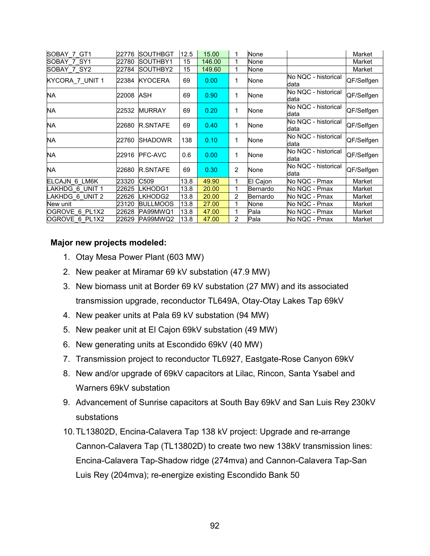| SOBAY 7 GT1     | 22776 | <b>SOUTHBGT</b> | 12.5 | 15.00  | 1              | None     |                             | Market     |
|-----------------|-------|-----------------|------|--------|----------------|----------|-----------------------------|------------|
| SOBAY 7 SY1     | 22780 | ISOUTHBY1       | 15   | 146.00 | 1              | None     |                             | Market     |
| SOBAY 7 SY2     | 22784 | SOUTHBY2        | 15   | 149.60 | 1              | None     |                             | Market     |
| KYCORA_7_UNIT 1 | 22384 | <b>KYOCERA</b>  | 69   | 0.00   | 1              | None     | No NQC - historical<br>data | QF/Selfgen |
| NA              | 22008 | <b>ASH</b>      | 69   | 0.90   | 1              | None     | No NQC - historical<br>data | QF/Selfgen |
| NA              | 22532 | <b>MURRAY</b>   | 69   | 0.20   | 1              | None     | No NQC - historical<br>data | QF/Selfgen |
| NA              | 22680 | <b>R.SNTAFE</b> | 69   | 0.40   | 1              | None     | No NQC - historical<br>data | QF/Selfgen |
| NA              | 22760 | <b>SHADOWR</b>  | 138  | 0.10   | 1              | None     | No NQC - historical<br>data | QF/Selfgen |
| NA              | 22916 | <b>PFC-AVC</b>  | 0.6  | 0.00   | 1              | None     | No NQC - historical<br>data | QF/Selfgen |
| NA              | 22680 | <b>R.SNTAFE</b> | 69   | 0.30   | 2              | None     | No NQC - historical<br>data | QF/Selfgen |
| ELCAJN 6 LM6K   | 23320 | C509            | 13.8 | 49.90  | 1              | El Cajon | No NQC - Pmax               | Market     |
| AKHDG 6 UNIT 1  | 22625 | LKHODG1         | 13.8 | 20.00  | 1              | Bernardo | No NQC - Pmax               | Market     |
| LAKHDG 6 UNIT 2 | 22626 | LKHODG2         | 13.8 | 20.00  | 2              | Bernardo | No NQC - Pmax               | Market     |
| New unit        | 23120 | <b>BULLMOOS</b> | 13.8 | 27.00  | 1              | None     | No NQC - Pmax               | Market     |
| OGROVE 6 PL1X2  | 22628 | PA99MWQ1        | 13.8 | 47.00  | 1              | Pala     | No NQC - Pmax               | Market     |
| OGROVE 6 PL1X2  | 22629 | PA99MWQ2        | 13.8 | 47.00  | $\overline{2}$ | Pala     | No NQC - Pmax               | Market     |

#### **Major new projects modeled:**

- 1. Otay Mesa Power Plant (603 MW)
- 2. New peaker at Miramar 69 kV substation (47.9 MW)
- 3. New biomass unit at Border 69 kV substation (27 MW) and its associated transmission upgrade, reconductor TL649A, Otay-Otay Lakes Tap 69kV
- 4. New peaker units at Pala 69 kV substation (94 MW)
- 5. New peaker unit at El Cajon 69kV substation (49 MW)
- 6. New generating units at Escondido 69kV (40 MW)
- 7. Transmission project to reconductor TL6927, Eastgate-Rose Canyon 69kV
- 8. New and/or upgrade of 69kV capacitors at Lilac, Rincon, Santa Ysabel and Warners 69kV substation
- 9. Advancement of Sunrise capacitors at South Bay 69kV and San Luis Rey 230kV substations
- 10.TL13802D, Encina-Calavera Tap 138 kV project: Upgrade and re-arrange Cannon-Calavera Tap (TL13802D) to create two new 138kV transmission lines: Encina-Calavera Tap-Shadow ridge (274mva) and Cannon-Calavera Tap-San Luis Rey (204mva); re-energize existing Escondido Bank 50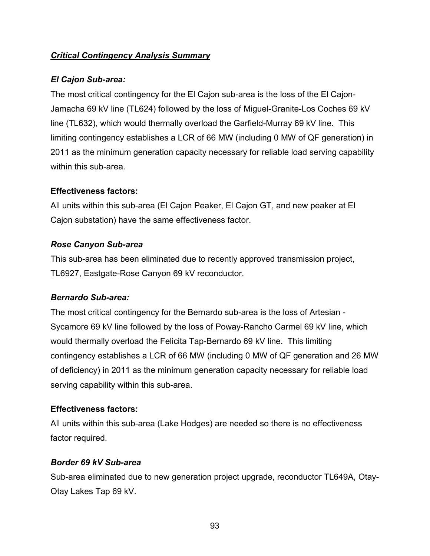# *Critical Contingency Analysis Summary*

# *El Cajon Sub-area:*

The most critical contingency for the El Cajon sub-area is the loss of the El Cajon-Jamacha 69 kV line (TL624) followed by the loss of Miguel-Granite-Los Coches 69 kV line (TL632), which would thermally overload the Garfield-Murray 69 kV line. This limiting contingency establishes a LCR of 66 MW (including 0 MW of QF generation) in 2011 as the minimum generation capacity necessary for reliable load serving capability within this sub-area.

# **Effectiveness factors:**

All units within this sub-area (El Cajon Peaker, El Cajon GT, and new peaker at El Cajon substation) have the same effectiveness factor.

# *Rose Canyon Sub-area*

This sub-area has been eliminated due to recently approved transmission project, TL6927, Eastgate-Rose Canyon 69 kV reconductor.

# *Bernardo Sub-area:*

The most critical contingency for the Bernardo sub-area is the loss of Artesian - Sycamore 69 kV line followed by the loss of Poway-Rancho Carmel 69 kV line, which would thermally overload the Felicita Tap-Bernardo 69 kV line. This limiting contingency establishes a LCR of 66 MW (including 0 MW of QF generation and 26 MW of deficiency) in 2011 as the minimum generation capacity necessary for reliable load serving capability within this sub-area.

# **Effectiveness factors:**

All units within this sub-area (Lake Hodges) are needed so there is no effectiveness factor required.

# *Border 69 kV Sub-area*

Sub-area eliminated due to new generation project upgrade, reconductor TL649A, Otay-Otay Lakes Tap 69 kV.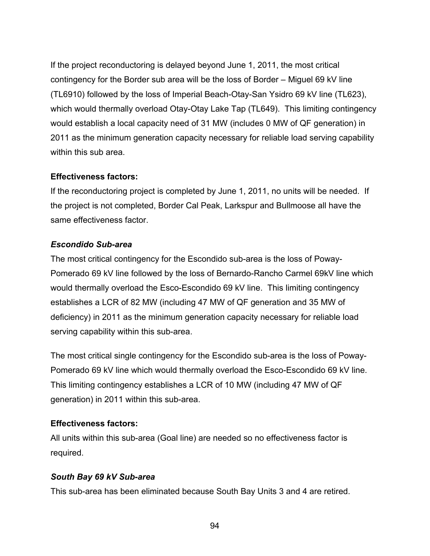If the project reconductoring is delayed beyond June 1, 2011, the most critical contingency for the Border sub area will be the loss of Border – Miguel 69 kV line (TL6910) followed by the loss of Imperial Beach-Otay-San Ysidro 69 kV line (TL623), which would thermally overload Otay-Otay Lake Tap (TL649). This limiting contingency would establish a local capacity need of 31 MW (includes 0 MW of QF generation) in 2011 as the minimum generation capacity necessary for reliable load serving capability within this sub area.

#### **Effectiveness factors:**

If the reconductoring project is completed by June 1, 2011, no units will be needed. If the project is not completed, Border Cal Peak, Larkspur and Bullmoose all have the same effectiveness factor.

### *Escondido Sub-area*

The most critical contingency for the Escondido sub-area is the loss of Poway-Pomerado 69 kV line followed by the loss of Bernardo-Rancho Carmel 69kV line which would thermally overload the Esco-Escondido 69 kV line. This limiting contingency establishes a LCR of 82 MW (including 47 MW of QF generation and 35 MW of deficiency) in 2011 as the minimum generation capacity necessary for reliable load serving capability within this sub-area.

The most critical single contingency for the Escondido sub-area is the loss of Poway-Pomerado 69 kV line which would thermally overload the Esco-Escondido 69 kV line. This limiting contingency establishes a LCR of 10 MW (including 47 MW of QF generation) in 2011 within this sub-area.

### **Effectiveness factors:**

All units within this sub-area (Goal line) are needed so no effectiveness factor is required.

### *South Bay 69 kV Sub-area*

This sub-area has been eliminated because South Bay Units 3 and 4 are retired.

94